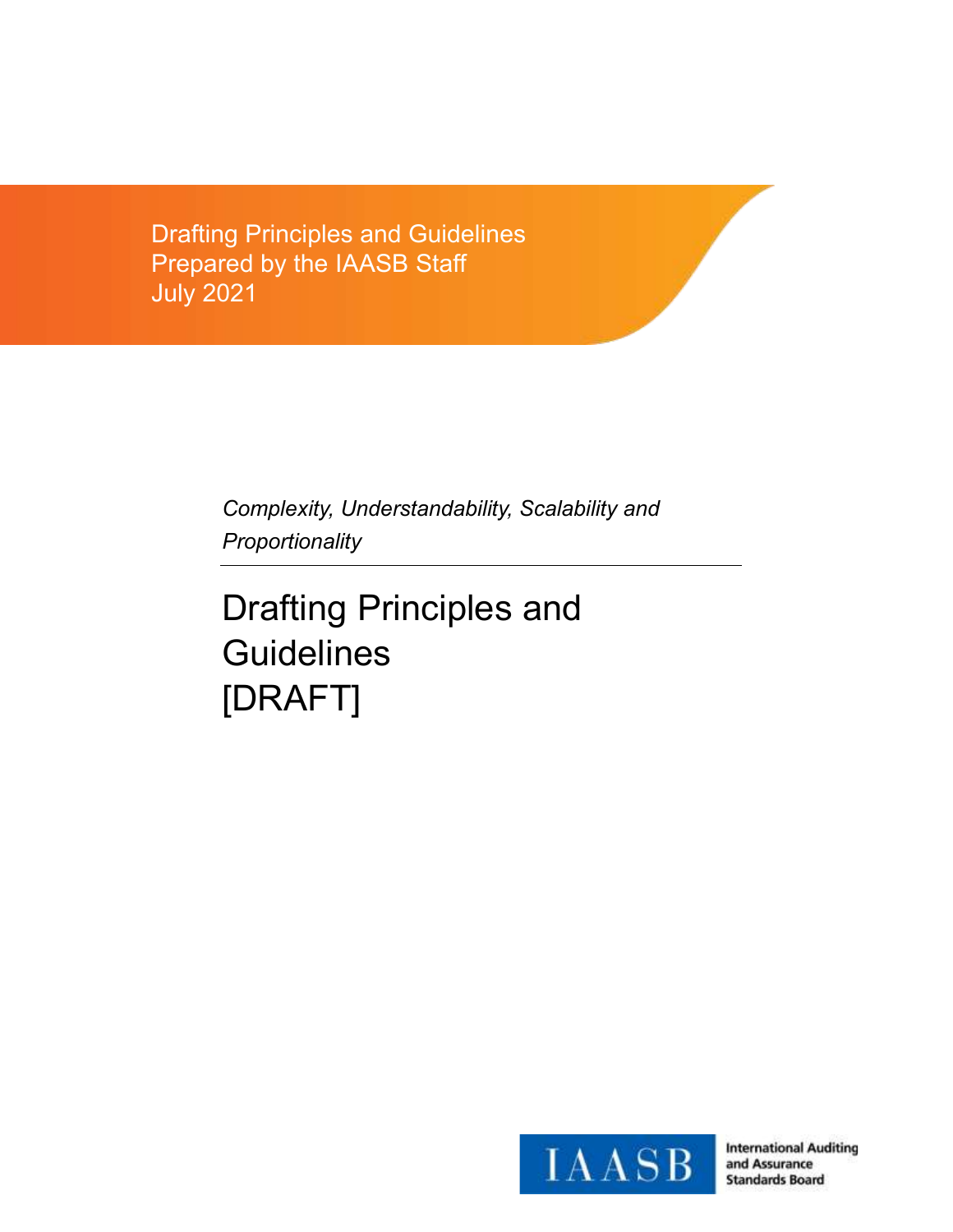Drafting Principles and Guidelines Prepared by the IAASB Staff July 2021

> *Complexity, Understandability, Scalability and Proportionality*

Drafting Principles and **Guidelines** [DRAFT]

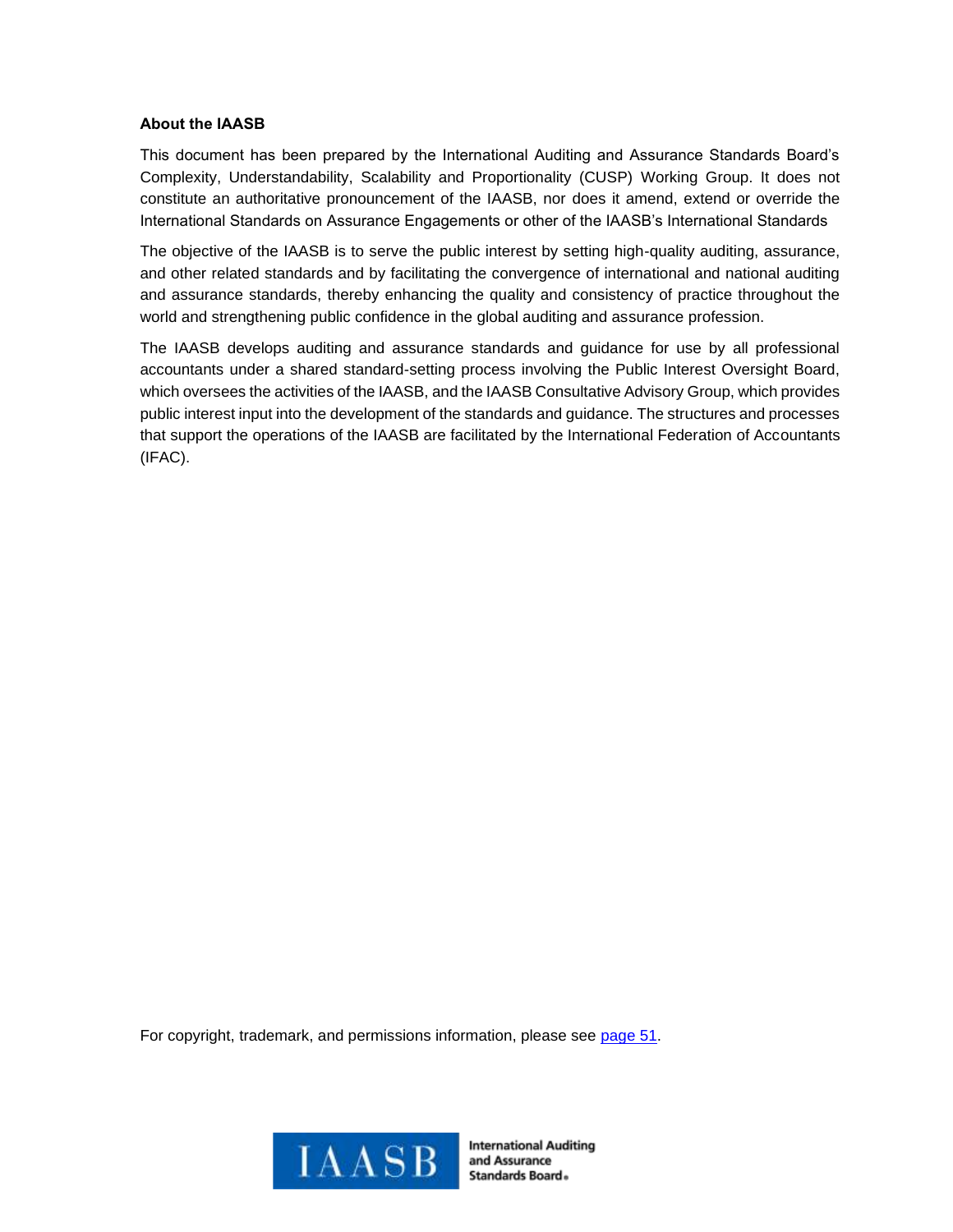### **About the IAASB**

This document has been prepared by the International Auditing and Assurance Standards Board's Complexity, Understandability, Scalability and Proportionality (CUSP) Working Group. It does not constitute an authoritative pronouncement of the IAASB, nor does it amend, extend or override the International Standards on Assurance Engagements or other of the IAASB's International Standards

The objective of the IAASB is to serve the public interest by setting high-quality auditing, assurance, and other related standards and by facilitating the convergence of international and national auditing and assurance standards, thereby enhancing the quality and consistency of practice throughout the world and strengthening public confidence in the global auditing and assurance profession.

The IAASB develops auditing and assurance standards and guidance for use by all professional accountants under a shared standard-setting process involving the Public Interest Oversight Board, which oversees the activities of the IAASB, and the IAASB Consultative Advisory Group, which provides public interest input into the development of the standards and guidance. The structures and processes that support the operations of the IAASB are facilitated by the International Federation of Accountants (IFAC).

For copyright, trademark, and permissions information, please see [page 51.](#page-53-0)

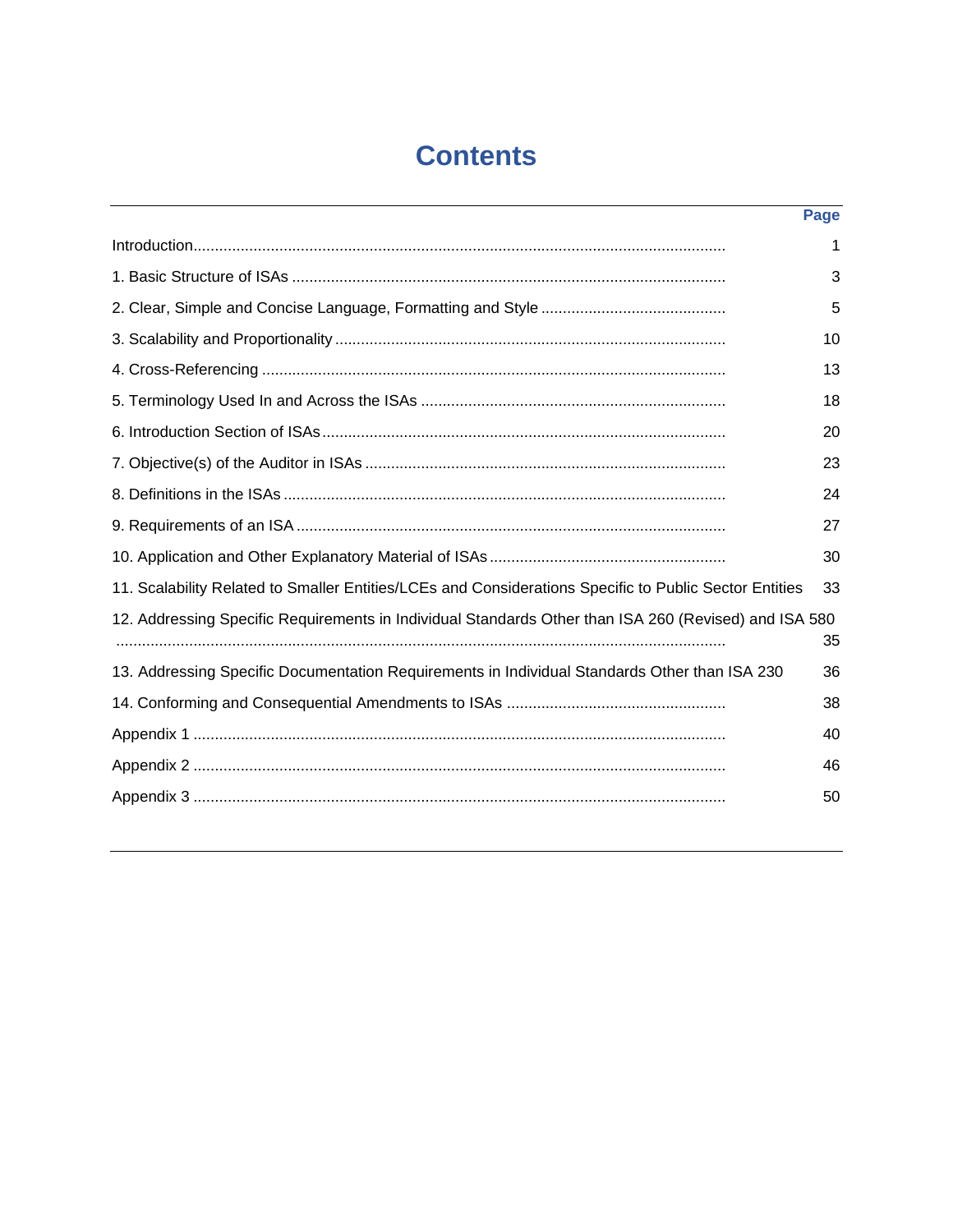# **Contents**

|                                                                                                        | Page |
|--------------------------------------------------------------------------------------------------------|------|
|                                                                                                        | 1    |
|                                                                                                        | 3    |
|                                                                                                        | 5    |
|                                                                                                        | 10   |
|                                                                                                        | 13   |
|                                                                                                        | 18   |
|                                                                                                        | 20   |
|                                                                                                        | 23   |
|                                                                                                        | 24   |
|                                                                                                        | 27   |
|                                                                                                        | 30   |
| 11. Scalability Related to Smaller Entities/LCEs and Considerations Specific to Public Sector Entities | 33   |
| 12. Addressing Specific Requirements in Individual Standards Other than ISA 260 (Revised) and ISA 580  | 35   |
| 13. Addressing Specific Documentation Requirements in Individual Standards Other than ISA 230          | 36   |
|                                                                                                        | 38   |
|                                                                                                        | 40   |
|                                                                                                        | 46   |
|                                                                                                        | 50   |
|                                                                                                        |      |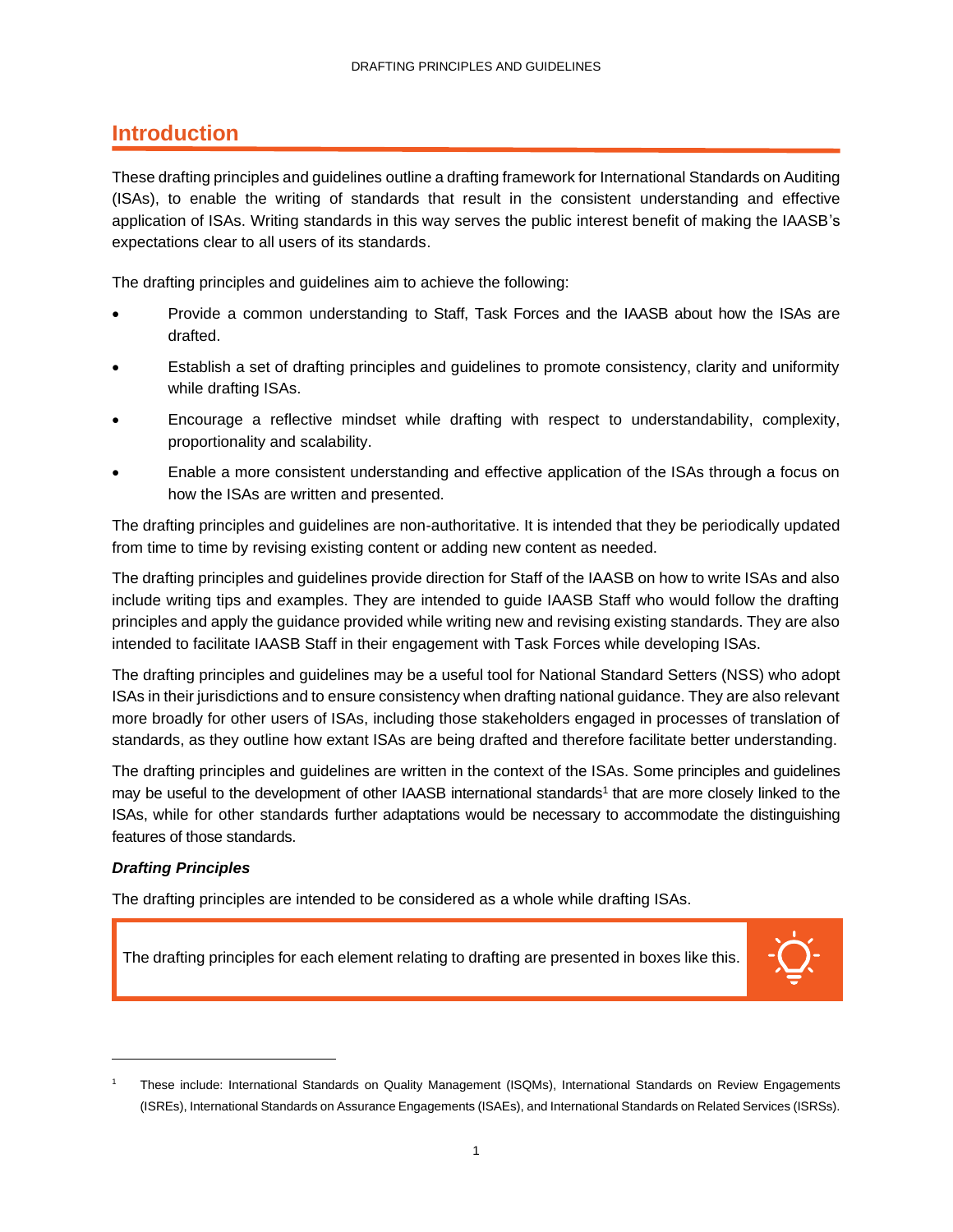### <span id="page-3-0"></span>**Introduction**

These drafting principles and guidelines outline a drafting framework for International Standards on Auditing (ISAs), to enable the writing of standards that result in the consistent understanding and effective application of ISAs. Writing standards in this way serves the public interest benefit of making the IAASB's expectations clear to all users of its standards.

The drafting principles and guidelines aim to achieve the following:

- Provide a common understanding to Staff, Task Forces and the IAASB about how the ISAs are drafted.
- Establish a set of drafting principles and guidelines to promote consistency, clarity and uniformity while drafting ISAs.
- Encourage a reflective mindset while drafting with respect to understandability, complexity, proportionality and scalability.
- Enable a more consistent understanding and effective application of the ISAs through a focus on how the ISAs are written and presented.

The drafting principles and guidelines are non-authoritative. It is intended that they be periodically updated from time to time by revising existing content or adding new content as needed.

The drafting principles and guidelines provide direction for Staff of the IAASB on how to write ISAs and also include writing tips and examples. They are intended to guide IAASB Staff who would follow the drafting principles and apply the guidance provided while writing new and revising existing standards. They are also intended to facilitate IAASB Staff in their engagement with Task Forces while developing ISAs.

The drafting principles and guidelines may be a useful tool for National Standard Setters (NSS) who adopt ISAs in their jurisdictions and to ensure consistency when drafting national guidance. They are also relevant more broadly for other users of ISAs, including those stakeholders engaged in processes of translation of standards, as they outline how extant ISAs are being drafted and therefore facilitate better understanding.

The drafting principles and guidelines are written in the context of the ISAs. Some principles and guidelines may be useful to the development of other IAASB international standards<sup>1</sup> that are more closely linked to the ISAs, while for other standards further adaptations would be necessary to accommodate the distinguishing features of those standards.

### *Drafting Principles*

The drafting principles are intended to be considered as a whole while drafting ISAs.

The drafting principles for each element relating to drafting are presented in boxes like this.



<sup>1</sup> These include: International Standards on Quality Management (ISQMs), International Standards on Review Engagements (ISREs), International Standards on Assurance Engagements (ISAEs), and International Standards on Related Services (ISRSs).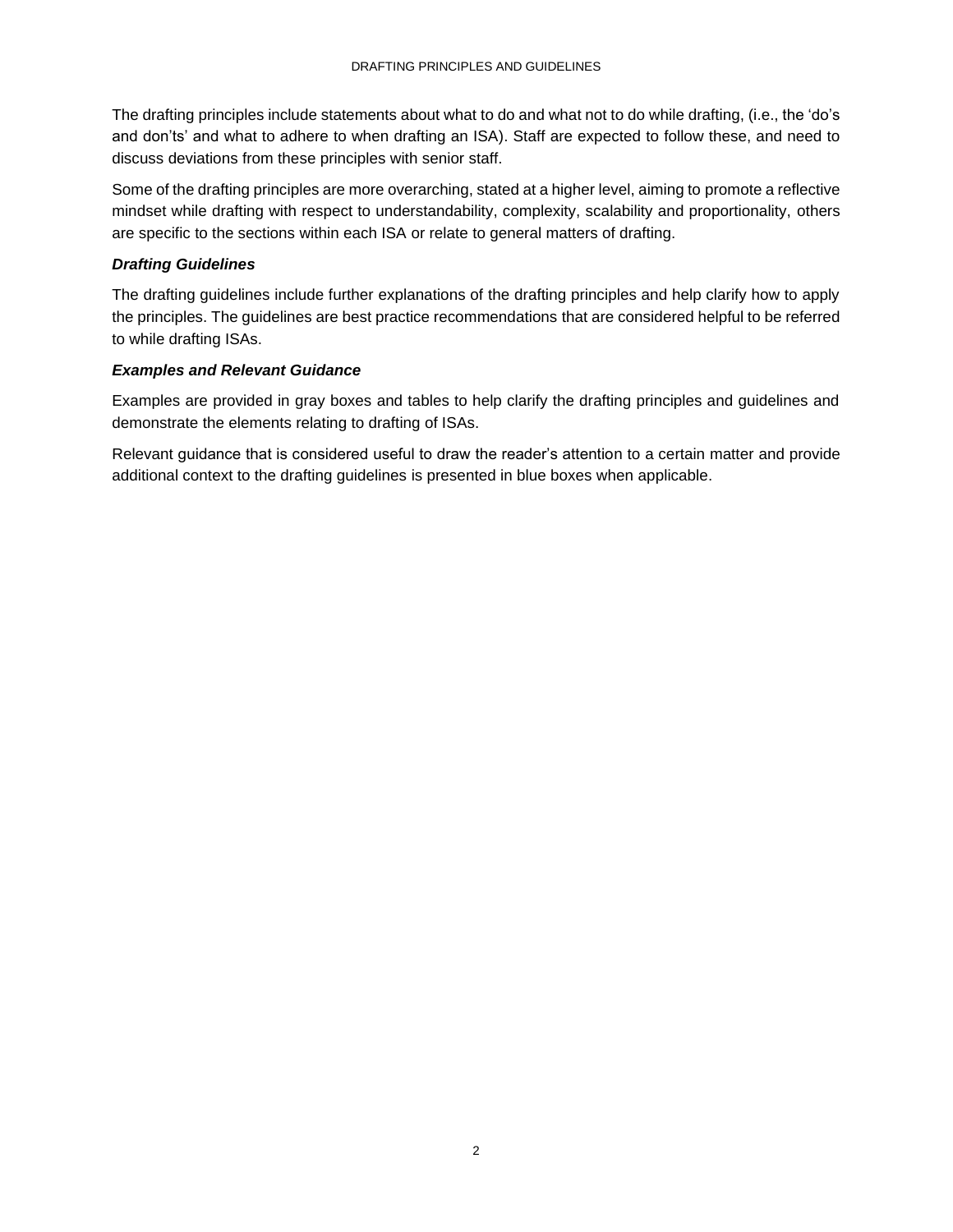The drafting principles include statements about what to do and what not to do while drafting, (i.e., the 'do's and don'ts' and what to adhere to when drafting an ISA). Staff are expected to follow these, and need to discuss deviations from these principles with senior staff.

Some of the drafting principles are more overarching, stated at a higher level, aiming to promote a reflective mindset while drafting with respect to understandability, complexity, scalability and proportionality, others are specific to the sections within each ISA or relate to general matters of drafting.

### *Drafting Guidelines*

The drafting guidelines include further explanations of the drafting principles and help clarify how to apply the principles. The guidelines are best practice recommendations that are considered helpful to be referred to while drafting ISAs.

### *Examples and Relevant Guidance*

Examples are provided in gray boxes and tables to help clarify the drafting principles and guidelines and demonstrate the elements relating to drafting of ISAs.

Relevant guidance that is considered useful to draw the reader's attention to a certain matter and provide additional context to the drafting guidelines is presented in blue boxes when applicable.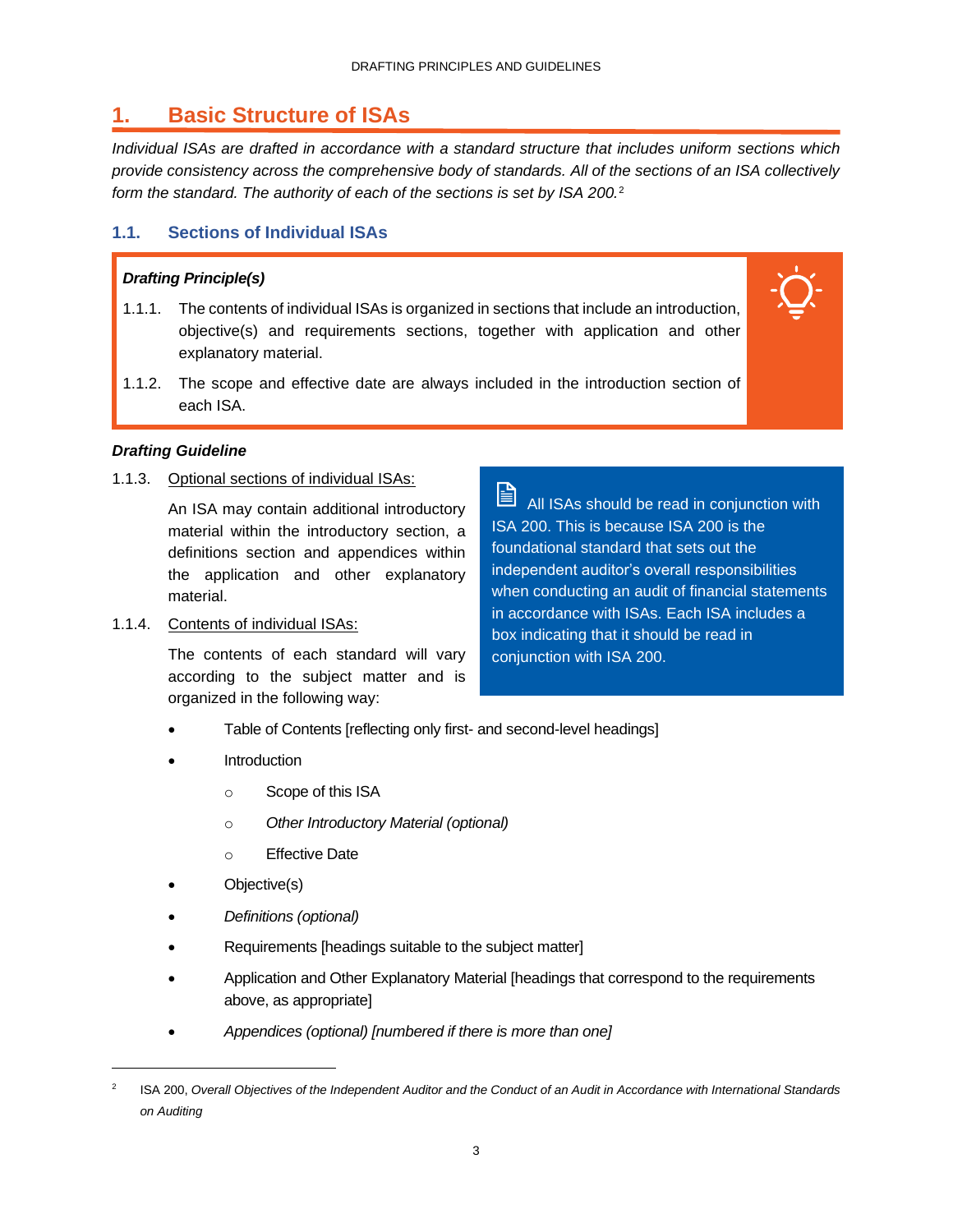### <span id="page-5-0"></span>**1. Basic Structure of ISAs**

*Individual ISAs are drafted in accordance with a standard structure that includes uniform sections which provide consistency across the comprehensive body of standards. All of the sections of an ISA collectively form the standard. The authority of each of the sections is set by ISA 200.*<sup>2</sup>

### **1.1. Sections of Individual ISAs**

### *Drafting Principle(s)*

- 1.1.1. The contents of individual ISAs is organized in sections that include an introduction, objective(s) and requirements sections, together with application and other explanatory material.
- 1.1.2. The scope and effective date are always included in the introduction section of each ISA.

### *Drafting Guideline*

1.1.3. Optional sections of individual ISAs:

An ISA may contain additional introductory material within the introductory section, a definitions section and appendices within the application and other explanatory material.

1.1.4. Contents of individual ISAs:

The contents of each standard will vary according to the subject matter and is organized in the following way:

訚 All ISAs should be read in conjunction with ISA 200. This is because ISA 200 is the foundational standard that sets out the independent auditor's overall responsibilities when conducting an audit of financial statements in accordance with ISAs. Each ISA includes a box indicating that it should be read in conjunction with ISA 200.

- Table of Contents [reflecting only first- and second-level headings]
- **Introduction** 
	- o Scope of this ISA
	- o *Other Introductory Material (optional)*
	- o Effective Date
- Objective(s)
- *Definitions (optional)*
- Requirements [headings suitable to the subject matter]
- Application and Other Explanatory Material [headings that correspond to the requirements above, as appropriate]
- *Appendices (optional) [numbered if there is more than one]*

<sup>2</sup> ISA 200, *Overall Objectives of the Independent Auditor and the Conduct of an Audit in Accordance with International Standards on Auditing*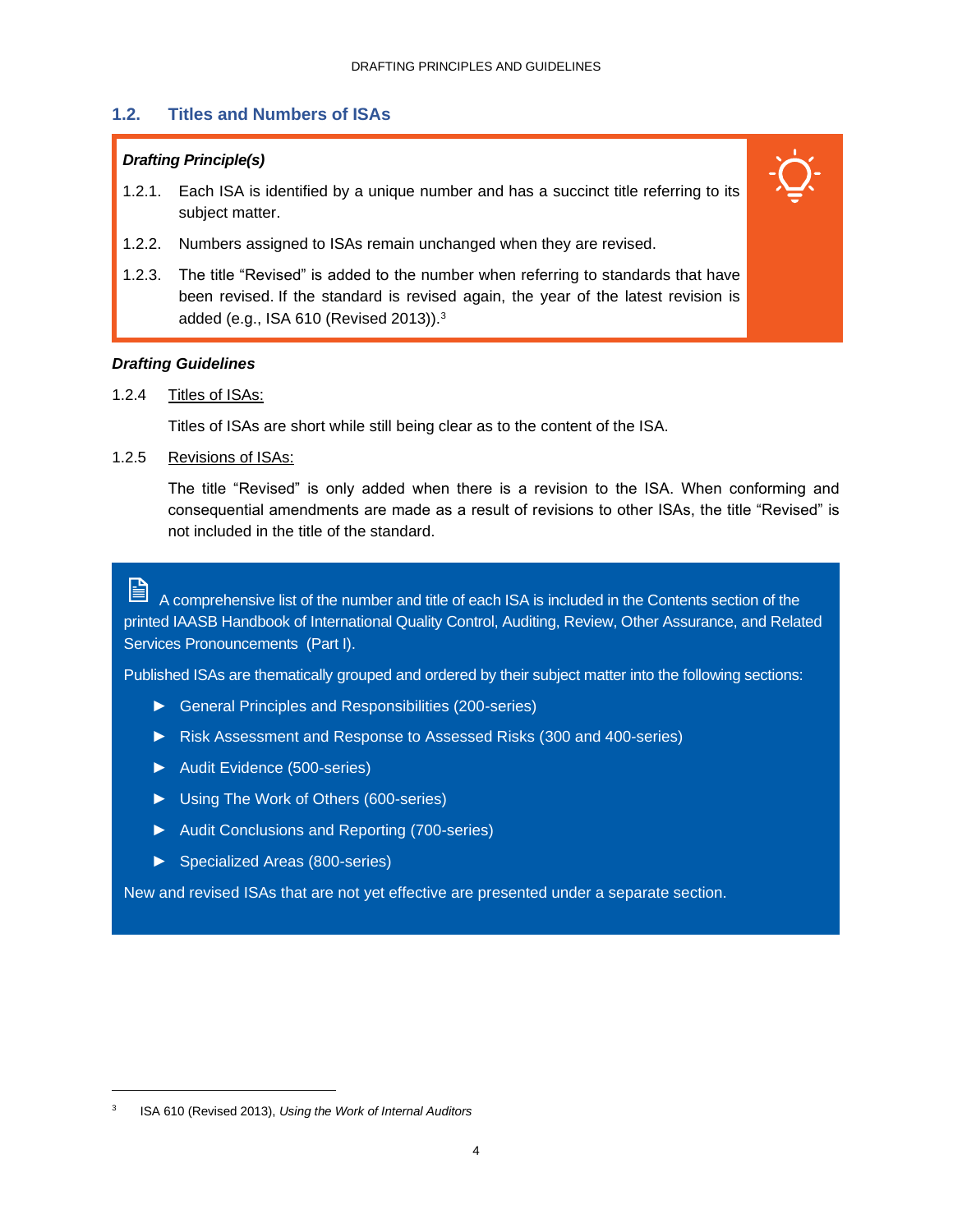### **1.2. Titles and Numbers of ISAs**

### *Drafting Principle(s)*

- 1.2.1. Each ISA is identified by a unique number and has a succinct title referring to its subject matter.
- 1.2.2. Numbers assigned to ISAs remain unchanged when they are revised.
- 1.2.3. The title "Revised" is added to the number when referring to standards that have been revised. If the standard is revised again, the year of the latest revision is added (e.g., ISA 610 (Revised 2013)).<sup>3</sup>

### *Drafting Guidelines*

1.2.4 Titles of ISAs:

Titles of ISAs are short while still being clear as to the content of the ISA.

1.2.5 Revisions of ISAs:

The title "Revised" is only added when there is a revision to the ISA. When conforming and consequential amendments are made as a result of revisions to other ISAs, the title "Revised" is not included in the title of the standard.

冐

A comprehensive list of the number and title of each ISA is included in the Contents section of the printed IAASB Handbook of International Quality Control, Auditing, Review, Other Assurance, and Related Services Pronouncements (Part I).

Published ISAs are thematically grouped and ordered by their subject matter into the following sections:

- ► General Principles and Responsibilities (200-series)
- ► Risk Assessment and Response to Assessed Risks (300 and 400-series)
- ► Audit Evidence (500-series)
- ► Using The Work of Others (600-series)
- ► Audit Conclusions and Reporting (700-series)
- ► Specialized Areas (800-series)

New and revised ISAs that are not yet effective are presented under a separate section.

<sup>3</sup> ISA 610 (Revised 2013), *Using the Work of Internal Auditors*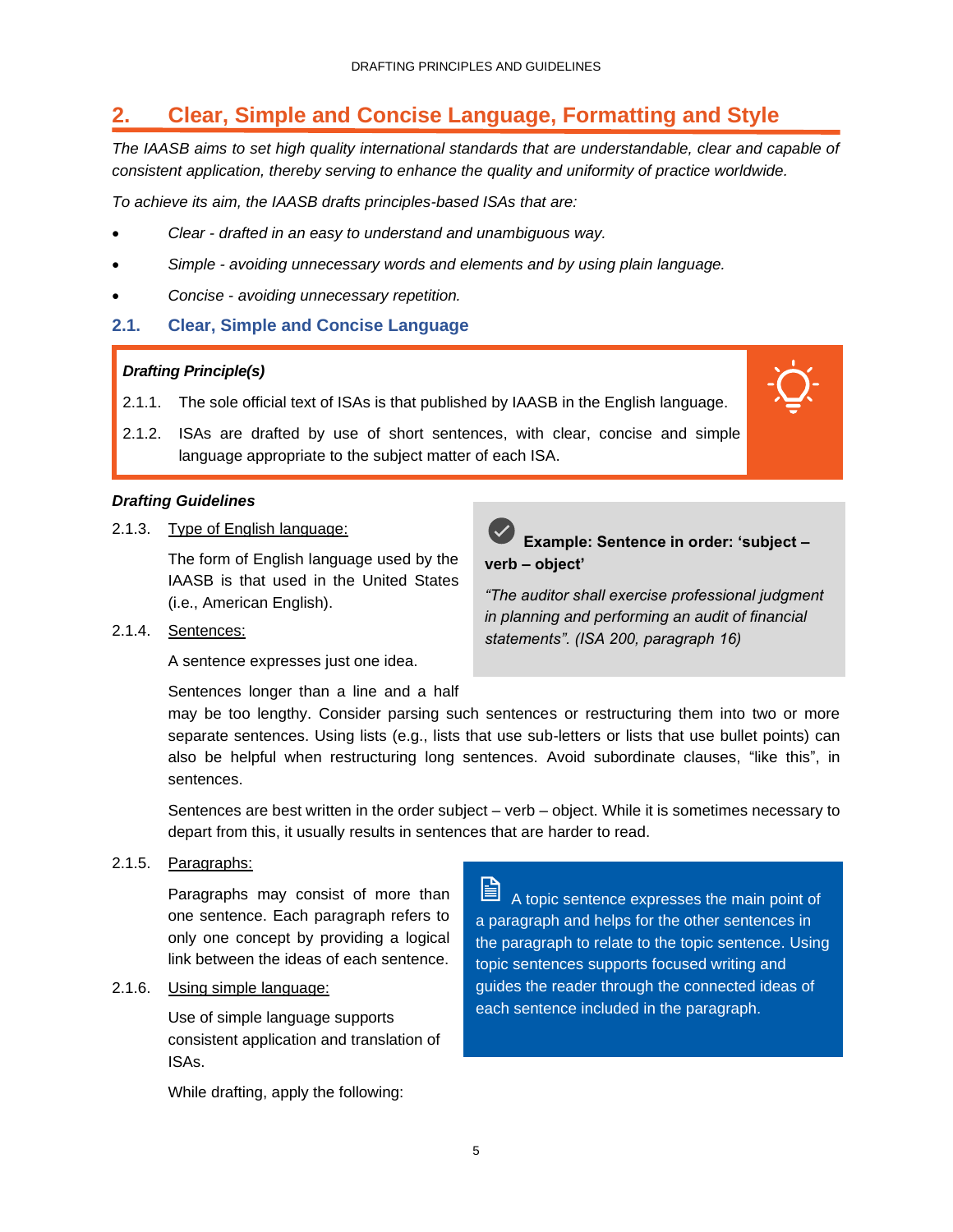### <span id="page-7-0"></span>**2. Clear, Simple and Concise Language, Formatting and Style**

*The IAASB aims to set high quality international standards that are understandable, clear and capable of consistent application, thereby serving to enhance the quality and uniformity of practice worldwide.* 

*To achieve its aim, the IAASB drafts principles-based ISAs that are:*

- *Clear - drafted in an easy to understand and unambiguous way.*
- *Simple - avoiding unnecessary words and elements and by using plain language.*
- *Concise - avoiding unnecessary repetition.*
- **2.1. Clear, Simple and Concise Language**

### *Drafting Principle(s)*

- 2.1.1. The sole official text of ISAs is that published by IAASB in the English language.
- 2.1.2. ISAs are drafted by use of short sentences, with clear, concise and simple language appropriate to the subject matter of each ISA.

### *Drafting Guidelines*

2.1.3. Type of English language:

The form of English language used by the IAASB is that used in the United States (i.e., American English).

2.1.4. Sentences:

A sentence expresses just one idea.

Sentences longer than a line and a half



**Example: Sentence in order: 'subject – verb – object'**

*"The auditor shall exercise professional judgment in planning and performing an audit of financial statements". (ISA 200, paragraph 16)*

may be too lengthy. Consider parsing such sentences or restructuring them into two or more separate sentences. Using lists (e.g., lists that use sub-letters or lists that use bullet points) can also be helpful when restructuring long sentences. Avoid subordinate clauses, "like this", in sentences.

Sentences are best written in the order subject – verb – object. While it is sometimes necessary to depart from this, it usually results in sentences that are harder to read.

2.1.5. Paragraphs:

Paragraphs may consist of more than one sentence. Each paragraph refers to only one concept by providing a logical link between the ideas of each sentence.

2.1.6. Using simple language:

Use of simple language supports consistent application and translation of ISAs.

While drafting, apply the following:

H A topic sentence expresses the main point of a paragraph and helps for the other sentences in the paragraph to relate to the topic sentence. Using topic sentences supports focused writing and guides the reader through the connected ideas of each sentence included in the paragraph.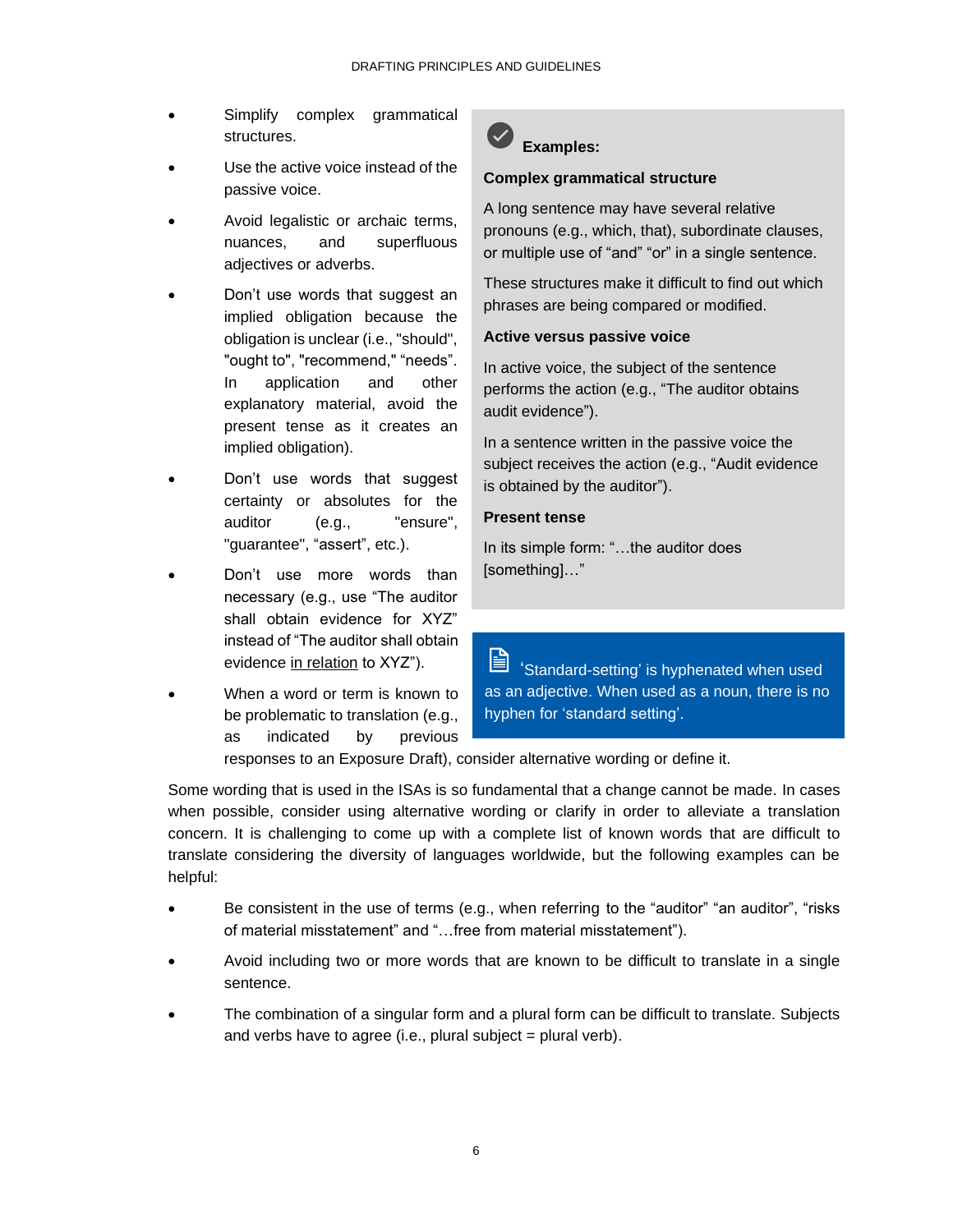- Simplify complex grammatical structures.
- Use the active voice instead of the passive voice.
- Avoid legalistic or archaic terms, nuances, and superfluous adjectives or adverbs.
- Don't use words that suggest an implied obligation because the obligation is unclear (i.e., "should", "ought to", "recommend," "needs". In application and other explanatory material, avoid the present tense as it creates an implied obligation).
- Don't use words that suggest certainty or absolutes for the auditor (e.g., "ensure", "guarantee", "assert", etc.).
- Don't use more words than necessary (e.g., use "The auditor shall obtain evidence for XYZ" instead of "The auditor shall obtain evidence in relation to XYZ").
- When a word or term is known to be problematic to translation (e.g., as indicated by previous



### **Complex grammatical structure**

A long sentence may have several relative pronouns (e.g., which, that), subordinate clauses, or multiple use of "and" "or" in a single sentence.

These structures make it difficult to find out which phrases are being compared or modified.

### **Active versus passive voice**

In active voice, the subject of the sentence performs the action (e.g., "The auditor obtains audit evidence").

In a sentence written in the passive voice the subject receives the action (e.g., "Audit evidence is obtained by the auditor").

#### **Present tense**

In its simple form: "…the auditor does [something]…"

訚 'Standard-setting' is hyphenated when used as an adjective. When used as a noun, there is no hyphen for 'standard setting'.

responses to an Exposure Draft), consider alternative wording or define it.

Some wording that is used in the ISAs is so fundamental that a change cannot be made. In cases when possible, consider using alternative wording or clarify in order to alleviate a translation concern. It is challenging to come up with a complete list of known words that are difficult to translate considering the diversity of languages worldwide, but the following examples can be helpful:

- Be consistent in the use of terms (e.g., when referring to the "auditor" "an auditor", "risks of material misstatement" and "…free from material misstatement").
- Avoid including two or more words that are known to be difficult to translate in a single sentence.
- The combination of a singular form and a plural form can be difficult to translate. Subjects and verbs have to agree (i.e., plural subject = plural verb).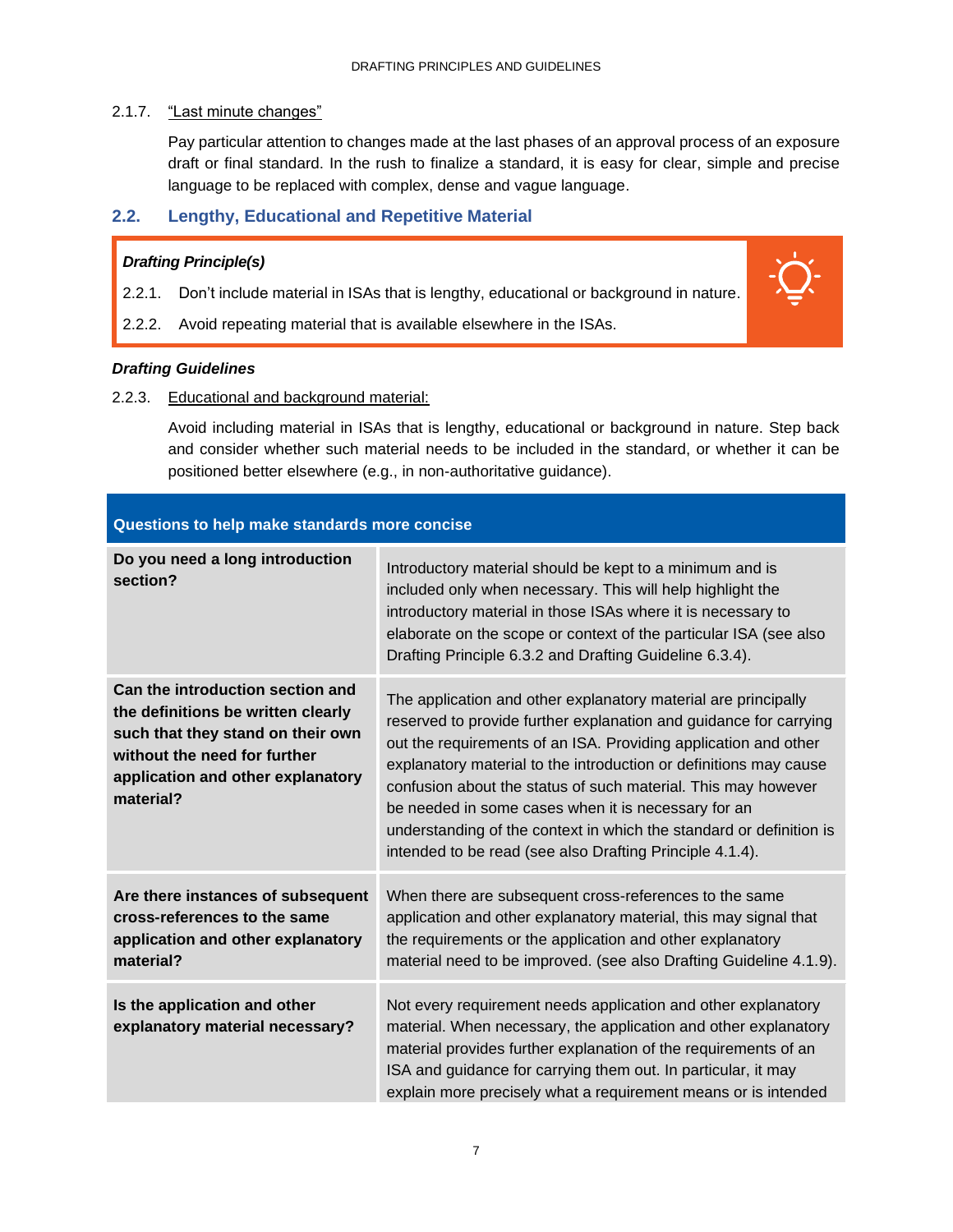### 2.1.7. "Last minute changes"

Pay particular attention to changes made at the last phases of an approval process of an exposure draft or final standard. In the rush to finalize a standard, it is easy for clear, simple and precise language to be replaced with complex, dense and vague language.

### **2.2. Lengthy, Educational and Repetitive Material**

### *Drafting Principle(s)*

- 2.2.1. Don't include material in ISAs that is lengthy, educational or background in nature.
- 2.2.2. Avoid repeating material that is available elsewhere in the ISAs.

### *Drafting Guidelines*

2.2.3. Educational and background material:

Avoid including material in ISAs that is lengthy, educational or background in nature. Step back and consider whether such material needs to be included in the standard, or whether it can be positioned better elsewhere (e.g., in non-authoritative guidance).

| Questions to help make standards more concise                                                                                                                                                 |                                                                                                                                                                                                                                                                                                                                                                                                                                                                                                                                        |
|-----------------------------------------------------------------------------------------------------------------------------------------------------------------------------------------------|----------------------------------------------------------------------------------------------------------------------------------------------------------------------------------------------------------------------------------------------------------------------------------------------------------------------------------------------------------------------------------------------------------------------------------------------------------------------------------------------------------------------------------------|
| Do you need a long introduction<br>section?                                                                                                                                                   | Introductory material should be kept to a minimum and is<br>included only when necessary. This will help highlight the<br>introductory material in those ISAs where it is necessary to<br>elaborate on the scope or context of the particular ISA (see also<br>Drafting Principle 6.3.2 and Drafting Guideline 6.3.4).                                                                                                                                                                                                                 |
| Can the introduction section and<br>the definitions be written clearly<br>such that they stand on their own<br>without the need for further<br>application and other explanatory<br>material? | The application and other explanatory material are principally<br>reserved to provide further explanation and guidance for carrying<br>out the requirements of an ISA. Providing application and other<br>explanatory material to the introduction or definitions may cause<br>confusion about the status of such material. This may however<br>be needed in some cases when it is necessary for an<br>understanding of the context in which the standard or definition is<br>intended to be read (see also Drafting Principle 4.1.4). |
| Are there instances of subsequent<br>cross-references to the same<br>application and other explanatory<br>material?                                                                           | When there are subsequent cross-references to the same<br>application and other explanatory material, this may signal that<br>the requirements or the application and other explanatory<br>material need to be improved. (see also Drafting Guideline 4.1.9).                                                                                                                                                                                                                                                                          |
| Is the application and other<br>explanatory material necessary?                                                                                                                               | Not every requirement needs application and other explanatory<br>material. When necessary, the application and other explanatory<br>material provides further explanation of the requirements of an<br>ISA and guidance for carrying them out. In particular, it may<br>explain more precisely what a requirement means or is intended                                                                                                                                                                                                 |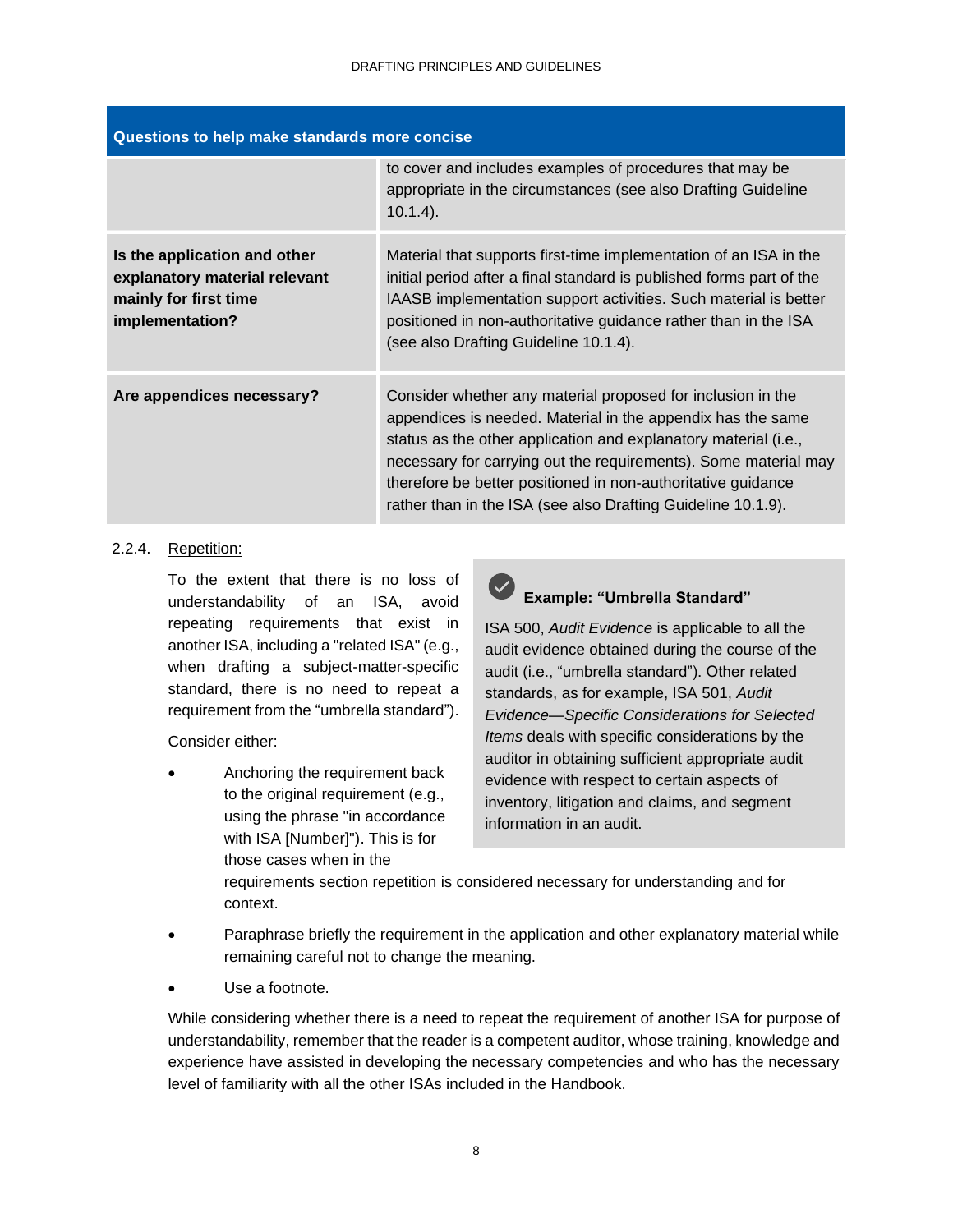| Questions to help make standards more concise                                                             |                                                                                                                                                                                                                                                                                                                                                                                                  |  |  |
|-----------------------------------------------------------------------------------------------------------|--------------------------------------------------------------------------------------------------------------------------------------------------------------------------------------------------------------------------------------------------------------------------------------------------------------------------------------------------------------------------------------------------|--|--|
|                                                                                                           | to cover and includes examples of procedures that may be<br>appropriate in the circumstances (see also Drafting Guideline<br>$10.1.4$ ).                                                                                                                                                                                                                                                         |  |  |
| Is the application and other<br>explanatory material relevant<br>mainly for first time<br>implementation? | Material that supports first-time implementation of an ISA in the<br>initial period after a final standard is published forms part of the<br>IAASB implementation support activities. Such material is better<br>positioned in non-authoritative guidance rather than in the ISA<br>(see also Drafting Guideline 10.1.4).                                                                        |  |  |
| Are appendices necessary?                                                                                 | Consider whether any material proposed for inclusion in the<br>appendices is needed. Material in the appendix has the same<br>status as the other application and explanatory material (i.e.,<br>necessary for carrying out the requirements). Some material may<br>therefore be better positioned in non-authoritative guidance<br>rather than in the ISA (see also Drafting Guideline 10.1.9). |  |  |

### 2.2.4. Repetition:

To the extent that there is no loss of understandability of an ISA, avoid repeating requirements that exist in another ISA, including a "related ISA" (e.g., when drafting a subject-matter-specific standard, there is no need to repeat a requirement from the "umbrella standard").

Consider either:

• Anchoring the requirement back to the original requirement (e.g., using the phrase "in accordance with ISA [Number]"). This is for those cases when in the



### **Example: "Umbrella Standard"**

ISA 500, *Audit Evidence* is applicable to all the audit evidence obtained during the course of the audit (i.e., "umbrella standard"). Other related standards, as for example, ISA 501, *Audit Evidence—Specific Considerations for Selected Items* deals with specific considerations by the auditor in obtaining sufficient appropriate audit evidence with respect to certain aspects of inventory, litigation and claims, and segment information in an audit.

requirements section repetition is considered necessary for understanding and for context.

- Paraphrase briefly the requirement in the application and other explanatory material while remaining careful not to change the meaning.
- Use a footnote.

While considering whether there is a need to repeat the requirement of another ISA for purpose of understandability, remember that the reader is a competent auditor, whose training, knowledge and experience have assisted in developing the necessary competencies and who has the necessary level of familiarity with all the other ISAs included in the Handbook.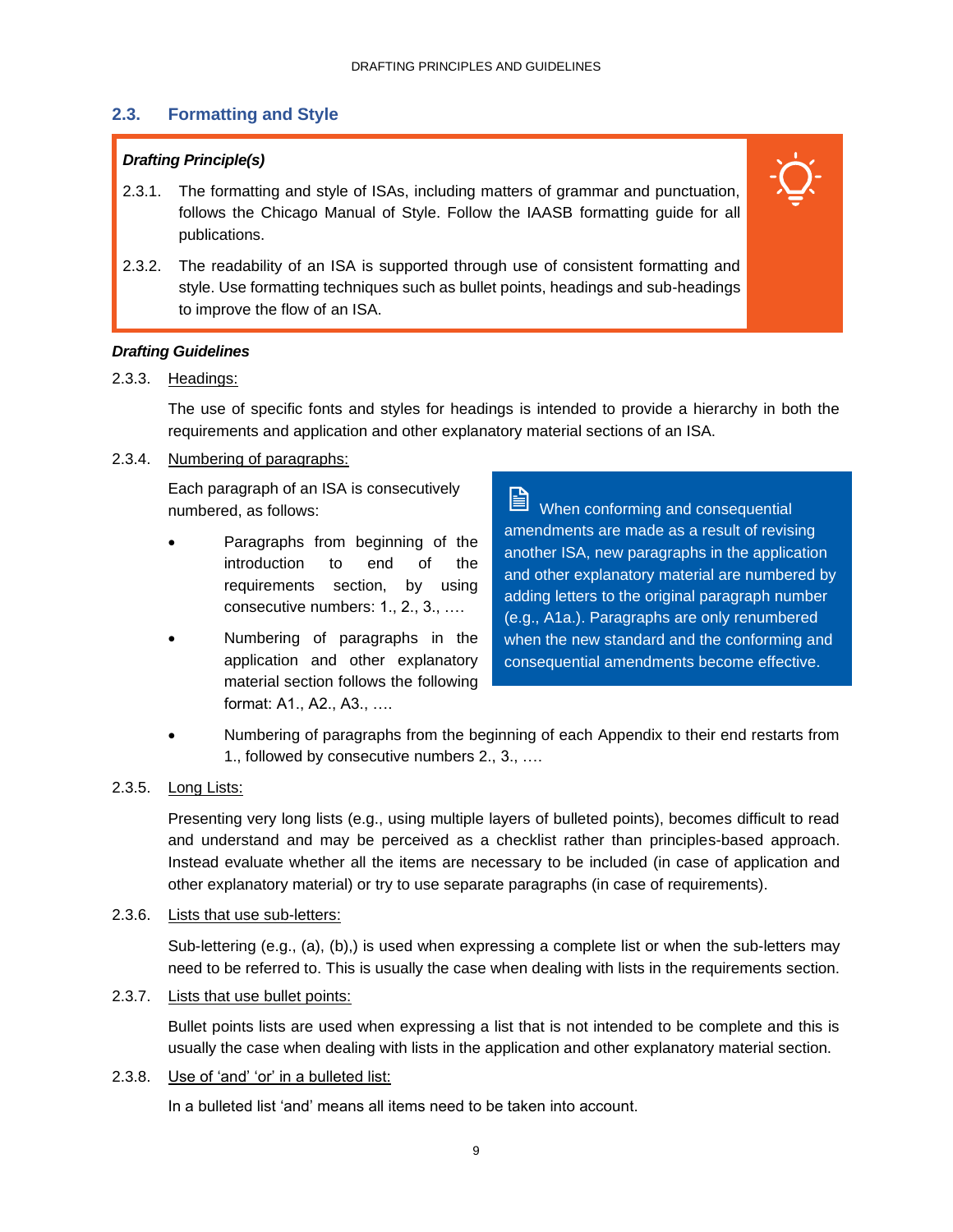### **2.3. Formatting and Style**

### *Drafting Principle(s)*

- 2.3.1. The formatting and style of ISAs, including matters of grammar and punctuation, follows the Chicago Manual of Style. Follow the IAASB formatting guide for all publications.
- 2.3.2. The readability of an ISA is supported through use of consistent formatting and style. Use formatting techniques such as bullet points, headings and sub-headings to improve the flow of an ISA.

### *Drafting Guidelines*

### 2.3.3. Headings:

The use of specific fonts and styles for headings is intended to provide a hierarchy in both the requirements and application and other explanatory material sections of an ISA.

### 2.3.4. Numbering of paragraphs:

Each paragraph of an ISA is consecutively numbered, as follows:

- Paragraphs from beginning of the introduction to end of the requirements section, by using consecutive numbers: 1., 2., 3., ….
- Numbering of paragraphs in the application and other explanatory material section follows the following format: A1., A2., A3., ….

When conforming and consequential amendments are made as a result of revising another ISA, new paragraphs in the application and other explanatory material are numbered by adding letters to the original paragraph number (e.g., A1a.). Paragraphs are only renumbered when the new standard and the conforming and consequential amendments become effective.

• Numbering of paragraphs from the beginning of each Appendix to their end restarts from 1., followed by consecutive numbers 2., 3., ….

### 2.3.5. Long Lists:

Presenting very long lists (e.g., using multiple layers of bulleted points), becomes difficult to read and understand and may be perceived as a checklist rather than principles-based approach. Instead evaluate whether all the items are necessary to be included (in case of application and other explanatory material) or try to use separate paragraphs (in case of requirements).

#### 2.3.6. Lists that use sub-letters:

Sub-lettering (e.g., (a), (b),) is used when expressing a complete list or when the sub-letters may need to be referred to. This is usually the case when dealing with lists in the requirements section.

2.3.7. Lists that use bullet points:

Bullet points lists are used when expressing a list that is not intended to be complete and this is usually the case when dealing with lists in the application and other explanatory material section.

#### 2.3.8. Use of 'and' 'or' in a bulleted list:

In a bulleted list 'and' means all items need to be taken into account.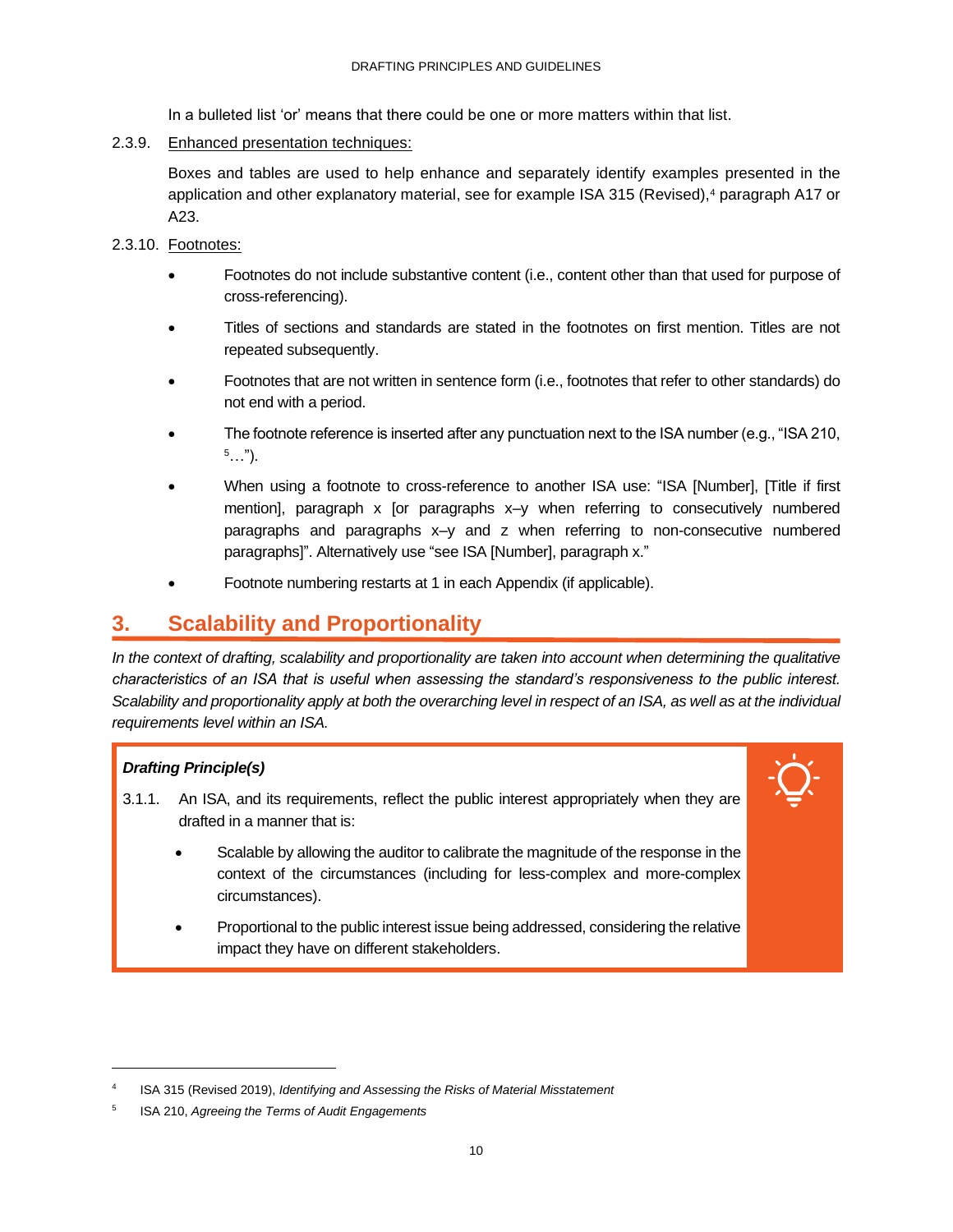In a bulleted list 'or' means that there could be one or more matters within that list.

### 2.3.9. Enhanced presentation techniques:

Boxes and tables are used to help enhance and separately identify examples presented in the application and other explanatory material, see for example ISA 315 (Revised),<sup>4</sup> paragraph A17 or A23.

- 2.3.10. Footnotes:
	- Footnotes do not include substantive content (i.e., content other than that used for purpose of cross-referencing).
	- Titles of sections and standards are stated in the footnotes on first mention. Titles are not repeated subsequently.
	- Footnotes that are not written in sentence form (i.e., footnotes that refer to other standards) do not end with a period.
	- The footnote reference is inserted after any punctuation next to the ISA number (e.g., "ISA 210,  $5...$ ").
	- When using a footnote to cross-reference to another ISA use: "ISA [Number], [Title if first mention], paragraph x [or paragraphs x–y when referring to consecutively numbered paragraphs and paragraphs x–y and z when referring to non-consecutive numbered paragraphs]". Alternatively use "see ISA [Number], paragraph x."
	- Footnote numbering restarts at 1 in each Appendix (if applicable).

### <span id="page-12-0"></span>**3. Scalability and Proportionality**

*In the context of drafting, scalability and proportionality are taken into account when determining the qualitative characteristics of an ISA that is useful when assessing the standard's responsiveness to the public interest. Scalability and proportionality apply at both the overarching level in respect of an ISA, as well as at the individual requirements level within an ISA.* 

### *Drafting Principle(s)*

- 3.1.1. An ISA, and its requirements, reflect the public interest appropriately when they are drafted in a manner that is:
	- Scalable by allowing the auditor to calibrate the magnitude of the response in the context of the circumstances (including for less-complex and more-complex circumstances).
	- Proportional to the public interest issue being addressed, considering the relative impact they have on different stakeholders.

<sup>4</sup> ISA 315 (Revised 2019), *Identifying and Assessing the Risks of Material Misstatement*

<sup>5</sup> ISA 210, *Agreeing the Terms of Audit Engagements*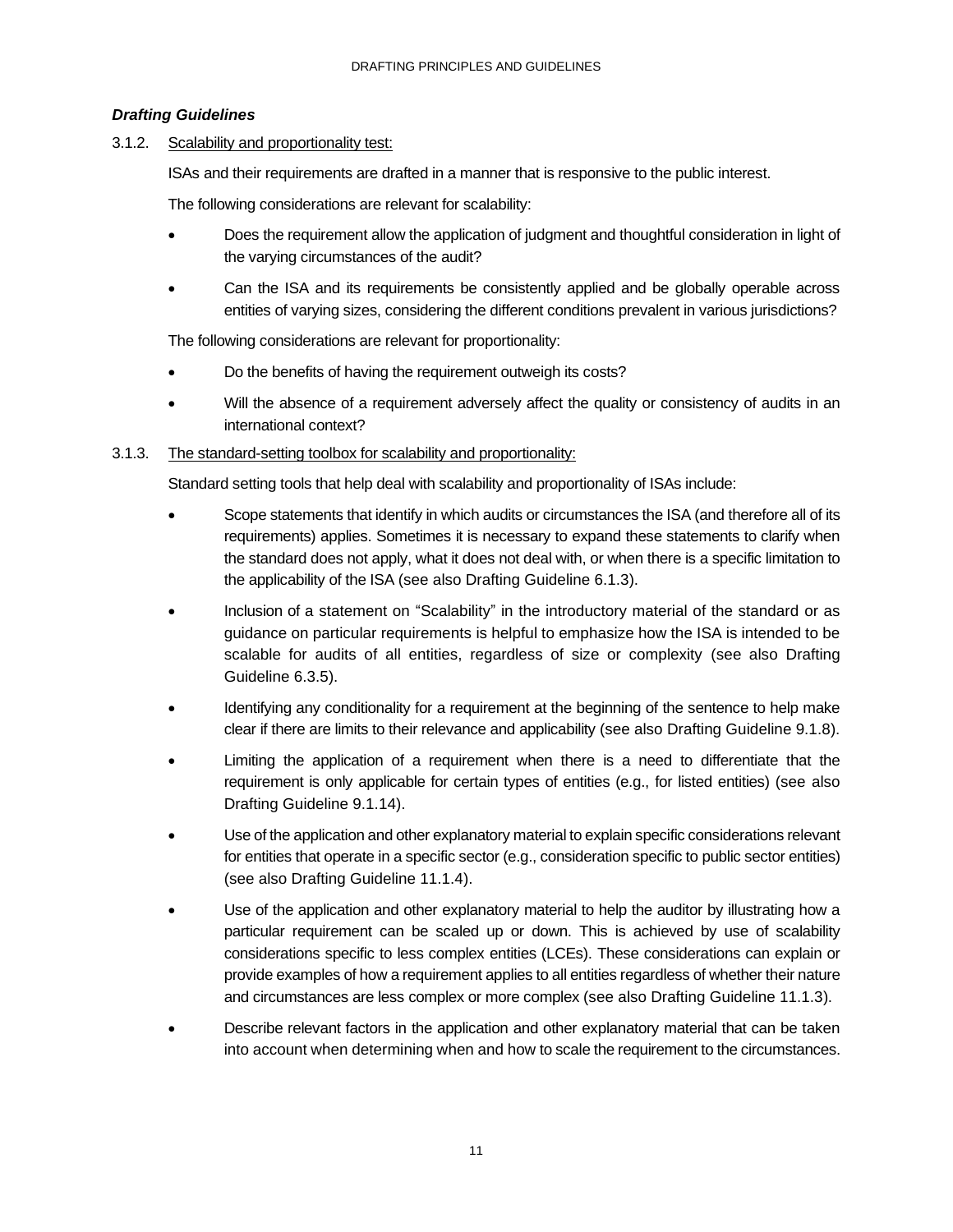### *Drafting Guidelines*

3.1.2. Scalability and proportionality test:

ISAs and their requirements are drafted in a manner that is responsive to the public interest.

The following considerations are relevant for scalability:

- Does the requirement allow the application of judgment and thoughtful consideration in light of the varying circumstances of the audit?
- Can the ISA and its requirements be consistently applied and be globally operable across entities of varying sizes, considering the different conditions prevalent in various jurisdictions?

The following considerations are relevant for proportionality:

- Do the benefits of having the requirement outweigh its costs?
- Will the absence of a requirement adversely affect the quality or consistency of audits in an international context?

### 3.1.3. The standard-setting toolbox for scalability and proportionality:

Standard setting tools that help deal with scalability and proportionality of ISAs include:

- Scope statements that identify in which audits or circumstances the ISA (and therefore all of its requirements) applies. Sometimes it is necessary to expand these statements to clarify when the standard does not apply, what it does not deal with, or when there is a specific limitation to the applicability of the ISA (see also Drafting Guideline 6.1.3).
- Inclusion of a statement on "Scalability" in the introductory material of the standard or as guidance on particular requirements is helpful to emphasize how the ISA is intended to be scalable for audits of all entities, regardless of size or complexity (see also Drafting Guideline 6.3.5).
- Identifying any conditionality for a requirement at the beginning of the sentence to help make clear if there are limits to their relevance and applicability (see also Drafting Guideline 9.1.8).
- Limiting the application of a requirement when there is a need to differentiate that the requirement is only applicable for certain types of entities (e.g., for listed entities) (see also Drafting Guideline 9.1.14).
- Use of the application and other explanatory material to explain specific considerations relevant for entities that operate in a specific sector (e.g., consideration specific to public sector entities) (see also Drafting Guideline 11.1.4).
- Use of the application and other explanatory material to help the auditor by illustrating how a particular requirement can be scaled up or down. This is achieved by use of scalability considerations specific to less complex entities (LCEs). These considerations can explain or provide examples of how a requirement applies to all entities regardless of whether their nature and circumstances are less complex or more complex (see also Drafting Guideline 11.1.3).
- Describe relevant factors in the application and other explanatory material that can be taken into account when determining when and how to scale the requirement to the circumstances.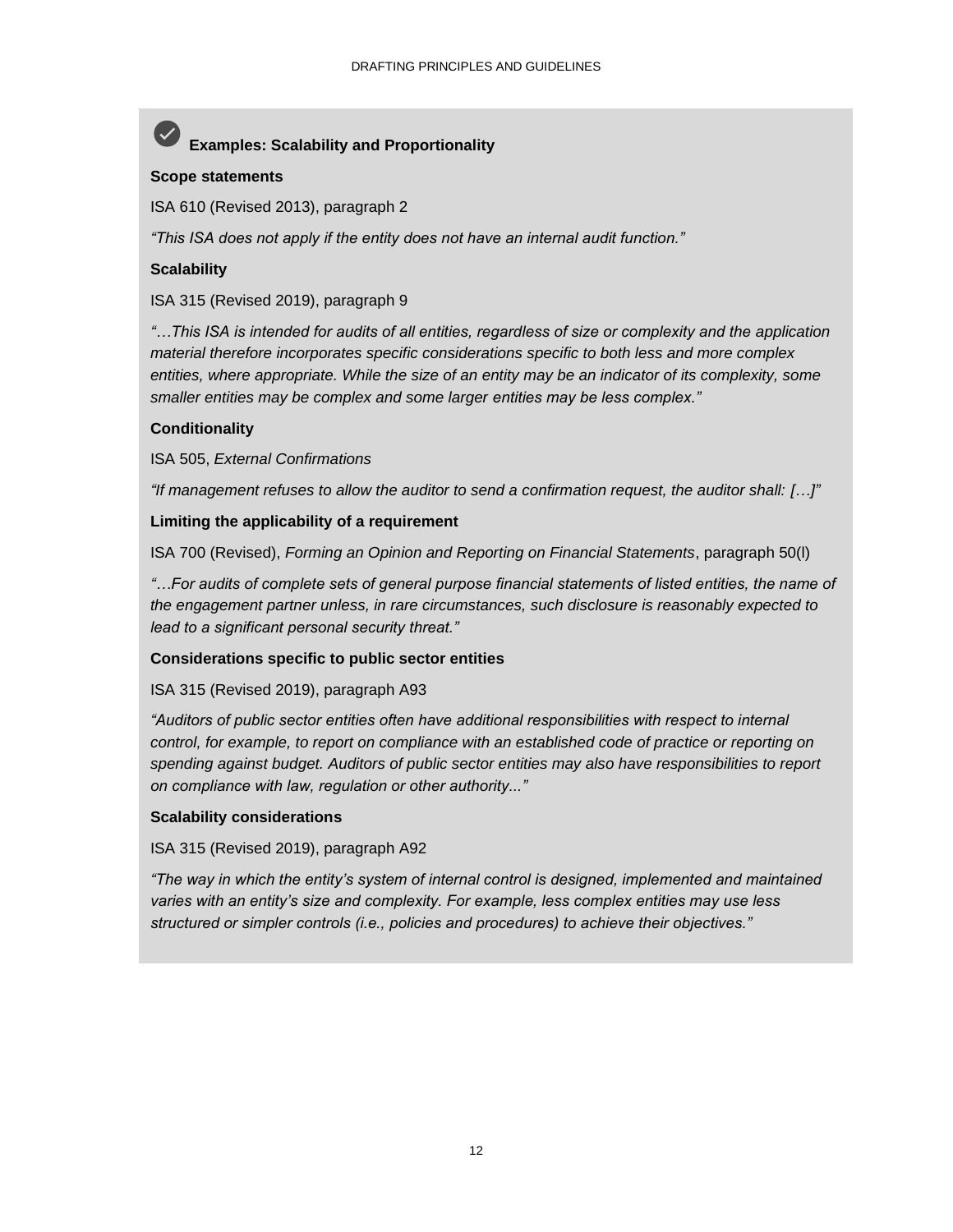### **Examples: Scalability and Proportionality**

### **Scope statements**

ISA 610 (Revised 2013), paragraph 2

*"This ISA does not apply if the entity does not have an internal audit function."*

### **Scalability**

ISA 315 (Revised 2019), paragraph 9

*"…This ISA is intended for audits of all entities, regardless of size or complexity and the application material therefore incorporates specific considerations specific to both less and more complex entities, where appropriate. While the size of an entity may be an indicator of its complexity, some smaller entities may be complex and some larger entities may be less complex."*

### **Conditionality**

ISA 505, *External Confirmations*

*"If management refuses to allow the auditor to send a confirmation request, the auditor shall: […]"*

### **Limiting the applicability of a requirement**

ISA 700 (Revised), *Forming an Opinion and Reporting on Financial Statements*, paragraph 50(l)

*"…For audits of complete sets of general purpose financial statements of listed entities, the name of the engagement partner unless, in rare circumstances, such disclosure is reasonably expected to lead to a significant personal security threat."*

### **Considerations specific to public sector entities**

### ISA 315 (Revised 2019), paragraph A93

*"Auditors of public sector entities often have additional responsibilities with respect to internal control, for example, to report on compliance with an established code of practice or reporting on spending against budget. Auditors of public sector entities may also have responsibilities to report on compliance with law, regulation or other authority..."*

### **Scalability considerations**

### ISA 315 (Revised 2019), paragraph A92

*"The way in which the entity's system of internal control is designed, implemented and maintained varies with an entity's size and complexity. For example, less complex entities may use less structured or simpler controls (i.e., policies and procedures) to achieve their objectives."*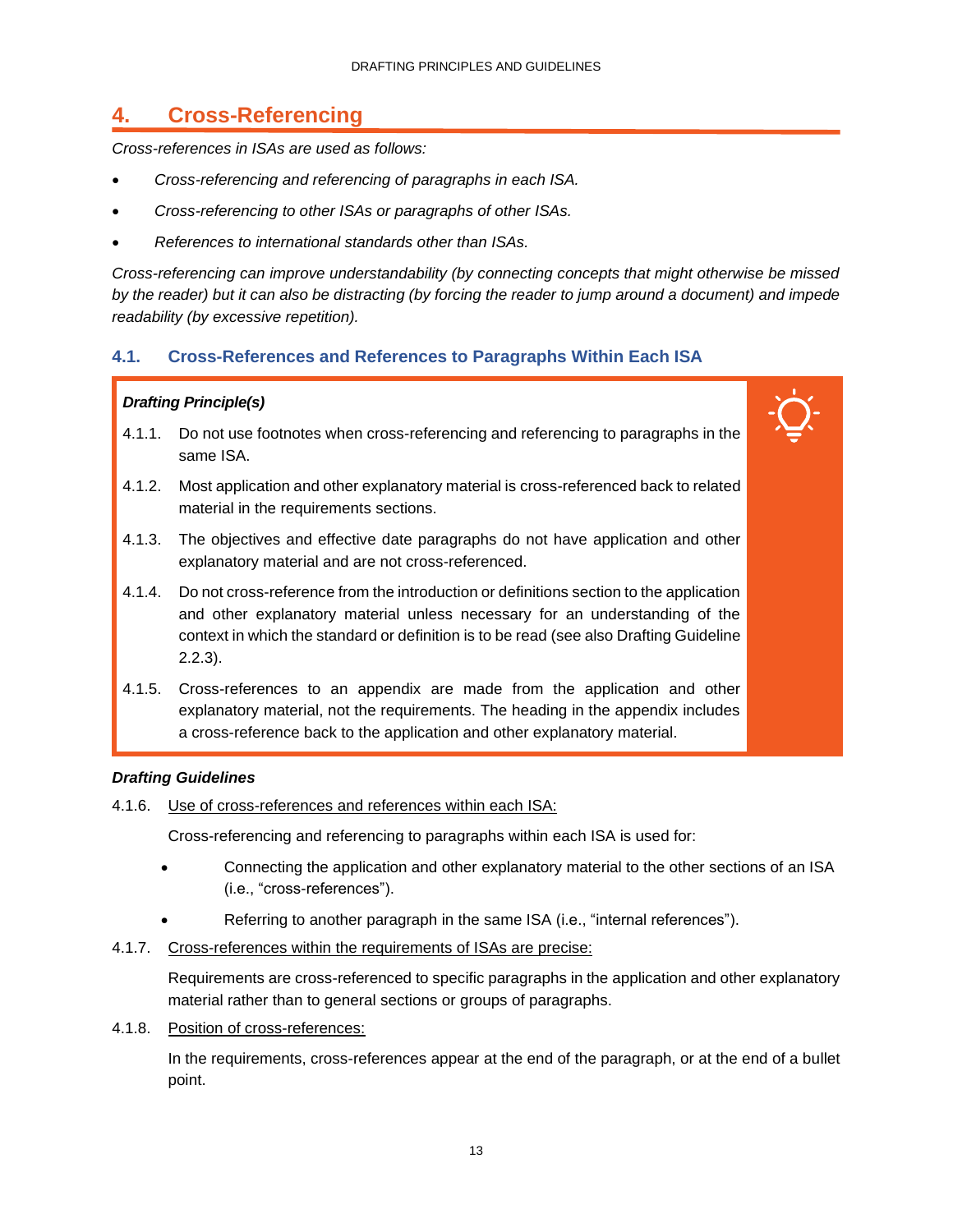### <span id="page-15-0"></span>**4. Cross-Referencing**

*Cross-references in ISAs are used as follows:*

- *Cross-referencing and referencing of paragraphs in each ISA.*
- *Cross-referencing to other ISAs or paragraphs of other ISAs.*
- *References to international standards other than ISAs.*

*Cross-referencing can improve understandability (by connecting concepts that might otherwise be missed by the reader) but it can also be distracting (by forcing the reader to jump around a document) and impede readability (by excessive repetition).* 

### **4.1. Cross-References and References to Paragraphs Within Each ISA**

### *Drafting Principle(s)*

- 4.1.1. Do not use footnotes when cross-referencing and referencing to paragraphs in the same ISA.
- 4.1.2. Most application and other explanatory material is cross-referenced back to related material in the requirements sections.
- 4.1.3. The objectives and effective date paragraphs do not have application and other explanatory material and are not cross-referenced.
- 4.1.4. Do not cross-reference from the introduction or definitions section to the application and other explanatory material unless necessary for an understanding of the context in which the standard or definition is to be read (see also Drafting Guideline 2.2.3).
- 4.1.5. Cross-references to an appendix are made from the application and other explanatory material, not the requirements. The heading in the appendix includes a cross-reference back to the application and other explanatory material.

### *Drafting Guidelines*

4.1.6. Use of cross-references and references within each ISA:

Cross-referencing and referencing to paragraphs within each ISA is used for:

- Connecting the application and other explanatory material to the other sections of an ISA (i.e., "cross-references").
- Referring to another paragraph in the same ISA (i.e., "internal references").
- 4.1.7. Cross-references within the requirements of ISAs are precise:

Requirements are cross-referenced to specific paragraphs in the application and other explanatory material rather than to general sections or groups of paragraphs.

4.1.8. Position of cross-references:

In the requirements, cross-references appear at the end of the paragraph, or at the end of a bullet point.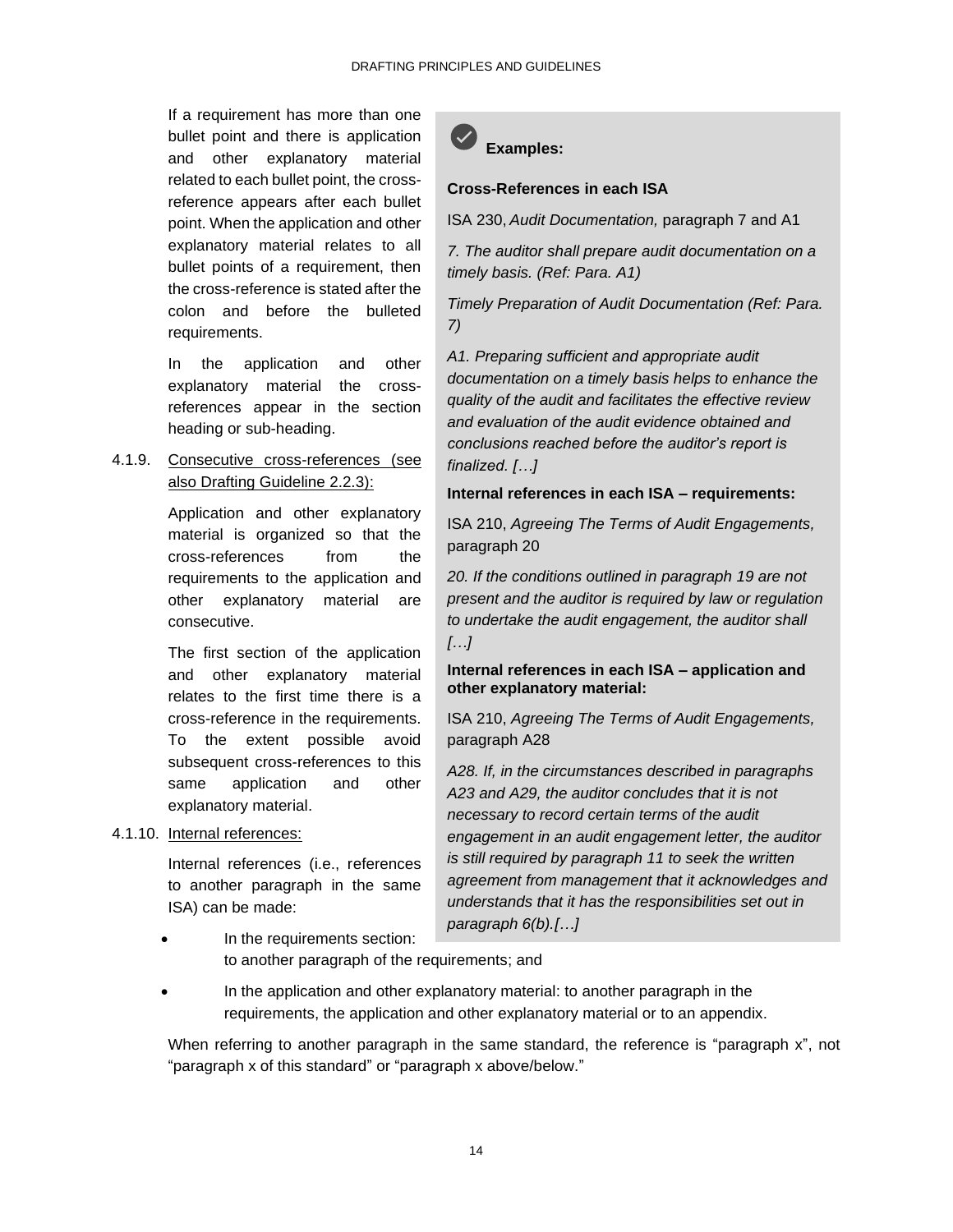If a requirement has more than one bullet point and there is application and other explanatory material related to each bullet point, the crossreference appears after each bullet point. When the application and other explanatory material relates to all bullet points of a requirement, then the cross-reference is stated after the colon and before the bulleted requirements.

In the application and other explanatory material the crossreferences appear in the section heading or sub-heading.

4.1.9. Consecutive cross-references (see also Drafting Guideline 2.2.3):

> Application and other explanatory material is organized so that the cross-references from the requirements to the application and other explanatory material are consecutive.

> The first section of the application and other explanatory material relates to the first time there is a cross-reference in the requirements. To the extent possible avoid subsequent cross-references to this same application and other explanatory material.

### 4.1.10. Internal references:

Internal references (i.e., references to another paragraph in the same ISA) can be made:



### **Cross-References in each ISA**

ISA 230, *Audit Documentation,* paragraph 7 and A1

*7. The auditor shall prepare audit documentation on a timely basis. (Ref: Para. A1)*

*Timely Preparation of Audit Documentation (Ref: Para. 7)*

*A1. Preparing sufficient and appropriate audit documentation on a timely basis helps to enhance the quality of the audit and facilitates the effective review and evaluation of the audit evidence obtained and conclusions reached before the auditor's report is finalized. […]*

**Internal references in each ISA – requirements:**

ISA 210, *Agreeing The Terms of Audit Engagements,*  paragraph 20

*20. If the conditions outlined in paragraph 19 are not present and the auditor is required by law or regulation to undertake the audit engagement, the auditor shall […]*

### **Internal references in each ISA – application and other explanatory material:**

ISA 210, *Agreeing The Terms of Audit Engagements,*  paragraph A28

*A28. If, in the circumstances described in paragraphs A23 and A29, the auditor concludes that it is not necessary to record certain terms of the audit engagement in an audit engagement letter, the auditor is still required by paragraph 11 to seek the written agreement from management that it acknowledges and understands that it has the responsibilities set out in paragraph 6(b).[…]*

- In the requirements section: to another paragraph of the requirements; and
- In the application and other explanatory material: to another paragraph in the requirements, the application and other explanatory material or to an appendix.

When referring to another paragraph in the same standard, the reference is "paragraph x", not "paragraph x of this standard" or "paragraph x above/below."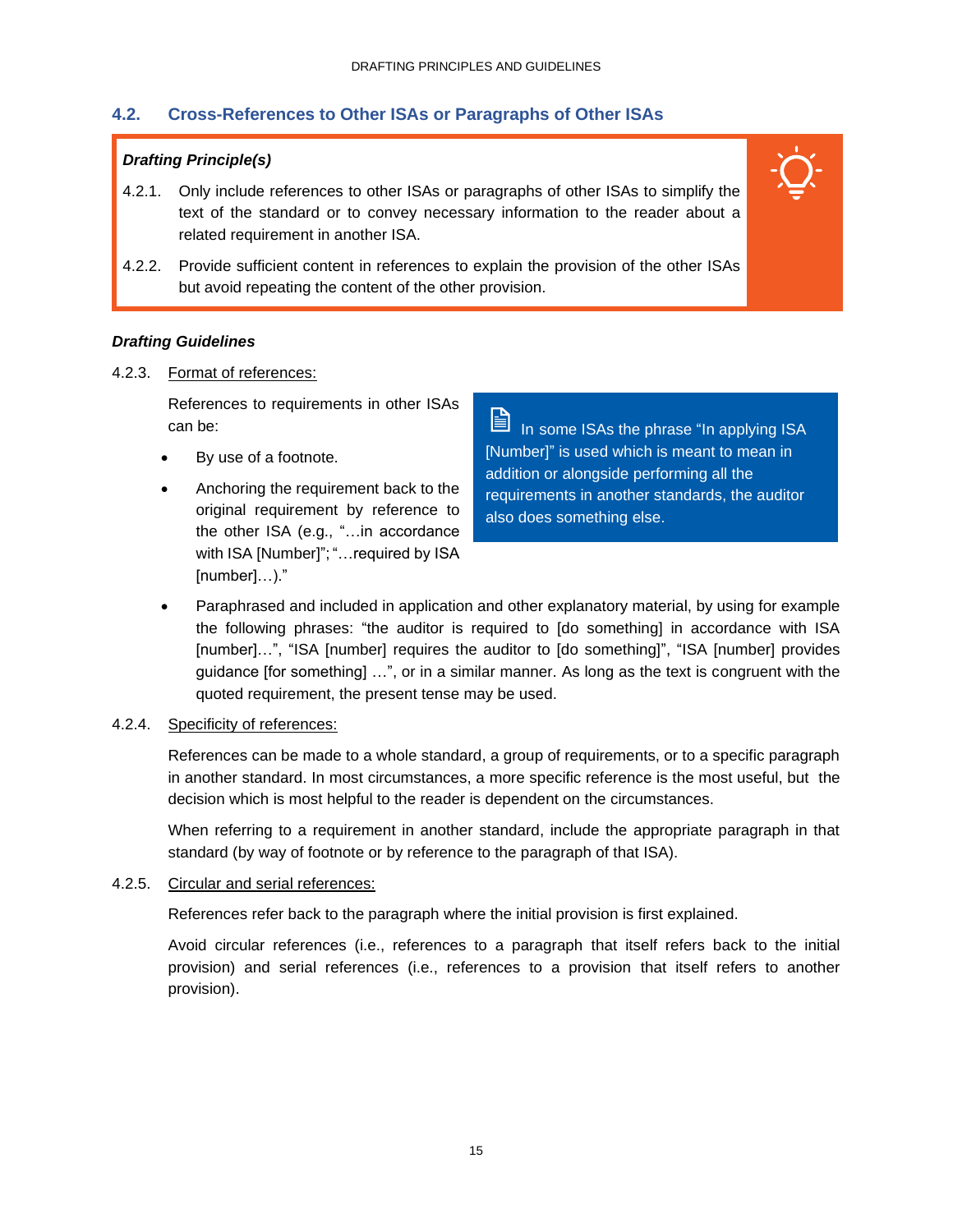### **4.2. Cross-References to Other ISAs or Paragraphs of Other ISAs**

### *Drafting Principle(s)*

- 4.2.1. Only include references to other ISAs or paragraphs of other ISAs to simplify the text of the standard or to convey necessary information to the reader about a related requirement in another ISA.
- 4.2.2. Provide sufficient content in references to explain the provision of the other ISAs but avoid repeating the content of the other provision.

### *Drafting Guidelines*

### 4.2.3. Format of references:

References to requirements in other ISAs can be:

- By use of a footnote.
- Anchoring the requirement back to the original requirement by reference to the other ISA (e.g., "…in accordance with ISA [Number]"; "...required by ISA [number]…)."

訚 In some ISAs the phrase "In applying ISA [Number]" is used which is meant to mean in addition or alongside performing all the requirements in another standards, the auditor also does something else.

• Paraphrased and included in application and other explanatory material, by using for example the following phrases: "the auditor is required to [do something] in accordance with ISA [number]...", "ISA [number] requires the auditor to [do something]", "ISA [number] provides guidance [for something] …", or in a similar manner. As long as the text is congruent with the quoted requirement, the present tense may be used.

### 4.2.4. Specificity of references:

References can be made to a whole standard, a group of requirements, or to a specific paragraph in another standard. In most circumstances, a more specific reference is the most useful, but the decision which is most helpful to the reader is dependent on the circumstances.

When referring to a requirement in another standard, include the appropriate paragraph in that standard (by way of footnote or by reference to the paragraph of that ISA).

### 4.2.5. Circular and serial references:

References refer back to the paragraph where the initial provision is first explained.

Avoid circular references (i.e., references to a paragraph that itself refers back to the initial provision) and serial references (i.e., references to a provision that itself refers to another provision).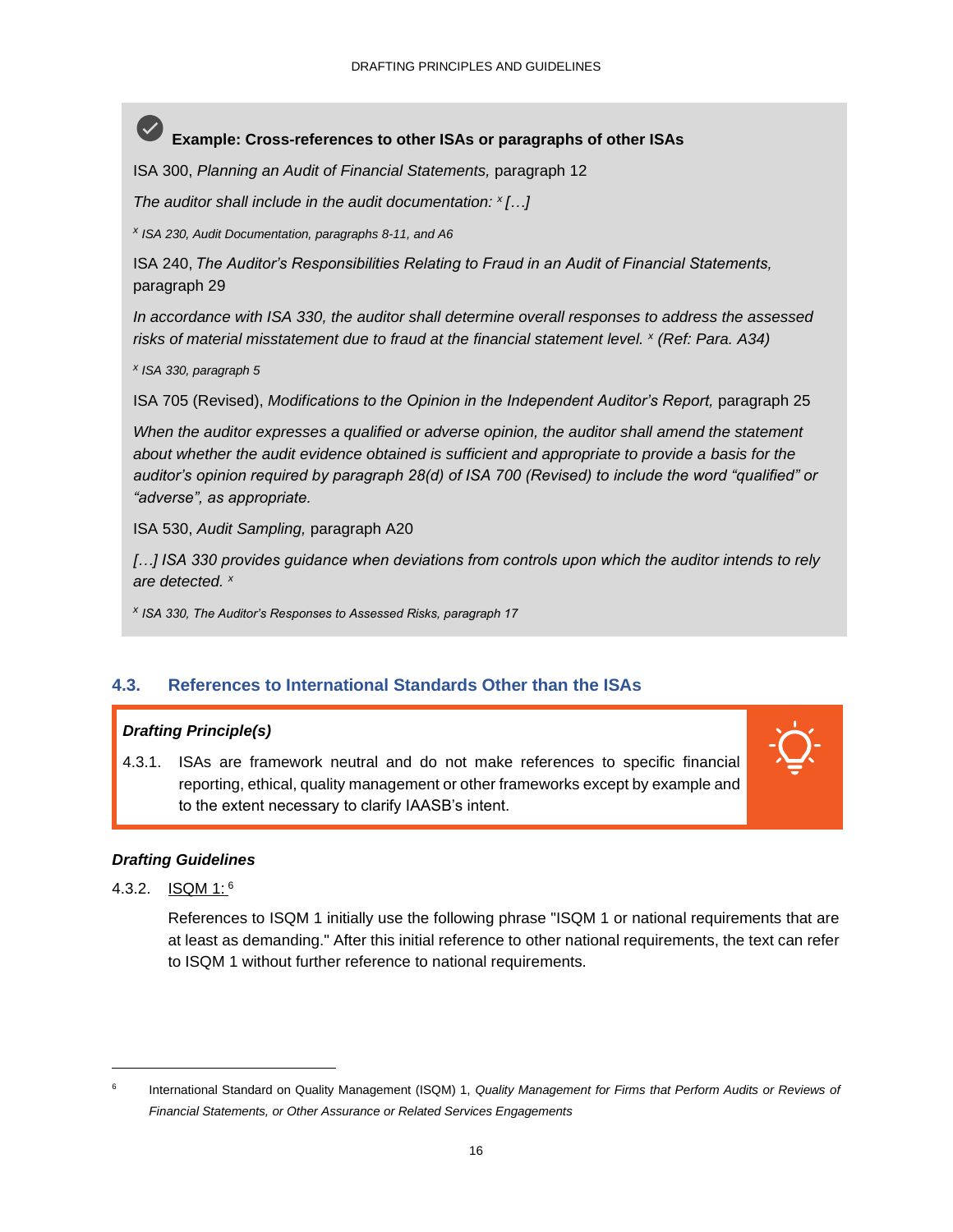### **Example: Cross-references to other ISAs or paragraphs of other ISAs**

ISA 300, *Planning an Audit of Financial Statements,* paragraph 12

*The auditor shall include in the audit documentation: <sup>x</sup>[…]*

*x ISA 230, Audit Documentation, paragraphs 8-11, and A6*

ISA 240, *The Auditor's Responsibilities Relating to Fraud in an Audit of Financial Statements,* paragraph 29

*In accordance with ISA 330, the auditor shall determine overall responses to address the assessed risks of material misstatement due to fraud at the financial statement level. <sup>x</sup> (Ref: Para. A34)*

*x ISA 330, paragraph 5*

ISA 705 (Revised), *Modifications to the Opinion in the Independent Auditor's Report,* paragraph 25

*When the auditor expresses a qualified or adverse opinion, the auditor shall amend the statement about whether the audit evidence obtained is sufficient and appropriate to provide a basis for the auditor's opinion required by paragraph 28(d) of ISA 700 (Revised) to include the word "qualified" or "adverse", as appropriate.*

ISA 530, *Audit Sampling,* paragraph A20

*[…] ISA 330 provides guidance when deviations from controls upon which the auditor intends to rely are detected. <sup>x</sup>*

*x ISA 330, The Auditor's Responses to Assessed Risks, paragraph 17*

### **4.3. References to International Standards Other than the ISAs**

### *Drafting Principle(s)*

4.3.1. ISAs are framework neutral and do not make references to specific financial reporting, ethical, quality management or other frameworks except by example and to the extent necessary to clarify IAASB's intent.



### *Drafting Guidelines*

4.3.2. ISQM 1: <sup>6</sup>

References to ISQM 1 initially use the following phrase "ISQM 1 or national requirements that are at least as demanding." After this initial reference to other national requirements, the text can refer to ISQM 1 without further reference to national requirements.

<sup>6</sup> International Standard on Quality Management (ISQM) 1, *Quality Management for Firms that Perform Audits or Reviews of Financial Statements, or Other Assurance or Related Services Engagements*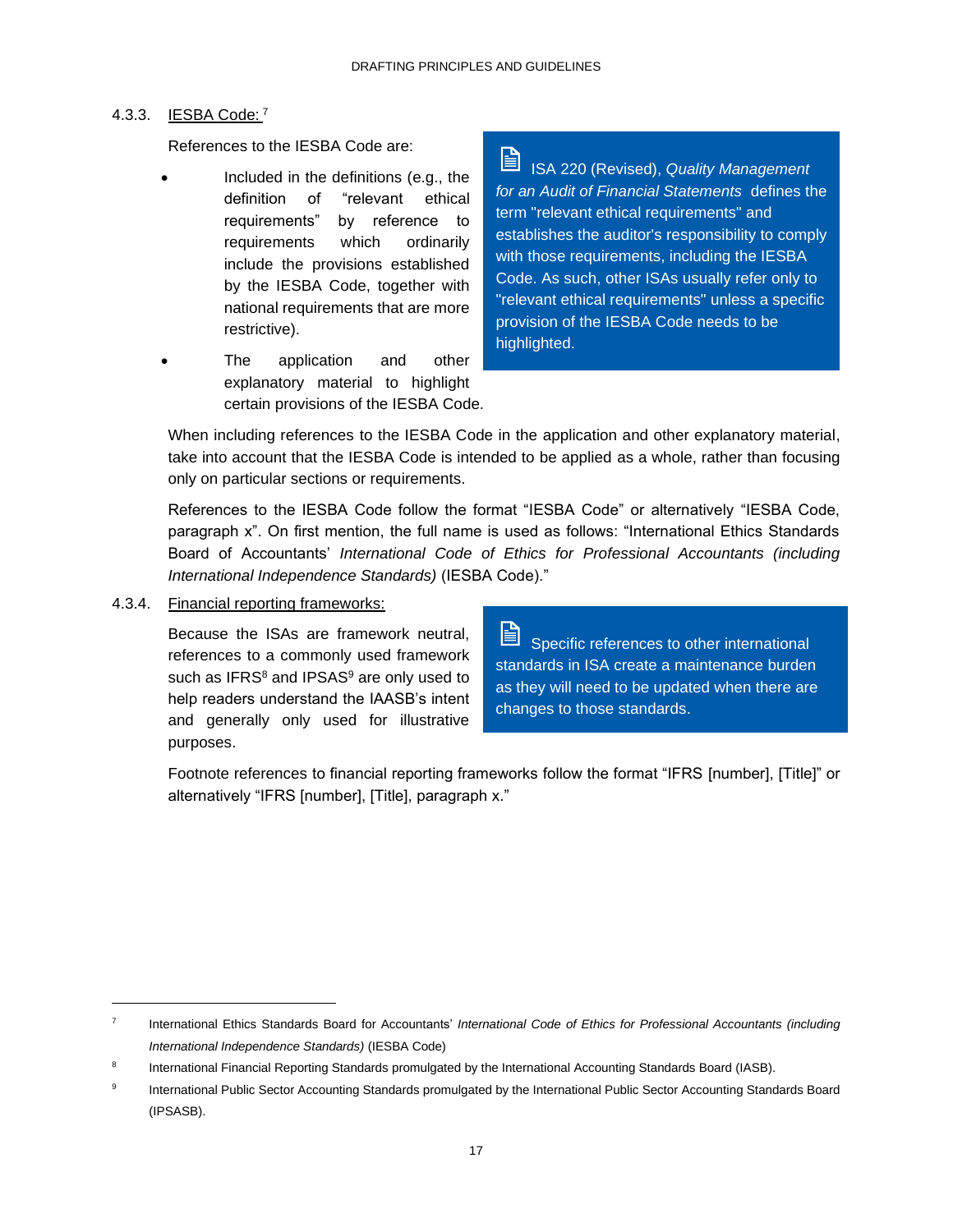### 4.3.3. IESBA Code: <sup>7</sup>

References to the IESBA Code are:

- Included in the definitions (e.g., the definition of "relevant ethical requirements" by reference to requirements which ordinarily include the provisions established by the IESBA Code, together with national requirements that are more restrictive).
- The application and other explanatory material to highlight certain provisions of the IESBA Code.

ISA 220 (Revised), *Quality Management for an Audit of Financial Statements* defines the term "relevant ethical requirements" and establishes the auditor's responsibility to comply with those requirements, including the IESBA Code. As such, other ISAs usually refer only to "relevant ethical requirements" unless a specific provision of the IESBA Code needs to be highlighted.

When including references to the IESBA Code in the application and other explanatory material, take into account that the IESBA Code is intended to be applied as a whole, rather than focusing only on particular sections or requirements.

References to the IESBA Code follow the format "IESBA Code" or alternatively "IESBA Code, paragraph x". On first mention, the full name is used as follows: "International Ethics Standards Board of Accountants' *International Code of Ethics for Professional Accountants (including International Independence Standards)* (IESBA Code)."

4.3.4. Financial reporting frameworks:

Because the ISAs are framework neutral, references to a commonly used framework such as IFRS<sup>8</sup> and IPSAS<sup>9</sup> are only used to help readers understand the IAASB's intent and generally only used for illustrative purposes.

旨 Specific references to other international standards in ISA create a maintenance burden as they will need to be updated when there are changes to those standards.

Footnote references to financial reporting frameworks follow the format "IFRS [number], [Title]" or alternatively "IFRS [number], [Title], paragraph x."

<sup>7</sup> International Ethics Standards Board for Accountants' *International Code of Ethics for Professional Accountants (including International Independence Standards)* (IESBA Code)

<sup>8</sup> International Financial Reporting Standards promulgated by the International Accounting Standards Board (IASB).

<sup>9</sup> International Public Sector Accounting Standards promulgated by the International Public Sector Accounting Standards Board (IPSASB).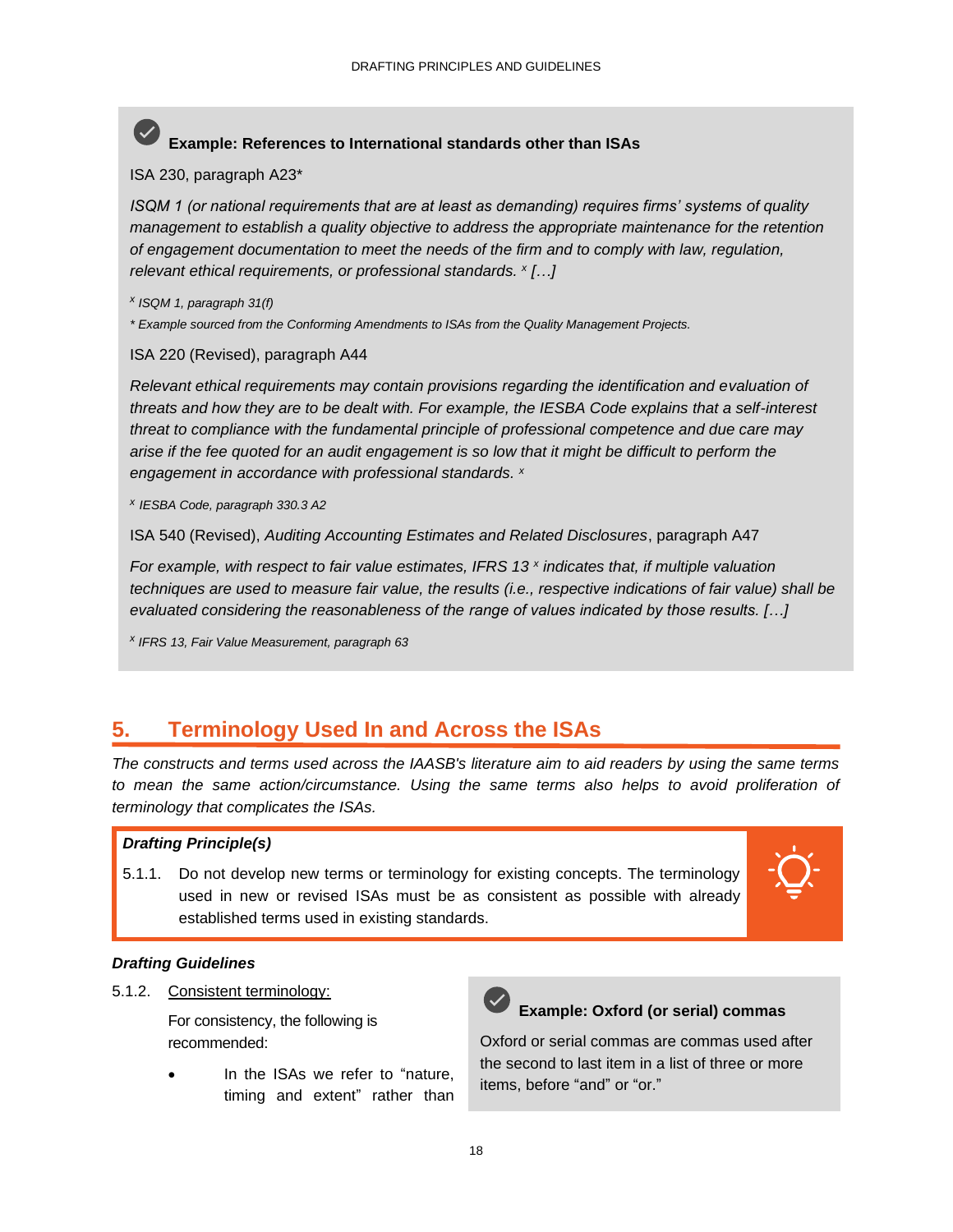# **Example: References to International standards other than ISAs**

ISA 230, paragraph A23\*

*ISQM 1 (or national requirements that are at least as demanding) requires firms' systems of quality management to establish a quality objective to address the appropriate maintenance for the retention of engagement documentation to meet the needs of the firm and to comply with law, regulation, relevant ethical requirements, or professional standards. <sup>x</sup> […]*

*x ISQM 1, paragraph 31(f)*

*\* Example sourced from the Conforming Amendments to ISAs from the Quality Management Projects.* 

ISA 220 (Revised), paragraph A44

*Relevant ethical requirements may contain provisions regarding the identification and evaluation of threats and how they are to be dealt with. For example, the IESBA Code explains that a self-interest threat to compliance with the fundamental principle of professional competence and due care may arise if the fee quoted for an audit engagement is so low that it might be difficult to perform the engagement in accordance with professional standards. <sup>x</sup>*

*x IESBA Code, paragraph 330.3 A2*

ISA 540 (Revised), *Auditing Accounting Estimates and Related Disclosures*, paragraph A47

*For example, with respect to fair value estimates, IFRS 13 <sup>x</sup> indicates that, if multiple valuation techniques are used to measure fair value, the results (i.e., respective indications of fair value) shall be evaluated considering the reasonableness of the range of values indicated by those results. […]*

*x IFRS 13, Fair Value Measurement, paragraph 63*

### <span id="page-20-0"></span>**5. Terminology Used In and Across the ISAs**

*The constructs and terms used across the IAASB's literature aim to aid readers by using the same terms*  to mean the same action/circumstance. Using the same terms also helps to avoid proliferation of *terminology that complicates the ISAs.*

### *Drafting Principle(s)*

5.1.1. Do not develop new terms or terminology for existing concepts. The terminology used in new or revised ISAs must be as consistent as possible with already established terms used in existing standards.



### *Drafting Guidelines*

5.1.2. Consistent terminology:

For consistency, the following is recommended:

In the ISAs we refer to "nature, timing and extent" rather than



### **Example: Oxford (or serial) commas**

Oxford or serial commas are commas used after the second to last item in a list of three or more items, before "and" or "or."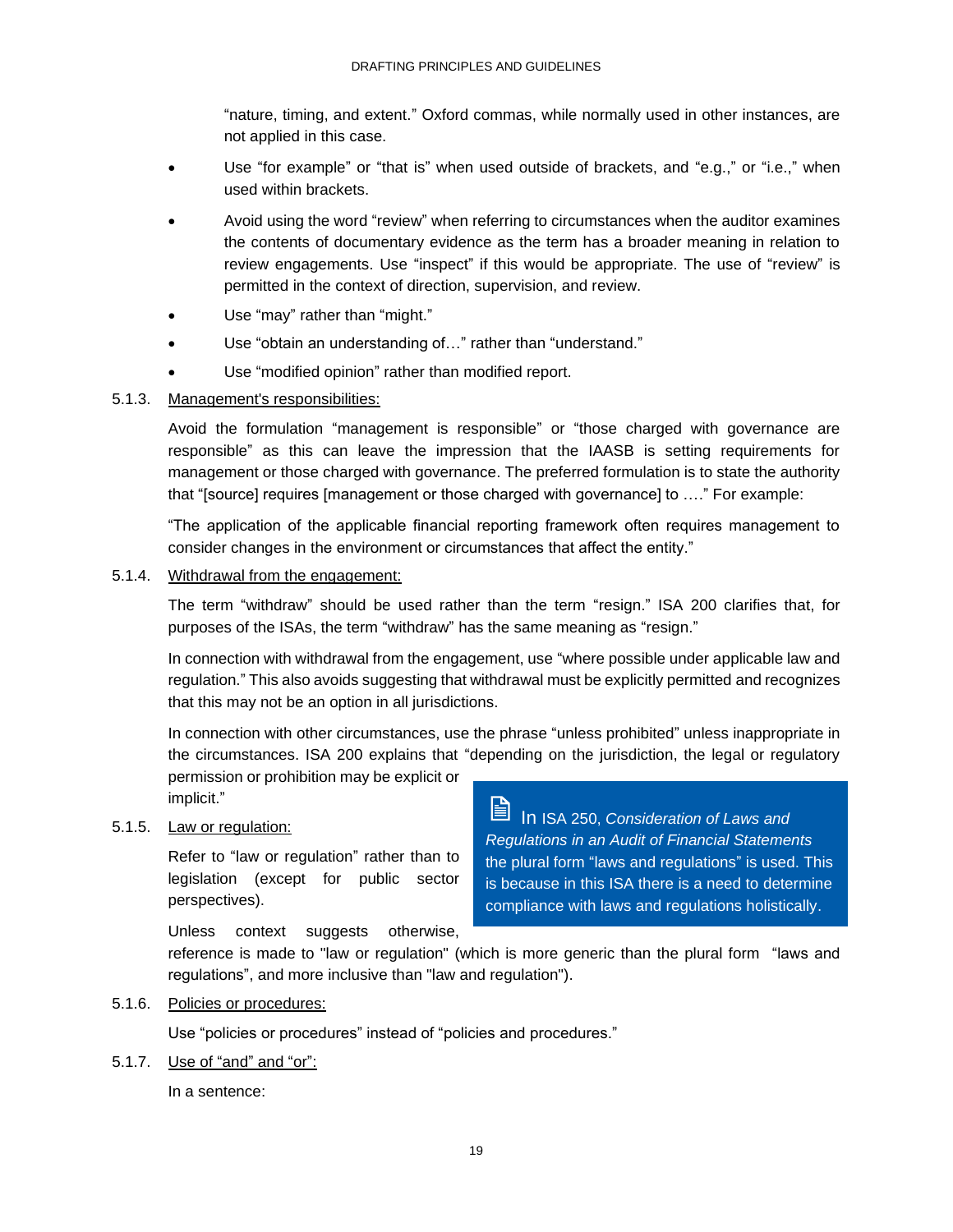"nature, timing, and extent." Oxford commas, while normally used in other instances, are not applied in this case.

- Use "for example" or "that is" when used outside of brackets, and "e.g.," or "i.e.," when used within brackets.
- Avoid using the word "review" when referring to circumstances when the auditor examines the contents of documentary evidence as the term has a broader meaning in relation to review engagements. Use "inspect" if this would be appropriate. The use of "review" is permitted in the context of direction, supervision, and review.
- Use "may" rather than "might."
- Use "obtain an understanding of..." rather than "understand."
- Use "modified opinion" rather than modified report.

### 5.1.3. Management's responsibilities:

Avoid the formulation "management is responsible" or "those charged with governance are responsible" as this can leave the impression that the IAASB is setting requirements for management or those charged with governance. The preferred formulation is to state the authority that "[source] requires [management or those charged with governance] to …." For example:

"The application of the applicable financial reporting framework often requires management to consider changes in the environment or circumstances that affect the entity."

### 5.1.4. Withdrawal from the engagement:

The term "withdraw" should be used rather than the term "resign." ISA 200 clarifies that, for purposes of the ISAs, the term "withdraw" has the same meaning as "resign."

In connection with withdrawal from the engagement, use "where possible under applicable law and regulation." This also avoids suggesting that withdrawal must be explicitly permitted and recognizes that this may not be an option in all jurisdictions.

In connection with other circumstances, use the phrase "unless prohibited" unless inappropriate in the circumstances. ISA 200 explains that "depending on the jurisdiction, the legal or regulatory

permission or prohibition may be explicit or implicit."

### 5.1.5. Law or regulation:

Refer to "law or regulation" rather than to legislation (except for public sector perspectives).

Unless context suggests otherwise,

reference is made to "law or regulation" (which is more generic than the plural form "laws and regulations", and more inclusive than "law and regulation").

### 5.1.6. Policies or procedures:

Use "policies or procedures" instead of "policies and procedures."

5.1.7. Use of "and" and "or":

In a sentence:

訚 In ISA 250, *Consideration of Laws and Regulations in an Audit of Financial Statements*  the plural form "laws and regulations" is used. This is because in this ISA there is a need to determine compliance with laws and regulations holistically.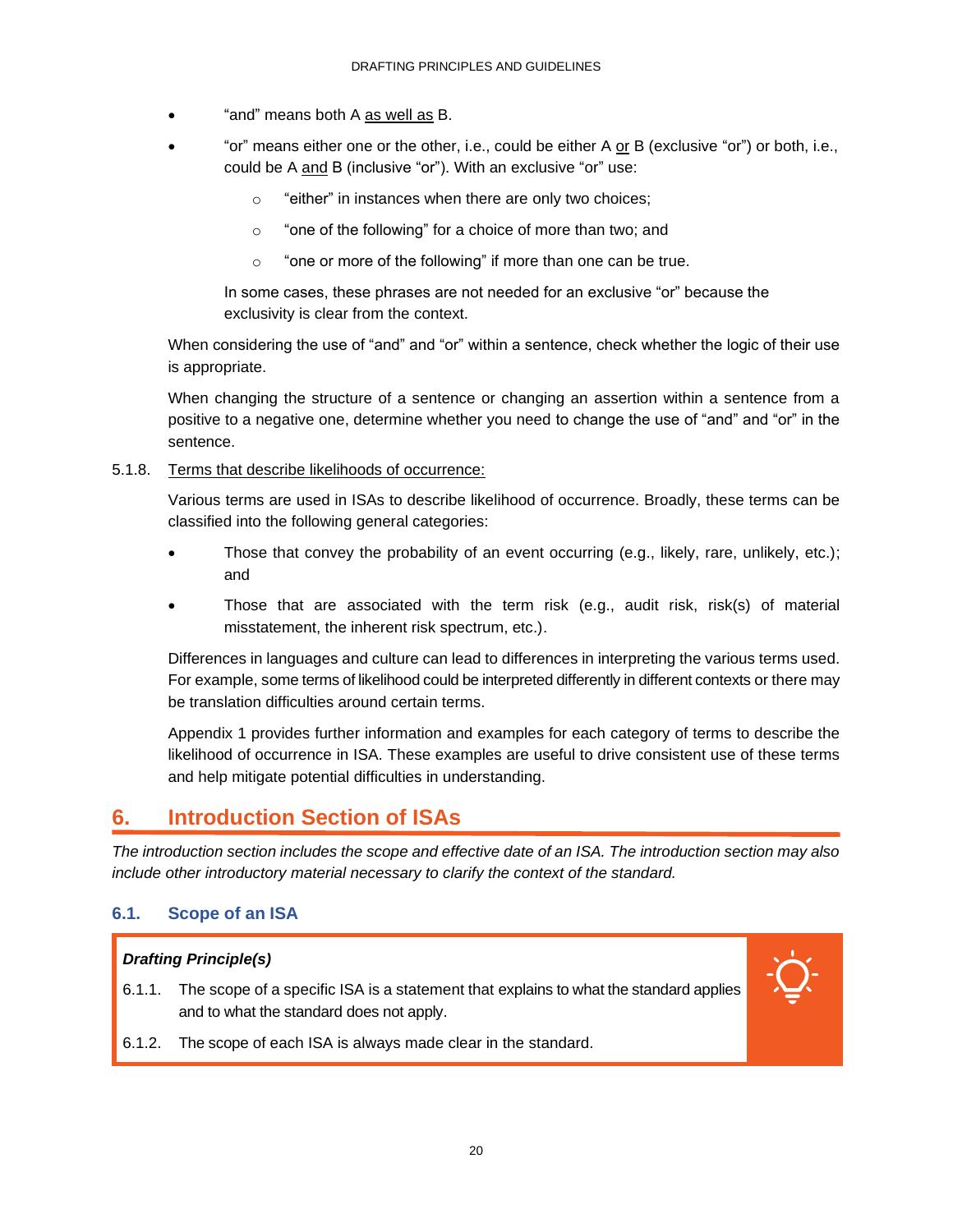- "and" means both A as well as B.
- "or" means either one or the other, i.e., could be either A or B (exclusive "or") or both, i.e., could be A and B (inclusive "or"). With an exclusive "or" use:
	- o "either" in instances when there are only two choices;
	- o "one of the following" for a choice of more than two; and
	- o "one or more of the following" if more than one can be true.

In some cases, these phrases are not needed for an exclusive "or" because the exclusivity is clear from the context.

When considering the use of "and" and "or" within a sentence, check whether the logic of their use is appropriate.

When changing the structure of a sentence or changing an assertion within a sentence from a positive to a negative one, determine whether you need to change the use of "and" and "or" in the sentence.

### 5.1.8. Terms that describe likelihoods of occurrence:

Various terms are used in ISAs to describe likelihood of occurrence. Broadly, these terms can be classified into the following general categories:

- Those that convey the probability of an event occurring (e.g., likely, rare, unlikely, etc.); and
- Those that are associated with the term risk (e.g., audit risk, risk(s) of material misstatement, the inherent risk spectrum, etc.).

Differences in languages and culture can lead to differences in interpreting the various terms used. For example, some terms of likelihood could be interpreted differently in different contexts or there may be translation difficulties around certain terms.

Appendix 1 provides further information and examples for each category of terms to describe the likelihood of occurrence in ISA. These examples are useful to drive consistent use of these terms and help mitigate potential difficulties in understanding.

### <span id="page-22-0"></span>**6. Introduction Section of ISAs**

*The introduction section includes the scope and effective date of an ISA. The introduction section may also include other introductory material necessary to clarify the context of the standard.*

### **6.1. Scope of an ISA**

### *Drafting Principle(s)*

6.1.1. The scope of a specific ISA is a statement that explains to what the standard applies and to what the standard does not apply.



6.1.2. The scope of each ISA is always made clear in the standard.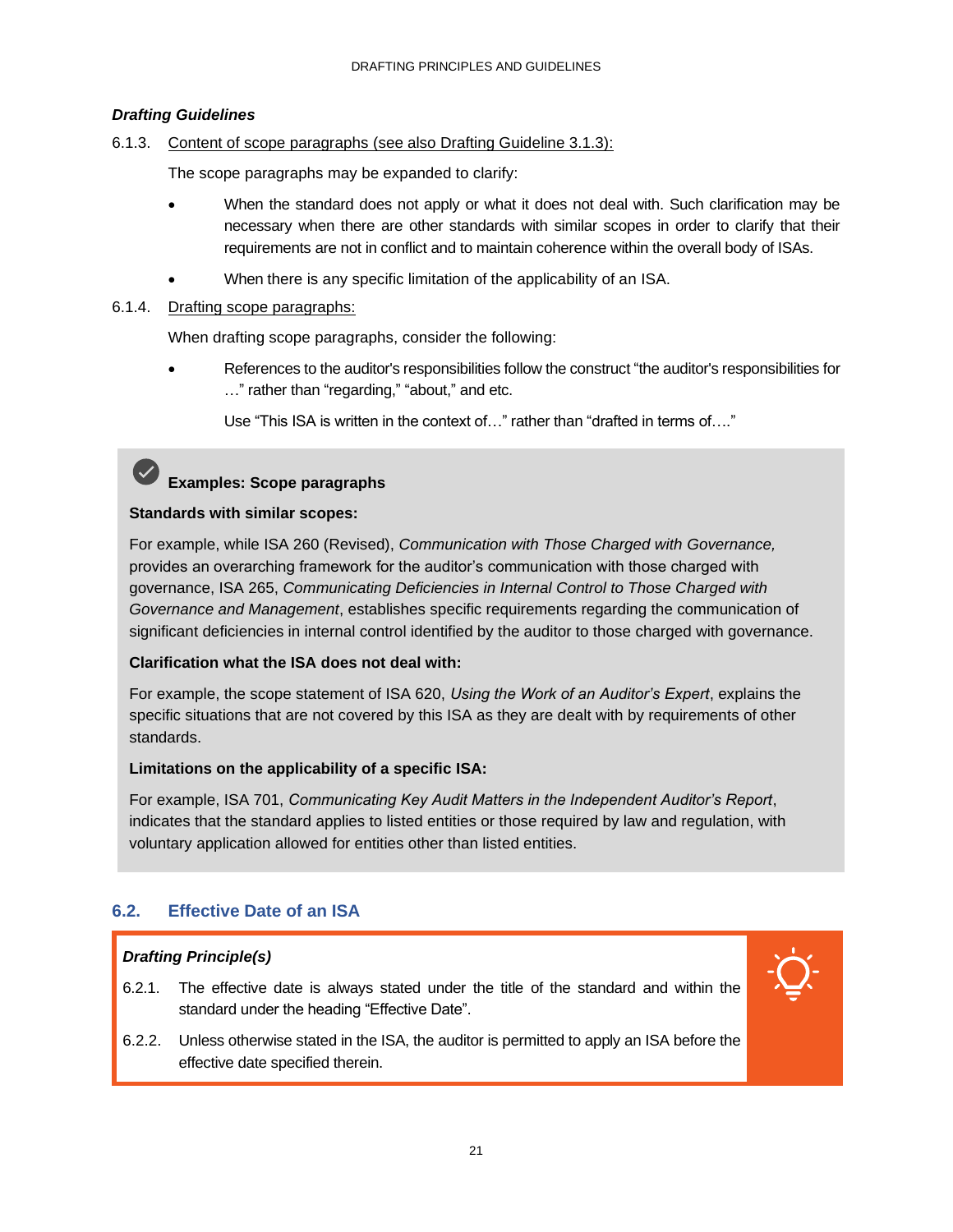### *Drafting Guidelines*

### 6.1.3. Content of scope paragraphs (see also Drafting Guideline 3.1.3):

The scope paragraphs may be expanded to clarify:

- When the standard does not apply or what it does not deal with. Such clarification may be necessary when there are other standards with similar scopes in order to clarify that their requirements are not in conflict and to maintain coherence within the overall body of ISAs.
- When there is any specific limitation of the applicability of an ISA.

### 6.1.4. Drafting scope paragraphs:

When drafting scope paragraphs, consider the following:

• References to the auditor's responsibilities follow the construct "the auditor's responsibilities for …" rather than "regarding," "about," and etc.

Use "This ISA is written in the context of…" rather than "drafted in terms of…."

# **Examples: Scope paragraphs**

### **Standards with similar scopes:**

For example, while ISA 260 (Revised), *Communication with Those Charged with Governance,* provides an overarching framework for the auditor's communication with those charged with governance, ISA 265, *Communicating Deficiencies in Internal Control to Those Charged with Governance and Management*, establishes specific requirements regarding the communication of significant deficiencies in internal control identified by the auditor to those charged with governance.

### **Clarification what the ISA does not deal with:**

For example, the scope statement of ISA 620, *Using the Work of an Auditor's Expert*, explains the specific situations that are not covered by this ISA as they are dealt with by requirements of other standards.

### **Limitations on the applicability of a specific ISA:**

For example, ISA 701, *Communicating Key Audit Matters in the Independent Auditor's Report*, indicates that the standard applies to listed entities or those required by law and regulation, with voluntary application allowed for entities other than listed entities.

### **6.2. Effective Date of an ISA**

### *Drafting Principle(s)*

6.2.1. The effective date is always stated under the title of the standard and within the standard under the heading "Effective Date".



6.2.2. Unless otherwise stated in the ISA, the auditor is permitted to apply an ISA before the effective date specified therein.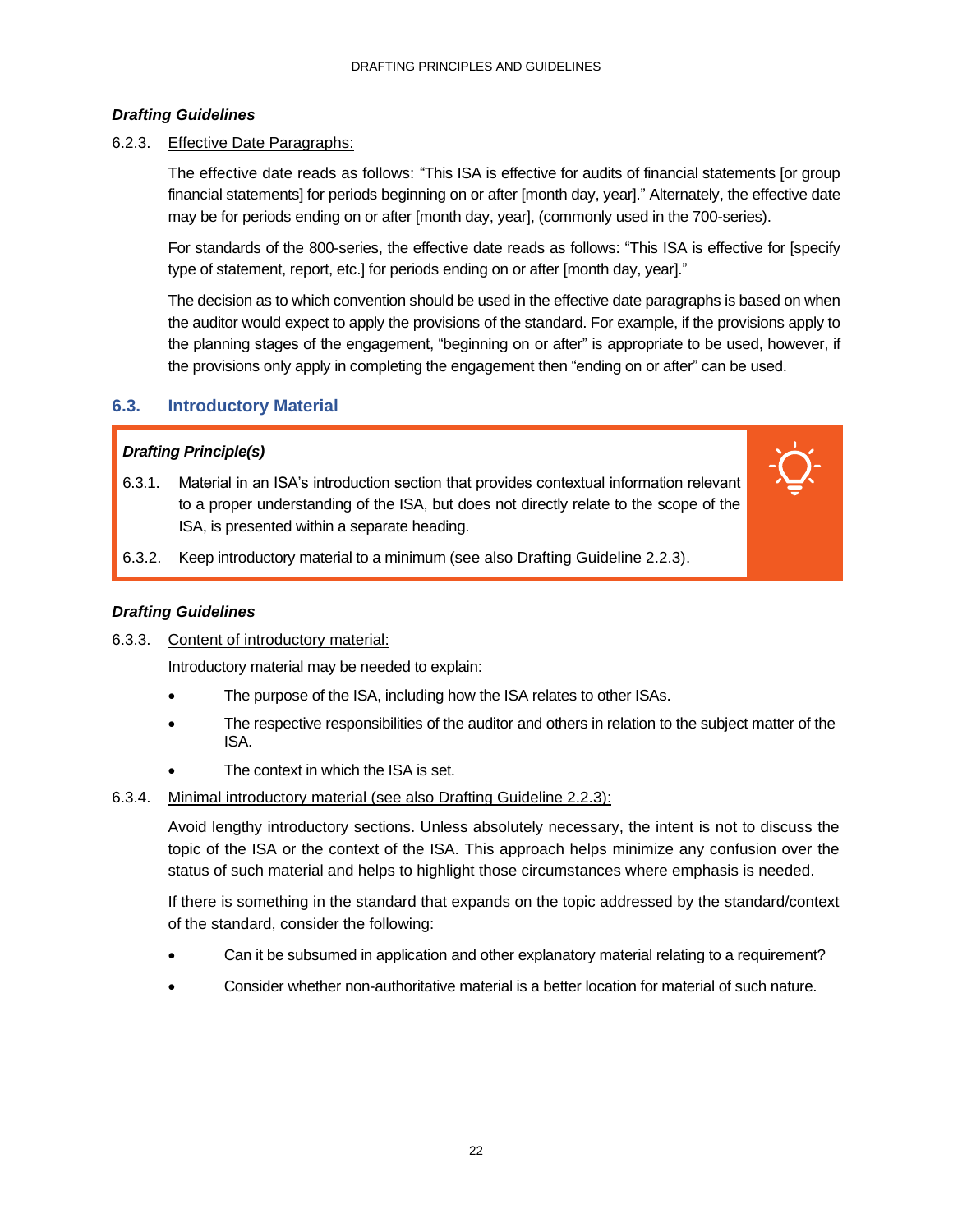### *Drafting Guidelines*

### 6.2.3. Effective Date Paragraphs:

The effective date reads as follows: "This ISA is effective for audits of financial statements [or group financial statements] for periods beginning on or after [month day, year]." Alternately, the effective date may be for periods ending on or after [month day, year], (commonly used in the 700-series).

For standards of the 800-series, the effective date reads as follows: "This ISA is effective for [specify type of statement, report, etc.] for periods ending on or after [month day, year]."

The decision as to which convention should be used in the effective date paragraphs is based on when the auditor would expect to apply the provisions of the standard. For example, if the provisions apply to the planning stages of the engagement, "beginning on or after" is appropriate to be used, however, if the provisions only apply in completing the engagement then "ending on or after" can be used.

### **6.3. Introductory Material**

### *Drafting Principle(s)*

6.3.1. Material in an ISA's introduction section that provides contextual information relevant to a proper understanding of the ISA, but does not directly relate to the scope of the ISA, is presented within a separate heading.



6.3.2. Keep introductory material to a minimum (see also Drafting Guideline 2.2.3).

#### *Drafting Guidelines*

6.3.3. Content of introductory material:

Introductory material may be needed to explain:

- The purpose of the ISA, including how the ISA relates to other ISAs.
- The respective responsibilities of the auditor and others in relation to the subject matter of the ISA.
- The context in which the ISA is set.
- 6.3.4. Minimal introductory material (see also Drafting Guideline 2.2.3):

Avoid lengthy introductory sections. Unless absolutely necessary, the intent is not to discuss the topic of the ISA or the context of the ISA. This approach helps minimize any confusion over the status of such material and helps to highlight those circumstances where emphasis is needed.

If there is something in the standard that expands on the topic addressed by the standard/context of the standard, consider the following:

- Can it be subsumed in application and other explanatory material relating to a requirement?
- Consider whether non-authoritative material is a better location for material of such nature.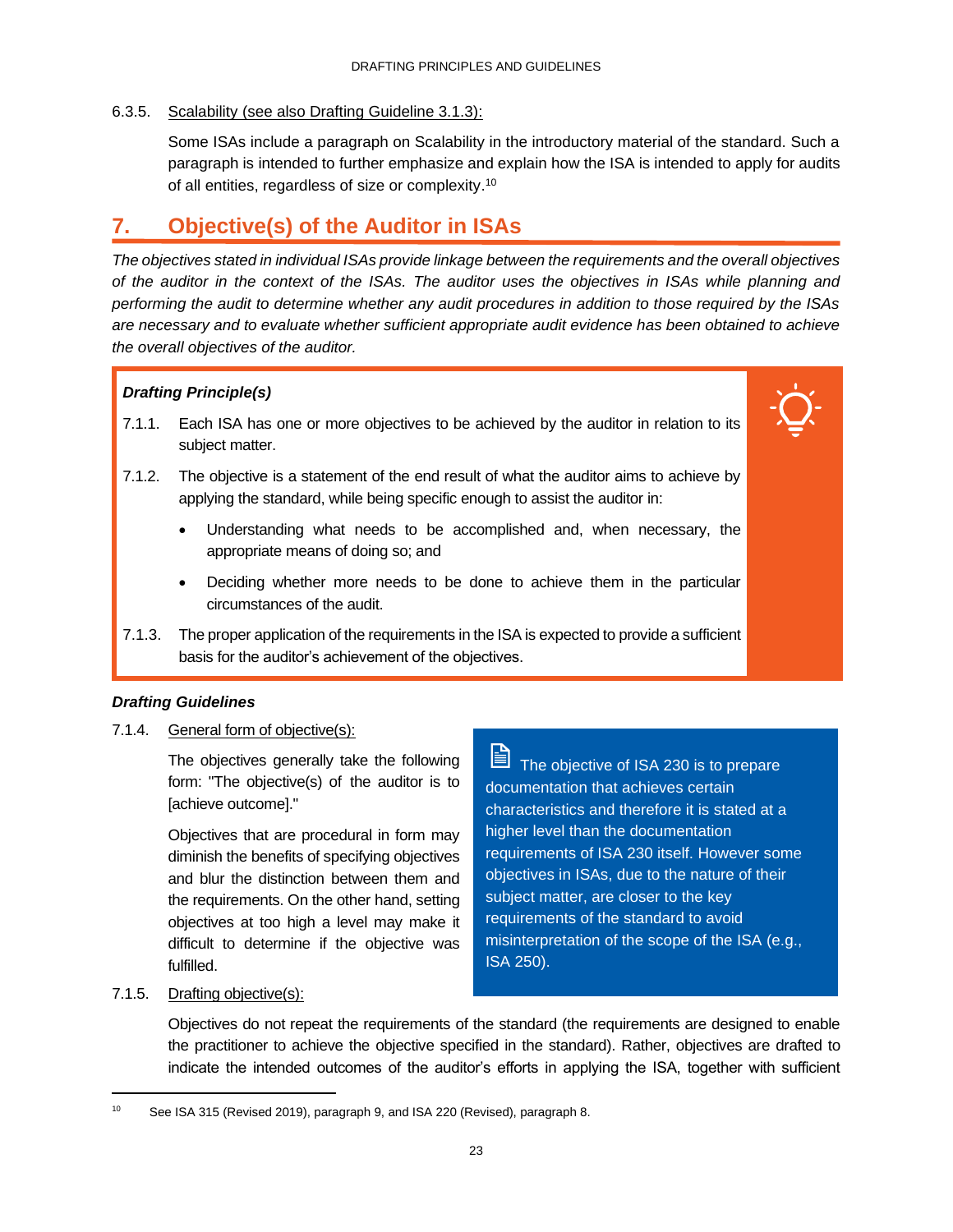### 6.3.5. Scalability (see also Drafting Guideline 3.1.3):

Some ISAs include a paragraph on Scalability in the introductory material of the standard. Such a paragraph is intended to further emphasize and explain how the ISA is intended to apply for audits of all entities, regardless of size or complexity.<sup>10</sup>

### <span id="page-25-0"></span>**7. Objective(s) of the Auditor in ISAs**

*The objectives stated in individual ISAs provide linkage between the requirements and the overall objectives of the auditor in the context of the ISAs. The auditor uses the objectives in ISAs while planning and performing the audit to determine whether any audit procedures in addition to those required by the ISAs are necessary and to evaluate whether sufficient appropriate audit evidence has been obtained to achieve the overall objectives of the auditor.*

### *Drafting Principle(s)*

- 7.1.1. Each ISA has one or more objectives to be achieved by the auditor in relation to its subject matter.
- 7.1.2. The objective is a statement of the end result of what the auditor aims to achieve by applying the standard, while being specific enough to assist the auditor in:
	- Understanding what needs to be accomplished and, when necessary, the appropriate means of doing so; and
	- Deciding whether more needs to be done to achieve them in the particular circumstances of the audit.
- 7.1.3. The proper application of the requirements in the ISA is expected to provide a sufficient basis for the auditor's achievement of the objectives.

### *Drafting Guidelines*

7.1.4. General form of objective(s):

The objectives generally take the following form: "The objective(s) of the auditor is to [achieve outcome]."

Objectives that are procedural in form may diminish the benefits of specifying objectives and blur the distinction between them and the requirements. On the other hand, setting objectives at too high a level may make it difficult to determine if the objective was fulfilled.

B The objective of ISA 230 is to prepare documentation that achieves certain characteristics and therefore it is stated at a higher level than the documentation requirements of ISA 230 itself. However some objectives in ISAs, due to the nature of their subject matter, are closer to the key requirements of the standard to avoid misinterpretation of the scope of the ISA (e.g., ISA 250).

### 7.1.5. Drafting objective(s):

Objectives do not repeat the requirements of the standard (the requirements are designed to enable the practitioner to achieve the objective specified in the standard). Rather, objectives are drafted to indicate the intended outcomes of the auditor's efforts in applying the ISA, together with sufficient

<sup>10</sup> See ISA 315 (Revised 2019), paragraph 9, and ISA 220 (Revised), paragraph 8.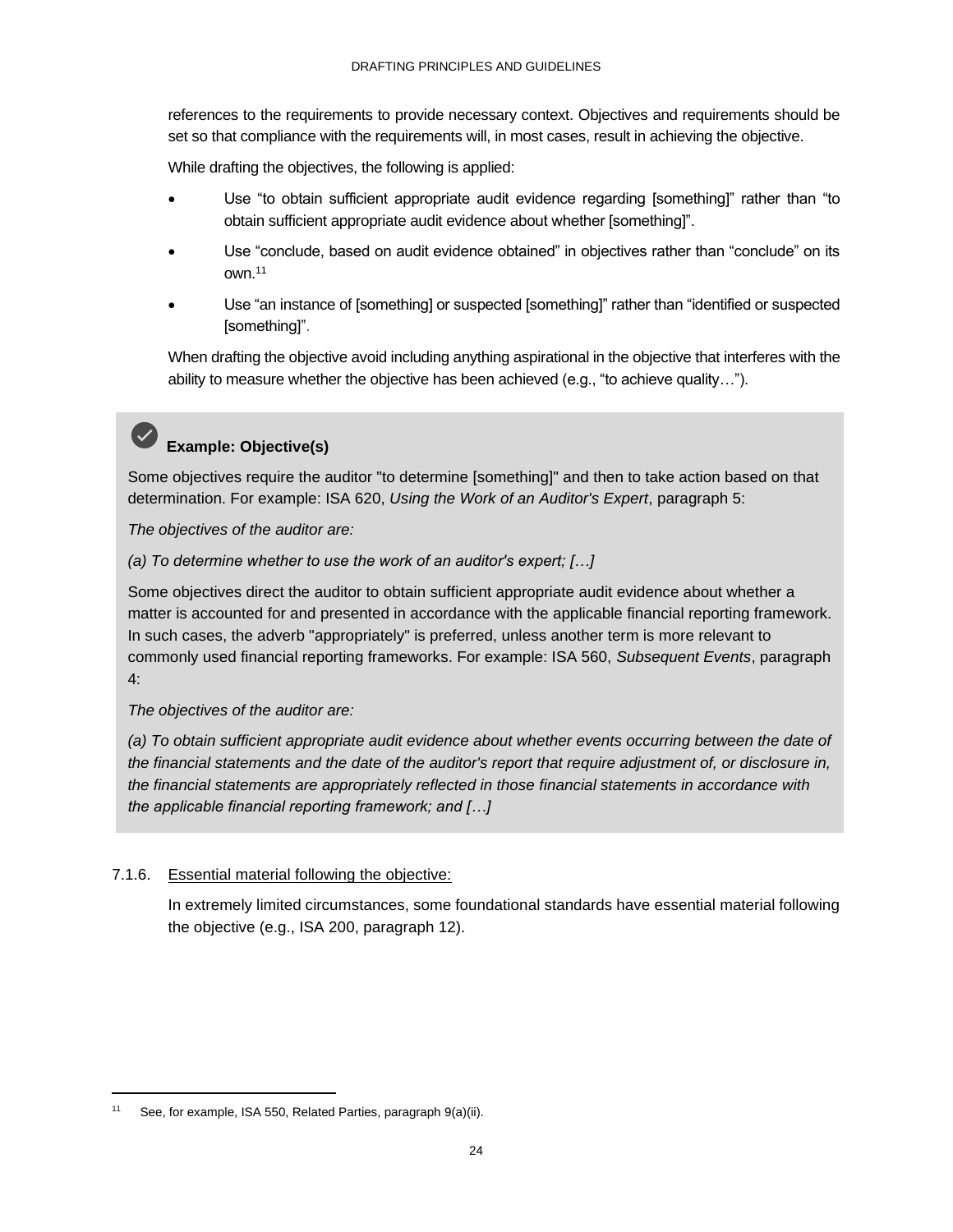references to the requirements to provide necessary context. Objectives and requirements should be set so that compliance with the requirements will, in most cases, result in achieving the objective.

While drafting the objectives, the following is applied:

- Use "to obtain sufficient appropriate audit evidence regarding [something]" rather than "to obtain sufficient appropriate audit evidence about whether [something]".
- Use "conclude, based on audit evidence obtained" in objectives rather than "conclude" on its own.<sup>11</sup>
- Use "an instance of [something] or suspected [something]" rather than "identified or suspected [something]".

When drafting the objective avoid including anything aspirational in the objective that interferes with the ability to measure whether the objective has been achieved (e.g., "to achieve quality…").

# **Example: Objective(s)**

Some objectives require the auditor "to determine [something]" and then to take action based on that determination. For example: ISA 620, *Using the Work of an Auditor's Expert*, paragraph 5:

*The objectives of the auditor are:* 

*(a) To determine whether to use the work of an auditor's expert; […]*

Some objectives direct the auditor to obtain sufficient appropriate audit evidence about whether a matter is accounted for and presented in accordance with the applicable financial reporting framework. In such cases, the adverb "appropriately" is preferred, unless another term is more relevant to commonly used financial reporting frameworks. For example: ISA 560, *Subsequent Events*, paragraph 4:

*The objectives of the auditor are:* 

*(a) To obtain sufficient appropriate audit evidence about whether events occurring between the date of the financial statements and the date of the auditor's report that require adjustment of, or disclosure in, the financial statements are appropriately reflected in those financial statements in accordance with the applicable financial reporting framework; and […]*

### <span id="page-26-0"></span>7.1.6. Essential material following the objective:

In extremely limited circumstances, some foundational standards have essential material following the objective (e.g., ISA 200, paragraph 12).

<sup>11</sup> See, for example, ISA 550, Related Parties, paragraph 9(a)(ii).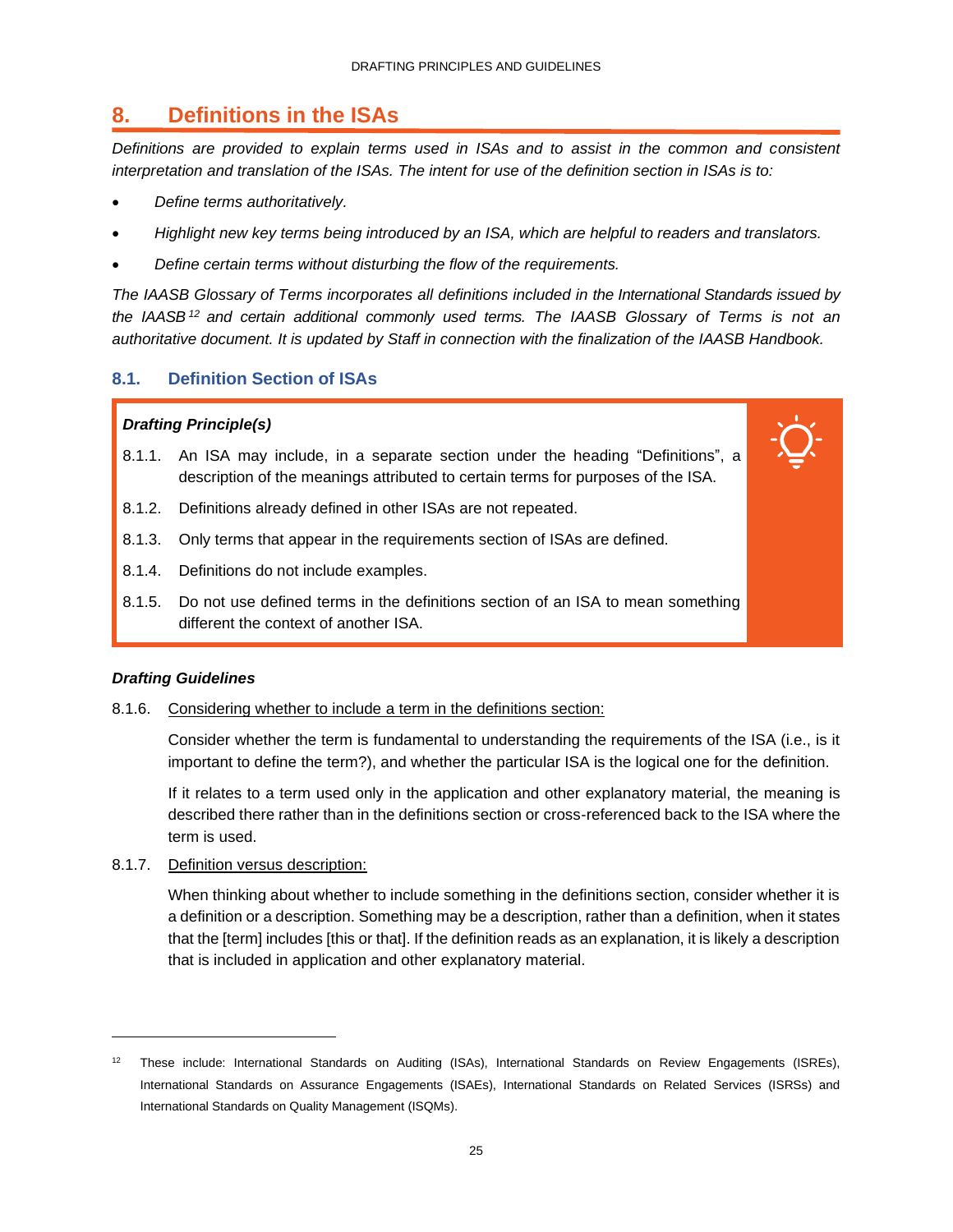### **8. Definitions in the ISAs**

*Definitions are provided to explain terms used in ISAs and to assist in the common and consistent interpretation and translation of the ISAs. The intent for use of the definition section in ISAs is to:*

- *Define terms authoritatively.*
- *Highlight new key terms being introduced by an ISA, which are helpful to readers and translators.*
- *Define certain terms without disturbing the flow of the requirements.*

*The IAASB Glossary of Terms incorporates all definitions included in the International Standards issued by the IAASB <sup>12</sup> and certain additional commonly used terms. The IAASB Glossary of Terms is not an authoritative document. It is updated by Staff in connection with the finalization of the IAASB Handbook.*

### **8.1. Definition Section of ISAs**

### *Drafting Principle(s)*

- 8.1.1. An ISA may include, in a separate section under the heading "Definitions", a description of the meanings attributed to certain terms for purposes of the ISA.
- 8.1.2. Definitions already defined in other ISAs are not repeated.
- 8.1.3. Only terms that appear in the requirements section of ISAs are defined.
- 8.1.4. Definitions do not include examples.
- 8.1.5. Do not use defined terms in the definitions section of an ISA to mean something different the context of another ISA.

### *Drafting Guidelines*

8.1.6. Considering whether to include a term in the definitions section:

Consider whether the term is fundamental to understanding the requirements of the ISA (i.e., is it important to define the term?), and whether the particular ISA is the logical one for the definition.

If it relates to a term used only in the application and other explanatory material, the meaning is described there rather than in the definitions section or cross-referenced back to the ISA where the term is used.

8.1.7. Definition versus description:

When thinking about whether to include something in the definitions section, consider whether it is a definition or a description. Something may be a description, rather than a definition, when it states that the [term] includes [this or that]. If the definition reads as an explanation, it is likely a description that is included in application and other explanatory material.

<sup>&</sup>lt;sup>12</sup> These include: International Standards on Auditing (ISAs), International Standards on Review Engagements (ISREs), International Standards on Assurance Engagements (ISAEs), International Standards on Related Services (ISRSs) and International Standards on Quality Management (ISQMs).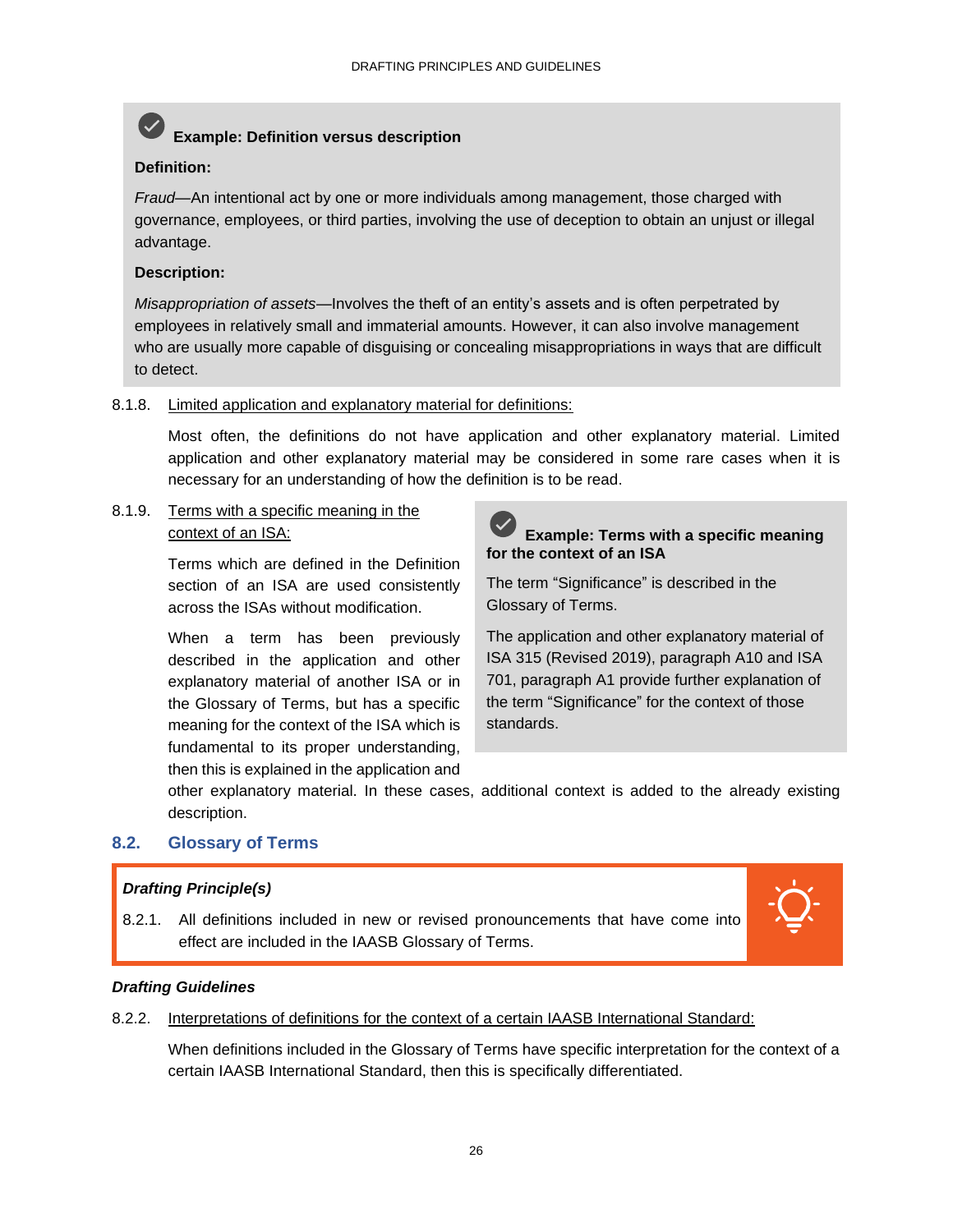### **Example: Definition versus description**

### **Definition:**

*Fraud—*An intentional act by one or more individuals among management, those charged with governance, employees, or third parties, involving the use of deception to obtain an unjust or illegal advantage.

### **Description:**

*Misappropriation of assets*—Involves the theft of an entity's assets and is often perpetrated by employees in relatively small and immaterial amounts. However, it can also involve management who are usually more capable of disguising or concealing misappropriations in ways that are difficult to detect.

### 8.1.8. Limited application and explanatory material for definitions:

Most often, the definitions do not have application and other explanatory material. Limited application and other explanatory material may be considered in some rare cases when it is necessary for an understanding of how the definition is to be read.

8.1.9. Terms with a specific meaning in the context of an ISA:

> Terms which are defined in the Definition section of an ISA are used consistently across the ISAs without modification.

> When a term has been previously described in the application and other explanatory material of another ISA or in the Glossary of Terms, but has a specific meaning for the context of the ISA which is fundamental to its proper understanding, then this is explained in the application and



### **Example: Terms with a specific meaning for the context of an ISA**

The term "Significance" is described in the Glossary of Terms.

The application and other explanatory material of ISA 315 (Revised 2019), paragraph A10 and ISA 701, paragraph A1 provide further explanation of the term "Significance" for the context of those standards.

other explanatory material. In these cases, additional context is added to the already existing description.

### **8.2. Glossary of Terms**

### *Drafting Principle(s)*

8.2.1. All definitions included in new or revised pronouncements that have come into effect are included in the IAASB Glossary of Terms.



### *Drafting Guidelines*

8.2.2. Interpretations of definitions for the context of a certain IAASB International Standard:

When definitions included in the Glossary of Terms have specific interpretation for the context of a certain IAASB International Standard, then this is specifically differentiated.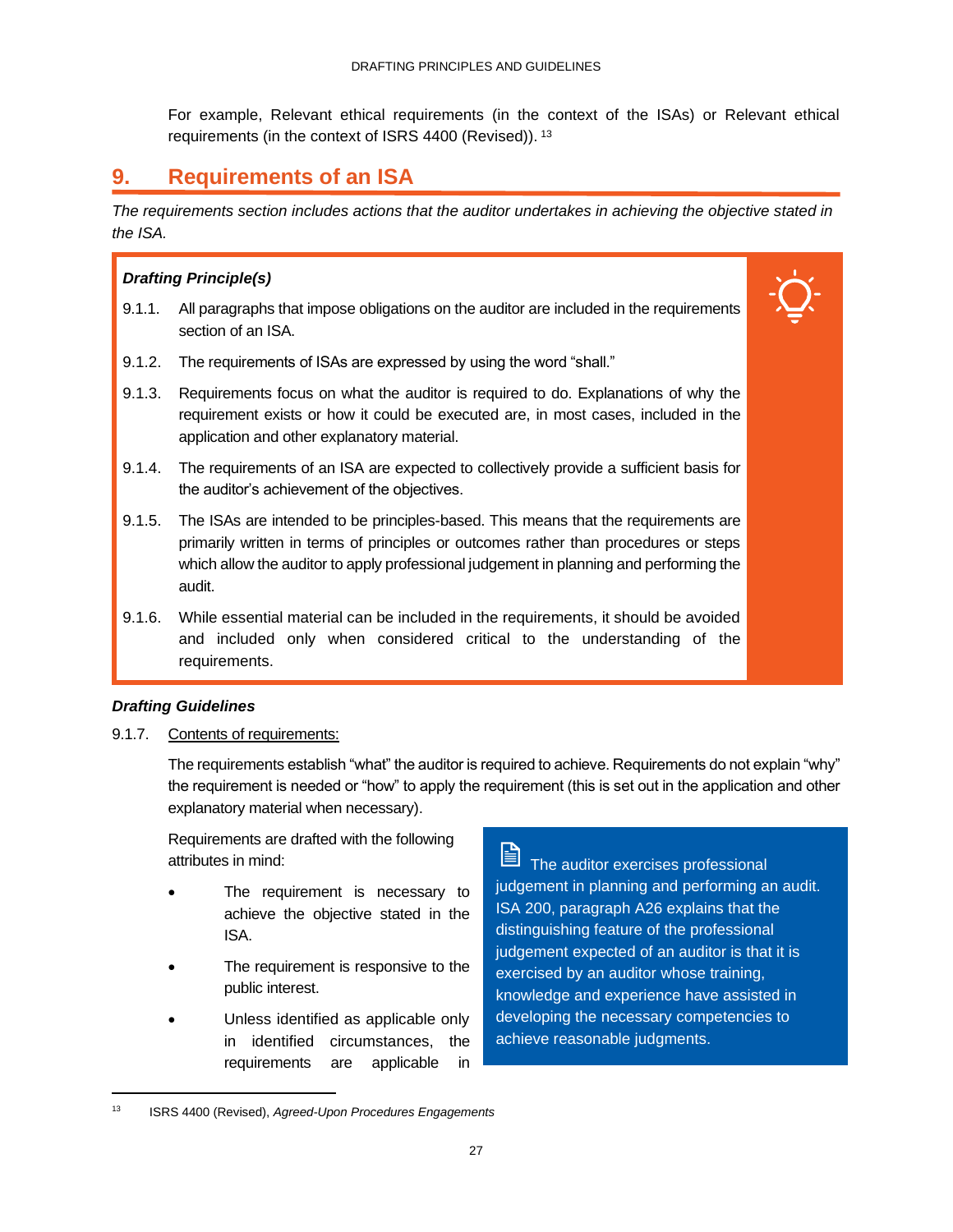For example, Relevant ethical requirements (in the context of the ISAs) or Relevant ethical requirements (in the context of ISRS 4400 (Revised)). <sup>13</sup>

### <span id="page-29-0"></span>**9. Requirements of an ISA**

*The requirements section includes actions that the auditor undertakes in achieving the objective stated in the ISA.* 

### *Drafting Principle(s)*

- 9.1.1. All paragraphs that impose obligations on the auditor are included in the requirements section of an ISA.
- 9.1.2. The requirements of ISAs are expressed by using the word "shall."
- 9.1.3. Requirements focus on what the auditor is required to do. Explanations of why the requirement exists or how it could be executed are, in most cases, included in the application and other explanatory material.
- 9.1.4. The requirements of an ISA are expected to collectively provide a sufficient basis for the auditor's achievement of the objectives.
- 9.1.5. The ISAs are intended to be principles-based. This means that the requirements are primarily written in terms of principles or outcomes rather than procedures or steps which allow the auditor to apply professional judgement in planning and performing the audit.
- 9.1.6. While essential material can be included in the requirements, it should be avoided and included only when considered critical to the understanding of the requirements.

### *Drafting Guidelines*

9.1.7. Contents of requirements:

The requirements establish "what" the auditor is required to achieve. Requirements do not explain "why" the requirement is needed or "how" to apply the requirement (this is set out in the application and other explanatory material when necessary).

Requirements are drafted with the following attributes in mind:

- The requirement is necessary to achieve the objective stated in the ISA.
- The requirement is responsive to the public interest.
- Unless identified as applicable only in identified circumstances, the requirements are applicable in

The auditor exercises professional judgement in planning and performing an audit. ISA 200, paragraph A26 explains that the distinguishing feature of the professional judgement expected of an auditor is that it is exercised by an auditor whose training, knowledge and experience have assisted in developing the necessary competencies to achieve reasonable judgments.

<sup>13</sup> ISRS 4400 (Revised), *Agreed-Upon Procedures Engagements*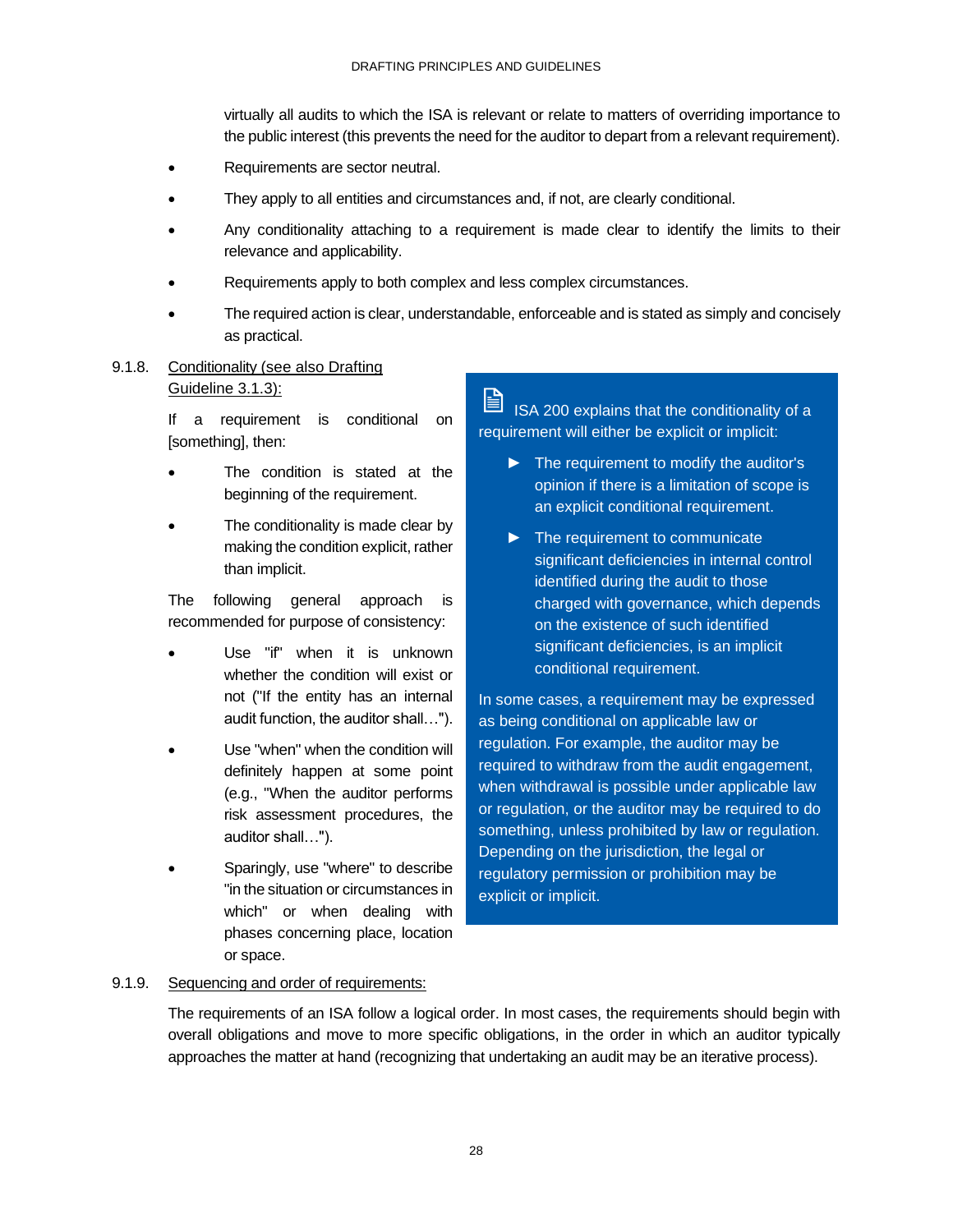virtually all audits to which the ISA is relevant or relate to matters of overriding importance to the public interest (this prevents the need for the auditor to depart from a relevant requirement).

- Requirements are sector neutral.
- They apply to all entities and circumstances and, if not, are clearly conditional.
- Any conditionality attaching to a requirement is made clear to identify the limits to their relevance and applicability.
- Requirements apply to both complex and less complex circumstances.
- The required action is clear, understandable, enforceable and is stated as simply and concisely as practical.
- 9.1.8. Conditionality (see also Drafting Guideline 3.1.3):

If a requirement is conditional on [something], then:

- The condition is stated at the beginning of the requirement.
- The conditionality is made clear by making the condition explicit, rather than implicit.

The following general approach is recommended for purpose of consistency:

- Use "if" when it is unknown whether the condition will exist or not ("If the entity has an internal audit function, the auditor shall…").
- Use "when" when the condition will definitely happen at some point (e.g., "When the auditor performs risk assessment procedures, the auditor shall…").
- Sparingly, use "where" to describe "in the situation or circumstances in which" or when dealing with phases concerning place, location or space.

ISA 200 explains that the conditionality of a requirement will either be explicit or implicit:

- ► The requirement to modify the auditor's opinion if there is a limitation of scope is an explicit conditional requirement.
- ► The requirement to communicate significant deficiencies in internal control identified during the audit to those charged with governance, which depends on the existence of such identified significant deficiencies, is an implicit conditional requirement.

In some cases, a requirement may be expressed as being conditional on applicable law or regulation. For example, the auditor may be required to withdraw from the audit engagement, when withdrawal is possible under applicable law or regulation, or the auditor may be required to do something, unless prohibited by law or regulation. Depending on the jurisdiction, the legal or regulatory permission or prohibition may be explicit or implicit.

### 9.1.9. Sequencing and order of requirements:

The requirements of an ISA follow a logical order. In most cases, the requirements should begin with overall obligations and move to more specific obligations, in the order in which an auditor typically approaches the matter at hand (recognizing that undertaking an audit may be an iterative process).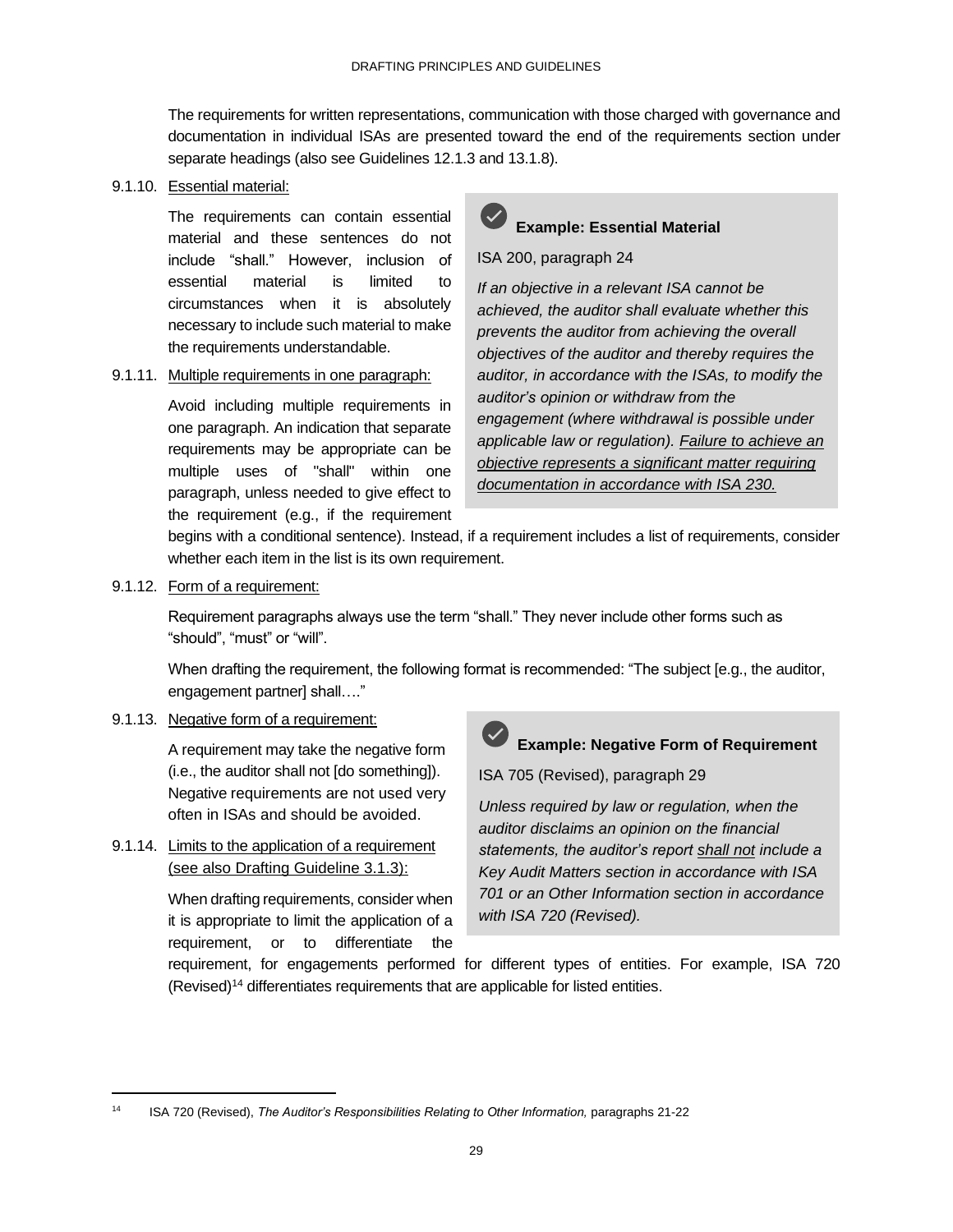The requirements for written representations, communication with those charged with governance and documentation in individual ISAs are presented toward the end of the requirements section under separate headings (also see Guidelines 12.1.3 and 13.1.8).

#### 9.1.10. Essential material:

The requirements can contain essential material and these sentences do not include "shall." However, inclusion of essential material is limited to circumstances when it is absolutely necessary to include such material to make the requirements understandable.

### 9.1.11. Multiple requirements in one paragraph:

Avoid including multiple requirements in one paragraph. An indication that separate requirements may be appropriate can be multiple uses of "shall" within one paragraph, unless needed to give effect to the requirement (e.g., if the requirement



### ISA 200, paragraph 24

*If an objective in a relevant ISA cannot be achieved, the auditor shall evaluate whether this prevents the auditor from achieving the overall objectives of the auditor and thereby requires the auditor, in accordance with the ISAs, to modify the auditor's opinion or withdraw from the engagement (where withdrawal is possible under applicable law or regulation). Failure to achieve an objective represents a significant matter requiring documentation in accordance with ISA 230.*

begins with a conditional sentence). Instead, if a requirement includes a list of requirements, consider whether each item in the list is its own requirement.

### 9.1.12. Form of a requirement:

Requirement paragraphs always use the term "shall." They never include other forms such as "should", "must" or "will".

When drafting the requirement, the following format is recommended: "The subject [e.g., the auditor, engagement partner] shall…."

### 9.1.13. Negative form of a requirement:

A requirement may take the negative form (i.e., the auditor shall not [do something]). Negative requirements are not used very often in ISAs and should be avoided.

9.1.14. Limits to the application of a requirement (see also Drafting Guideline 3.1.3):

> When drafting requirements, consider when it is appropriate to limit the application of a requirement, or to differentiate the



# **Example: Negative Form of Requirement**

ISA 705 (Revised), paragraph 29

*Unless required by law or regulation, when the auditor disclaims an opinion on the financial statements, the auditor's report shall not include a Key Audit Matters section in accordance with ISA 701 or an Other Information section in accordance with ISA 720 (Revised).*

requirement, for engagements performed for different types of entities. For example, ISA 720 (Revised)<sup>14</sup> differentiates requirements that are applicable for listed entities.

<sup>14</sup> ISA 720 (Revised), *The Auditor's Responsibilities Relating to Other Information,* paragraphs 21-22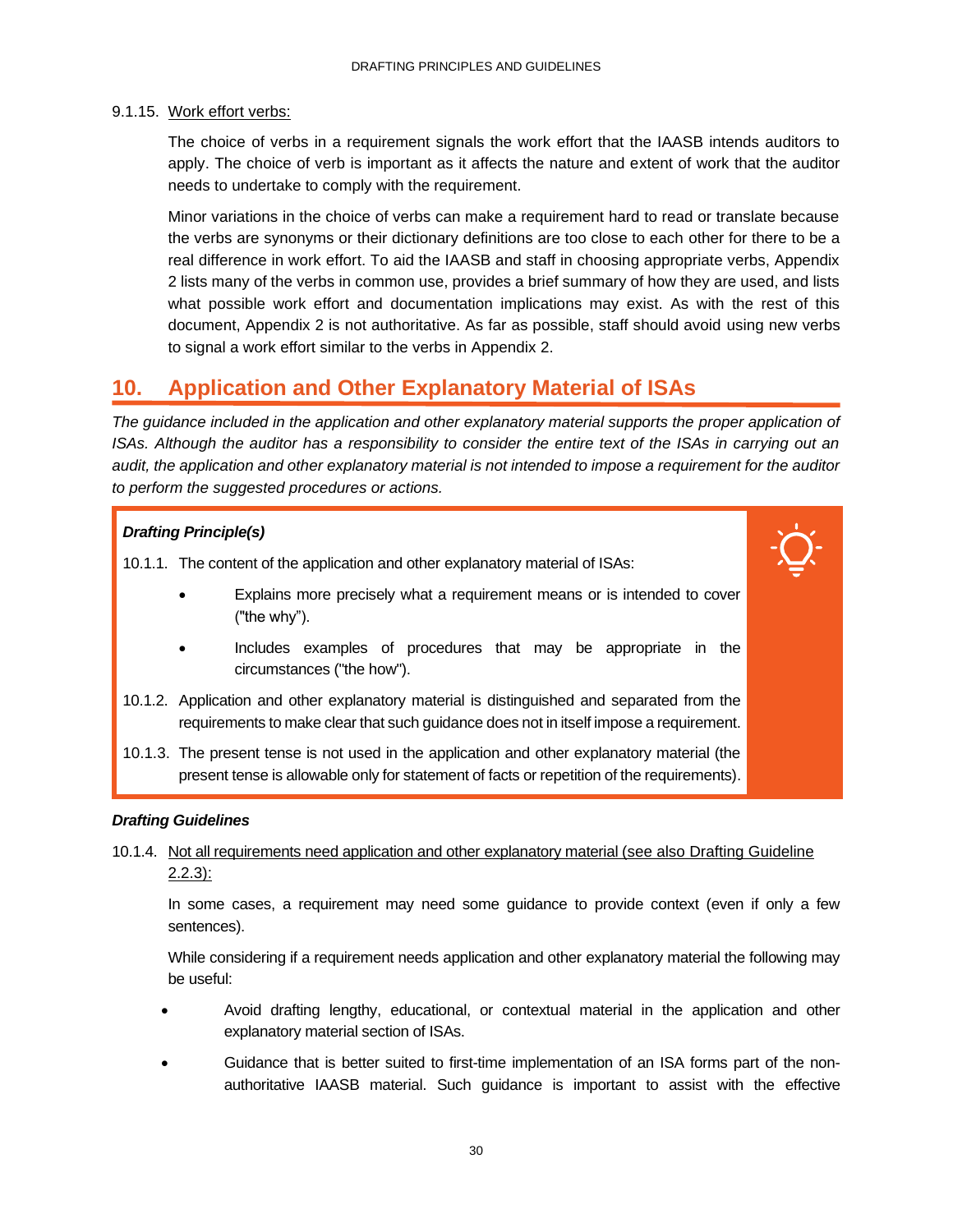### 9.1.15. Work effort verbs:

The choice of verbs in a requirement signals the work effort that the IAASB intends auditors to apply. The choice of verb is important as it affects the nature and extent of work that the auditor needs to undertake to comply with the requirement.

Minor variations in the choice of verbs can make a requirement hard to read or translate because the verbs are synonyms or their dictionary definitions are too close to each other for there to be a real difference in work effort. To aid the IAASB and staff in choosing appropriate verbs, Appendix 2 lists many of the verbs in common use, provides a brief summary of how they are used, and lists what possible work effort and documentation implications may exist. As with the rest of this document, Appendix 2 is not authoritative. As far as possible, staff should avoid using new verbs to signal a work effort similar to the verbs in Appendix 2.

### <span id="page-32-0"></span>**10. Application and Other Explanatory Material of ISAs**

*The guidance included in the application and other explanatory material supports the proper application of ISAs. Although the auditor has a responsibility to consider the entire text of the ISAs in carrying out an audit, the application and other explanatory material is not intended to impose a requirement for the auditor to perform the suggested procedures or actions.* 

### *Drafting Principle(s)*

10.1.1. The content of the application and other explanatory material of ISAs:

- Explains more precisely what a requirement means or is intended to cover ("the why").
- Includes examples of procedures that may be appropriate in the circumstances ("the how").
- 10.1.2. Application and other explanatory material is distinguished and separated from the requirements to make clear that such guidance does not in itself impose a requirement.
- 10.1.3. The present tense is not used in the application and other explanatory material (the present tense is allowable only for statement of facts or repetition of the requirements).

### *Drafting Guidelines*

### 10.1.4. Not all requirements need application and other explanatory material (see also Drafting Guideline 2.2.3):

In some cases, a requirement may need some guidance to provide context (even if only a few sentences).

While considering if a requirement needs application and other explanatory material the following may be useful:

- Avoid drafting lengthy, educational, or contextual material in the application and other explanatory material section of ISAs.
- Guidance that is better suited to first-time implementation of an ISA forms part of the nonauthoritative IAASB material. Such guidance is important to assist with the effective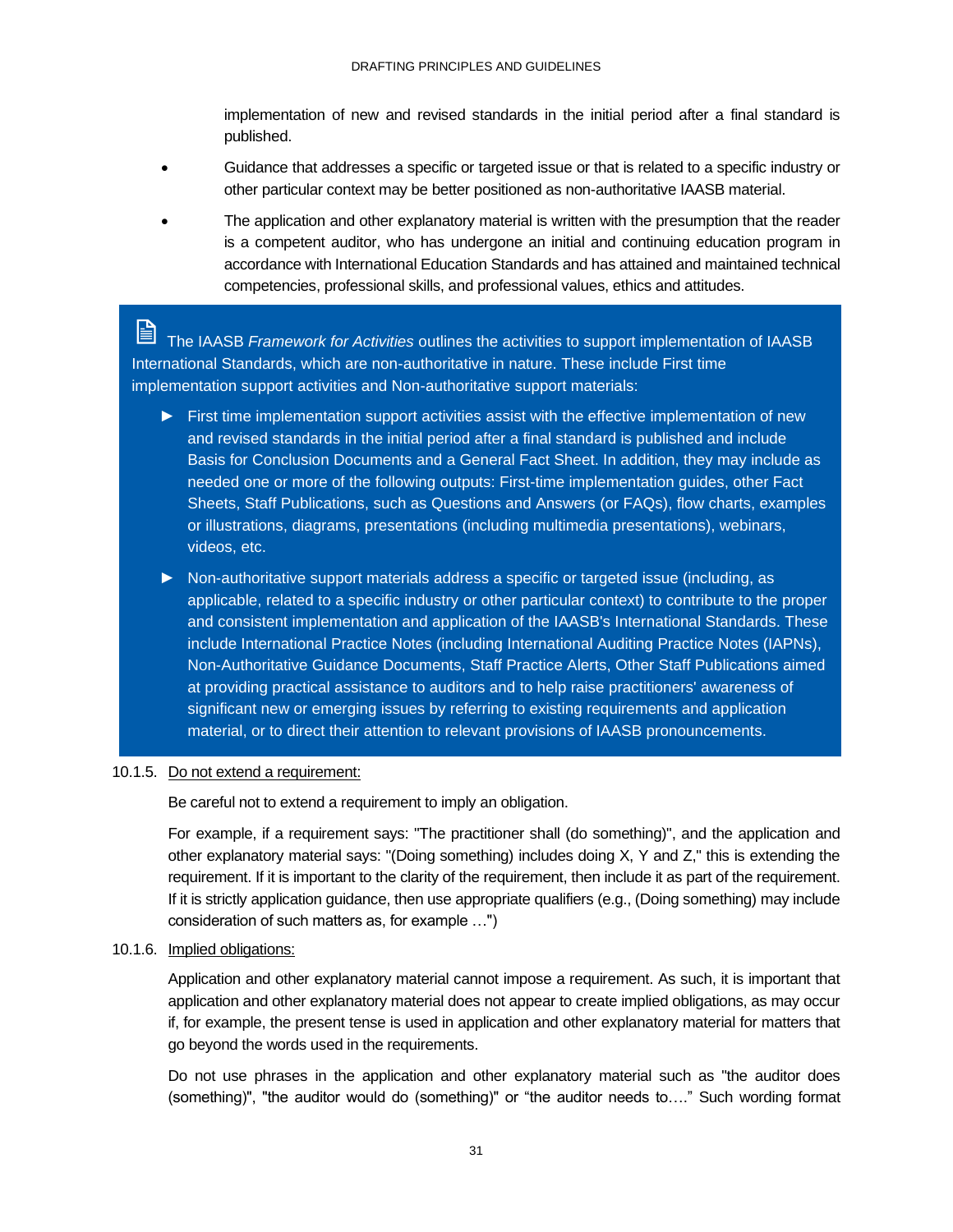implementation of new and revised standards in the initial period after a final standard is published.

- Guidance that addresses a specific or targeted issue or that is related to a specific industry or other particular context may be better positioned as non-authoritative IAASB material.
- The application and other explanatory material is written with the presumption that the reader is a competent auditor, who has undergone an initial and continuing education program in accordance with International Education Standards and has attained and maintained technical competencies, professional skills, and professional values, ethics and attitudes.

H The IAASB *Framework for Activities* outlines the activities to support implementation of IAASB International Standards, which are non-authoritative in nature. These include First time implementation support activities and Non-authoritative support materials:

- ► First time implementation support activities assist with the effective implementation of new and revised standards in the initial period after a final standard is published and include Basis for Conclusion Documents and a General Fact Sheet. In addition, they may include as needed one or more of the following outputs: First-time implementation guides, other Fact Sheets, Staff Publications, such as Questions and Answers (or FAQs), flow charts, examples or illustrations, diagrams, presentations (including multimedia presentations), webinars, videos, etc.
- ► Non-authoritative support materials address a specific or targeted issue (including, as applicable, related to a specific industry or other particular context) to contribute to the proper and consistent implementation and application of the IAASB's International Standards. These include International Practice Notes (including International Auditing Practice Notes (IAPNs), Non-Authoritative Guidance Documents, Staff Practice Alerts, Other Staff Publications aimed at providing practical assistance to auditors and to help raise practitioners' awareness of significant new or emerging issues by referring to existing requirements and application material, or to direct their attention to relevant provisions of IAASB pronouncements.

#### 10.1.5. Do not extend a requirement:

Be careful not to extend a requirement to imply an obligation.

For example, if a requirement says: "The practitioner shall (do something)", and the application and other explanatory material says: "(Doing something) includes doing X, Y and Z," this is extending the requirement. If it is important to the clarity of the requirement, then include it as part of the requirement. If it is strictly application guidance, then use appropriate qualifiers (e.g., (Doing something) may include consideration of such matters as, for example …")

### 10.1.6. Implied obligations:

Application and other explanatory material cannot impose a requirement. As such, it is important that application and other explanatory material does not appear to create implied obligations, as may occur if, for example, the present tense is used in application and other explanatory material for matters that go beyond the words used in the requirements.

Do not use phrases in the application and other explanatory material such as "the auditor does (something)", "the auditor would do (something)" or "the auditor needs to…." Such wording format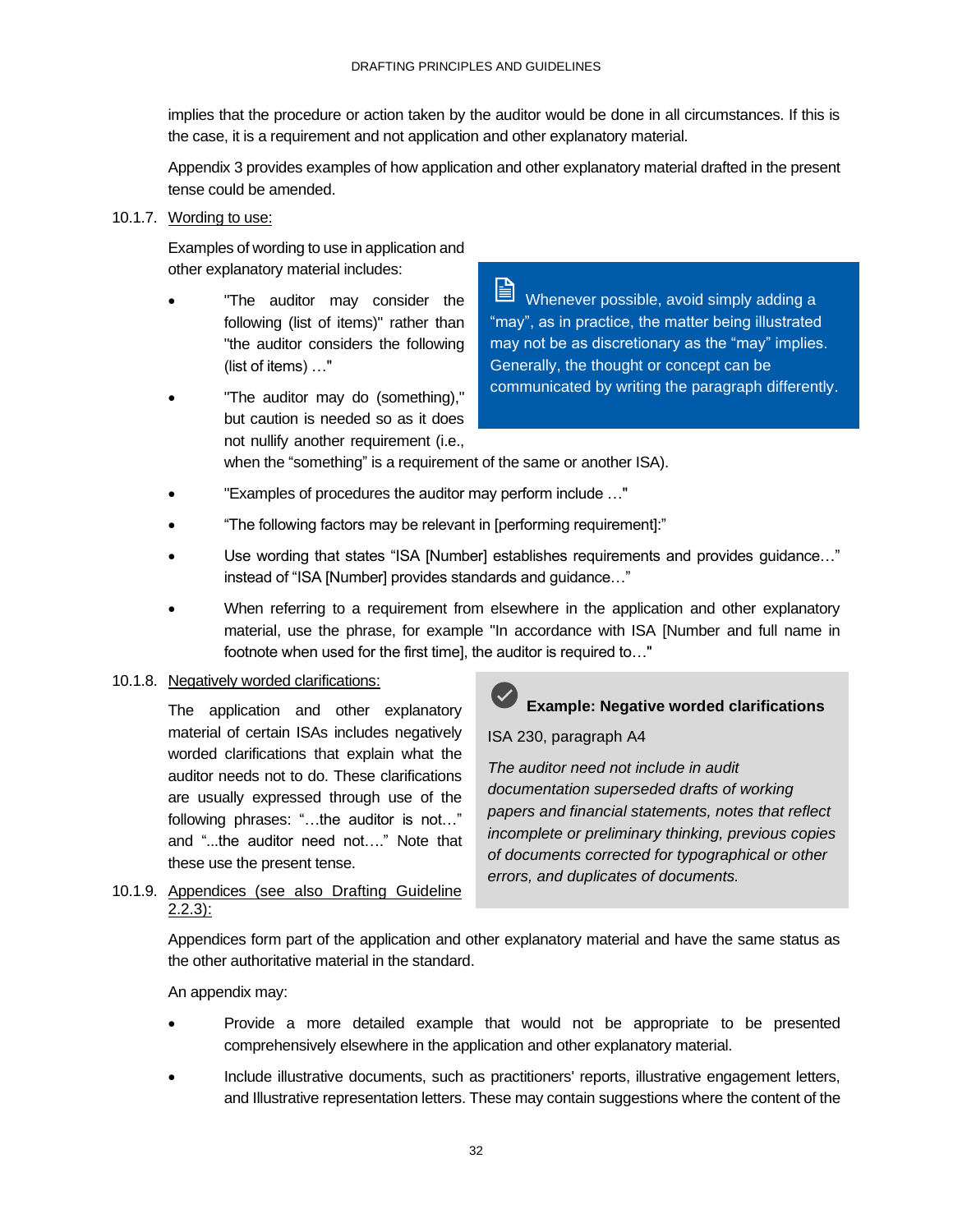implies that the procedure or action taken by the auditor would be done in all circumstances. If this is the case, it is a requirement and not application and other explanatory material.

Appendix 3 provides examples of how application and other explanatory material drafted in the present tense could be amended.

### 10.1.7. Wording to use:

Examples of wording to use in application and other explanatory material includes:

- "The auditor may consider the following (list of items)" rather than "the auditor considers the following (list of items) …"
- "The auditor may do (something)," but caution is needed so as it does not nullify another requirement (i.e.,

B. Whenever possible, avoid simply adding a "may", as in practice, the matter being illustrated may not be as discretionary as the "may" implies. Generally, the thought or concept can be communicated by writing the paragraph differently.

when the "something" is a requirement of the same or another ISA).

- "Examples of procedures the auditor may perform include …"
- "The following factors may be relevant in [performing requirement]:"
- Use wording that states "ISA [Number] establishes requirements and provides guidance..." instead of "ISA [Number] provides standards and guidance…"
- When referring to a requirement from elsewhere in the application and other explanatory material, use the phrase, for example "In accordance with ISA [Number and full name in footnote when used for the first timel, the auditor is required to..."

### 10.1.8. Negatively worded clarifications:

The application and other explanatory material of certain ISAs includes negatively worded clarifications that explain what the auditor needs not to do. These clarifications are usually expressed through use of the following phrases: "…the auditor is not…" and "...the auditor need not…." Note that these use the present tense.

10.1.9. Appendices (see also Drafting Guideline  $2.2.3$ :



### **Example: Negative worded clarifications**

### ISA 230, paragraph A4

*The auditor need not include in audit documentation superseded drafts of working papers and financial statements, notes that reflect incomplete or preliminary thinking, previous copies of documents corrected for typographical or other errors, and duplicates of documents.* 

Appendices form part of the application and other explanatory material and have the same status as the other authoritative material in the standard.

### An appendix may:

- Provide a more detailed example that would not be appropriate to be presented comprehensively elsewhere in the application and other explanatory material.
- Include illustrative documents, such as practitioners' reports, illustrative engagement letters, and Illustrative representation letters. These may contain suggestions where the content of the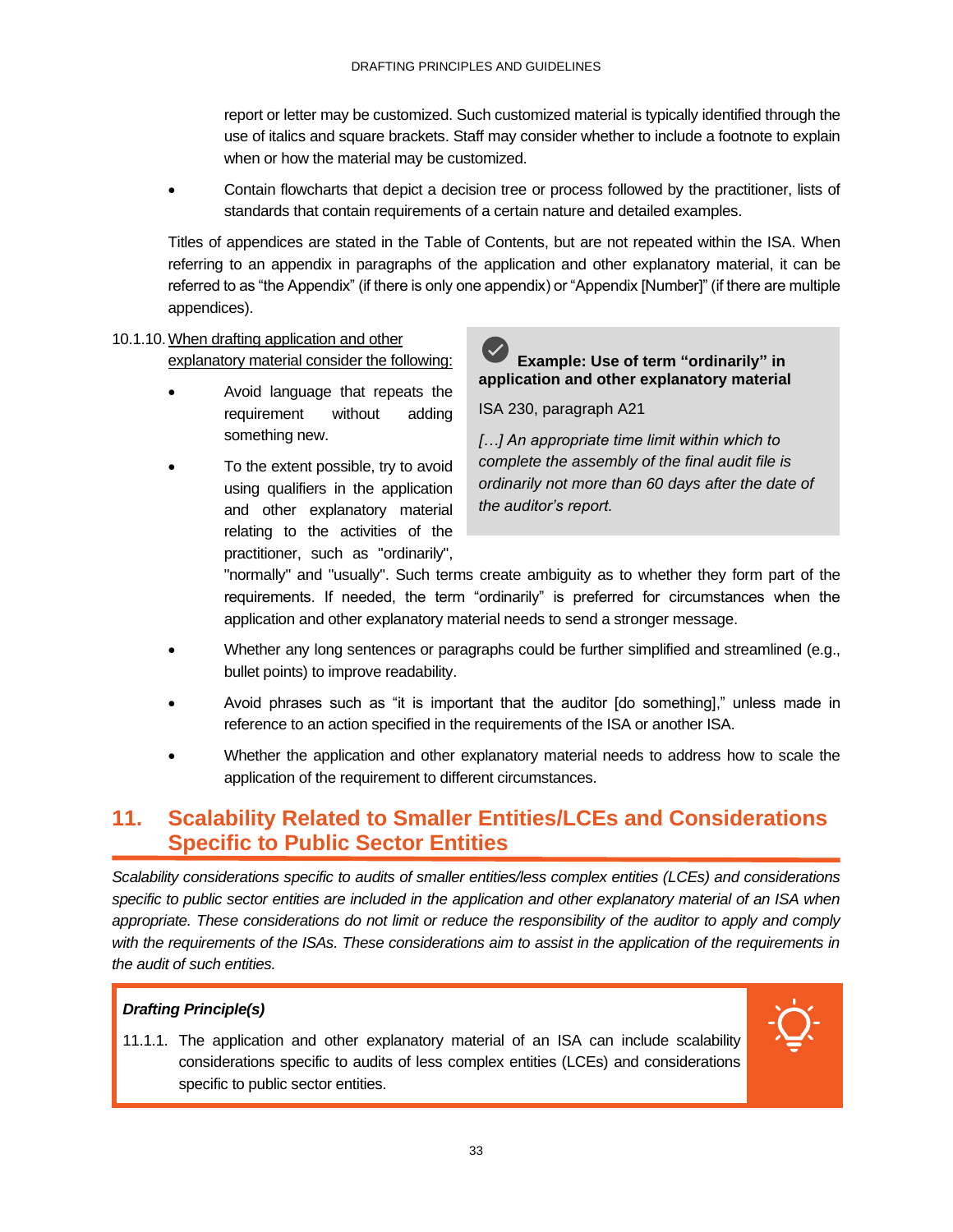report or letter may be customized. Such customized material is typically identified through the use of italics and square brackets. Staff may consider whether to include a footnote to explain when or how the material may be customized.

• Contain flowcharts that depict a decision tree or process followed by the practitioner, lists of standards that contain requirements of a certain nature and detailed examples.

Titles of appendices are stated in the Table of Contents, but are not repeated within the ISA. When referring to an appendix in paragraphs of the application and other explanatory material, it can be referred to as "the Appendix" (if there is only one appendix) or "Appendix [Number]" (if there are multiple appendices).

### 10.1.10.When drafting application and other explanatory material consider the following:

- Avoid language that repeats the requirement without adding something new.
- To the extent possible, try to avoid using qualifiers in the application and other explanatory material relating to the activities of the practitioner, such as "ordinarily",



ISA 230, paragraph A21

*[…] An appropriate time limit within which to complete the assembly of the final audit file is ordinarily not more than 60 days after the date of the auditor's report.* 

"normally" and "usually". Such terms create ambiguity as to whether they form part of the requirements. If needed, the term "ordinarily" is preferred for circumstances when the application and other explanatory material needs to send a stronger message.

- Whether any long sentences or paragraphs could be further simplified and streamlined (e.g., bullet points) to improve readability.
- Avoid phrases such as "it is important that the auditor [do something]," unless made in reference to an action specified in the requirements of the ISA or another ISA.
- Whether the application and other explanatory material needs to address how to scale the application of the requirement to different circumstances.

### <span id="page-35-0"></span>**11. Scalability Related to Smaller Entities/LCEs and Considerations Specific to Public Sector Entities**

*Scalability considerations specific to audits of smaller entities/less complex entities (LCEs) and considerations specific to public sector entities are included in the application and other explanatory material of an ISA when*  appropriate. These considerations do not limit or reduce the responsibility of the auditor to apply and comply with the requirements of the ISAs. These considerations aim to assist in the application of the requirements in *the audit of such entities.*

### *Drafting Principle(s)*

11.1.1. The application and other explanatory material of an ISA can include scalability considerations specific to audits of less complex entities (LCEs) and considerations specific to public sector entities.

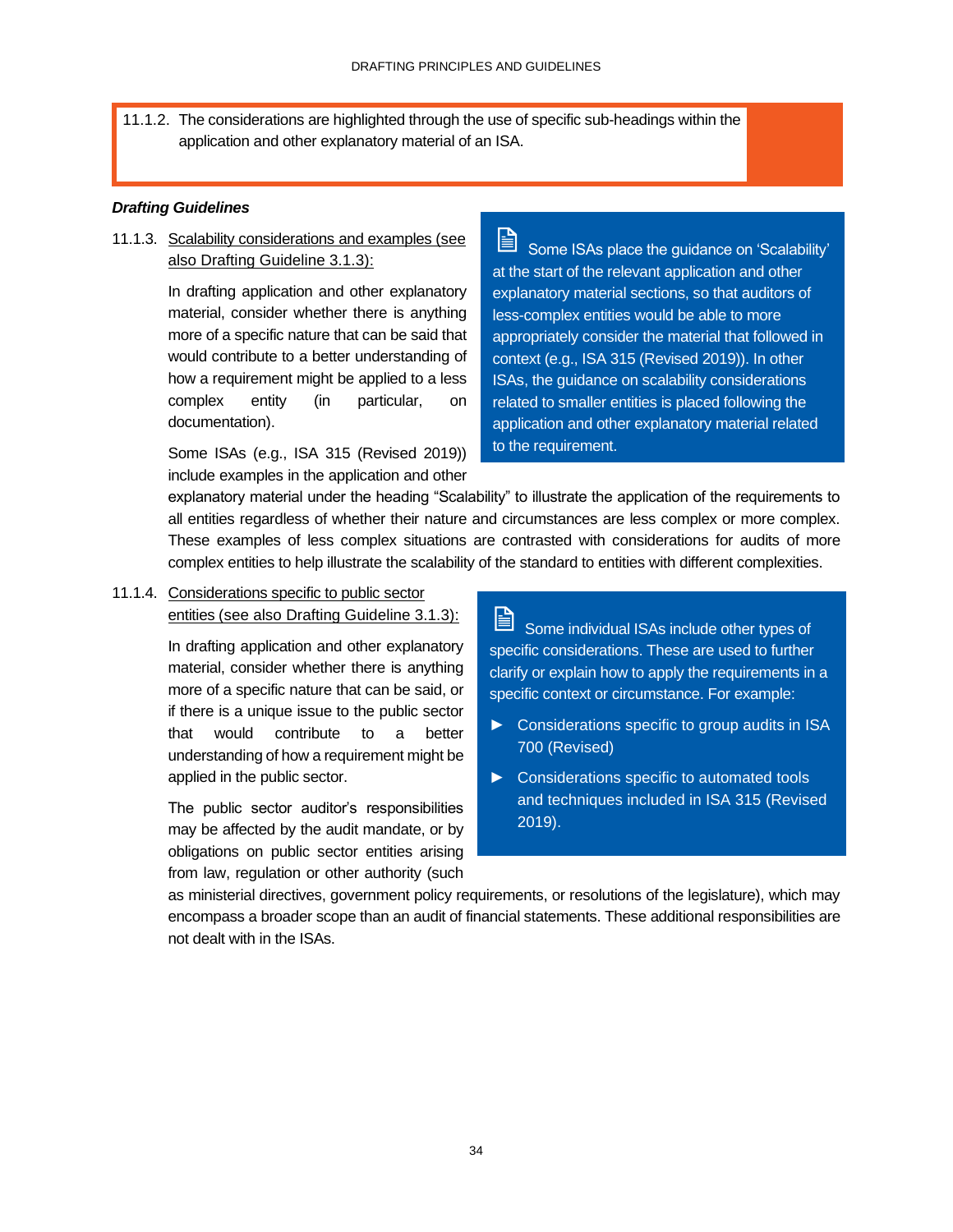11.1.2. The considerations are highlighted through the use of specific sub-headings within the application and other explanatory material of an ISA.

#### *Drafting Guidelines*

11.1.3. Scalability considerations and examples (see also Drafting Guideline 3.1.3):

> In drafting application and other explanatory material, consider whether there is anything more of a specific nature that can be said that would contribute to a better understanding of how a requirement might be applied to a less complex entity (in particular, on documentation).

> Some ISAs (e.g., ISA 315 (Revised 2019)) include examples in the application and other

訚 Some ISAs place the guidance on 'Scalability' at the start of the relevant application and other explanatory material sections, so that auditors of less-complex entities would be able to more appropriately consider the material that followed in context (e.g., ISA 315 (Revised 2019)). In other ISAs, the guidance on scalability considerations related to smaller entities is placed following the application and other explanatory material related to the requirement.

explanatory material under the heading "Scalability" to illustrate the application of the requirements to all entities regardless of whether their nature and circumstances are less complex or more complex. These examples of less complex situations are contrasted with considerations for audits of more complex entities to help illustrate the scalability of the standard to entities with different complexities.

11.1.4. Considerations specific to public sector entities (see also Drafting Guideline 3.1.3):

> In drafting application and other explanatory material, consider whether there is anything more of a specific nature that can be said, or if there is a unique issue to the public sector that would contribute to a better understanding of how a requirement might be applied in the public sector.

> The public sector auditor's responsibilities may be affected by the audit mandate, or by obligations on public sector entities arising from law, regulation or other authority (such

# F

Some individual ISAs include other types of specific considerations. These are used to further clarify or explain how to apply the requirements in a specific context or circumstance. For example:

- ► Considerations specific to group audits in ISA 700 (Revised)
- ► Considerations specific to automated tools and techniques included in ISA 315 (Revised 2019).

as ministerial directives, government policy requirements, or resolutions of the legislature), which may encompass a broader scope than an audit of financial statements. These additional responsibilities are not dealt with in the ISAs.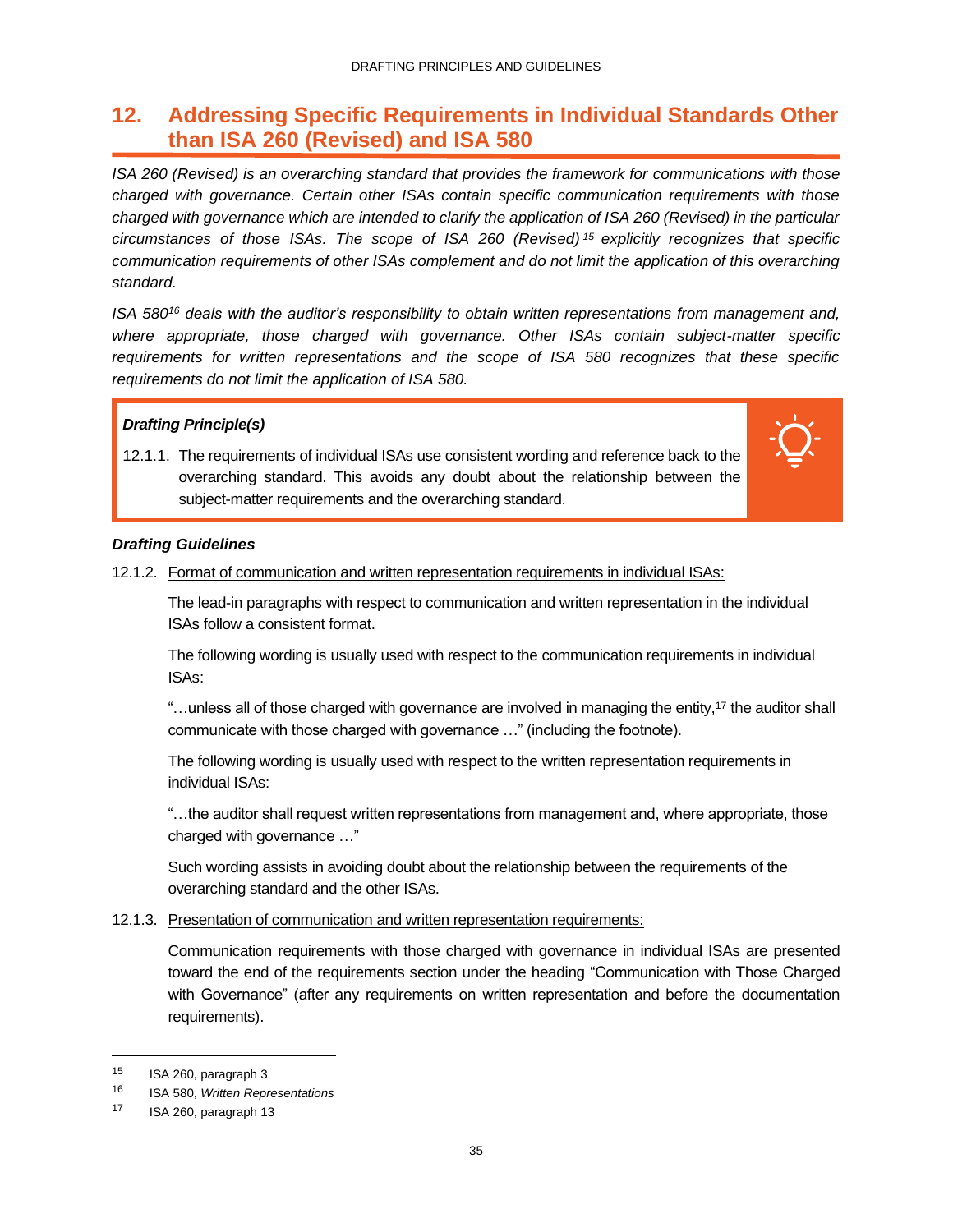### <span id="page-37-0"></span>**12. Addressing Specific Requirements in Individual Standards Other than ISA 260 (Revised) and ISA 580**

*ISA 260 (Revised) is an overarching standard that provides the framework for communications with those charged with governance. Certain other ISAs contain specific communication requirements with those charged with governance which are intended to clarify the application of ISA 260 (Revised) in the particular circumstances of those ISAs. The scope of ISA 260 (Revised) <sup>15</sup> explicitly recognizes that specific communication requirements of other ISAs complement and do not limit the application of this overarching standard.*

*ISA 580<sup>16</sup> deals with the auditor's responsibility to obtain written representations from management and, where appropriate, those charged with governance. Other ISAs contain subject-matter specific requirements for written representations and the scope of ISA 580 recognizes that these specific requirements do not limit the application of ISA 580.*

### *Drafting Principle(s)*

12.1.1. The requirements of individual ISAs use consistent wording and reference back to the overarching standard. This avoids any doubt about the relationship between the subject-matter requirements and the overarching standard.



### *Drafting Guidelines*

12.1.2. Format of communication and written representation requirements in individual ISAs:

The lead-in paragraphs with respect to communication and written representation in the individual ISAs follow a consistent format.

The following wording is usually used with respect to the communication requirements in individual ISAs:

"…unless all of those charged with governance are involved in managing the entity,<sup>17</sup> the auditor shall communicate with those charged with governance …" (including the footnote).

The following wording is usually used with respect to the written representation requirements in individual ISAs:

"…the auditor shall request written representations from management and, where appropriate, those charged with governance …"

Such wording assists in avoiding doubt about the relationship between the requirements of the overarching standard and the other ISAs.

### 12.1.3. Presentation of communication and written representation requirements:

Communication requirements with those charged with governance in individual ISAs are presented toward the end of the requirements section under the heading "Communication with Those Charged with Governance" (after any requirements on written representation and before the documentation requirements).

<sup>15</sup> ISA 260, paragraph 3

<sup>16</sup> ISA 580, *Written Representations*

<sup>17</sup> ISA 260, paragraph 13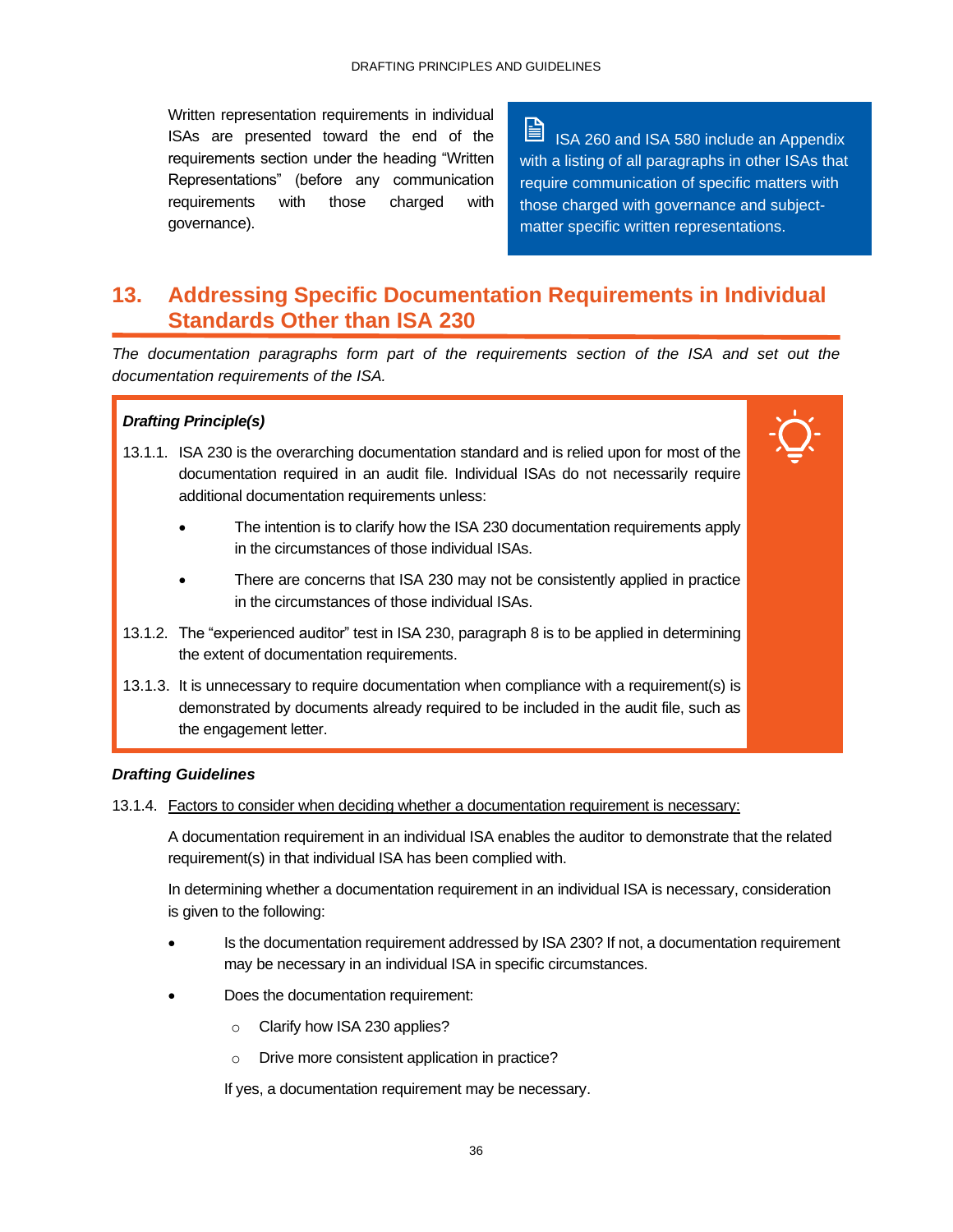Written representation requirements in individual ISAs are presented toward the end of the requirements section under the heading "Written Representations" (before any communication requirements with those charged with governance).

 $\blacksquare$ ISA 260 and ISA 580 include an Appendix with a listing of all paragraphs in other ISAs that require communication of specific matters with those charged with governance and subjectmatter specific written representations.

### <span id="page-38-0"></span>**13. Addressing Specific Documentation Requirements in Individual Standards Other than ISA 230**

*The documentation paragraphs form part of the requirements section of the ISA and set out the documentation requirements of the ISA.*

### *Drafting Principle(s)*

- 13.1.1. ISA 230 is the overarching documentation standard and is relied upon for most of the documentation required in an audit file. Individual ISAs do not necessarily require additional documentation requirements unless:
	- The intention is to clarify how the ISA 230 documentation requirements apply in the circumstances of those individual ISAs.
	- There are concerns that ISA 230 may not be consistently applied in practice in the circumstances of those individual ISAs.
- 13.1.2. The "experienced auditor" test in ISA 230, paragraph 8 is to be applied in determining the extent of documentation requirements.
- 13.1.3. It is unnecessary to require documentation when compliance with a requirement(s) is demonstrated by documents already required to be included in the audit file, such as the engagement letter.

### *Drafting Guidelines*

13.1.4. Factors to consider when deciding whether a documentation requirement is necessary:

A documentation requirement in an individual ISA enables the auditor to demonstrate that the related requirement(s) in that individual ISA has been complied with.

In determining whether a documentation requirement in an individual ISA is necessary, consideration is given to the following:

- Is the documentation requirement addressed by ISA 230? If not, a documentation requirement may be necessary in an individual ISA in specific circumstances.
- Does the documentation requirement:
	- o Clarify how ISA 230 applies?
	- o Drive more consistent application in practice?

If yes, a documentation requirement may be necessary.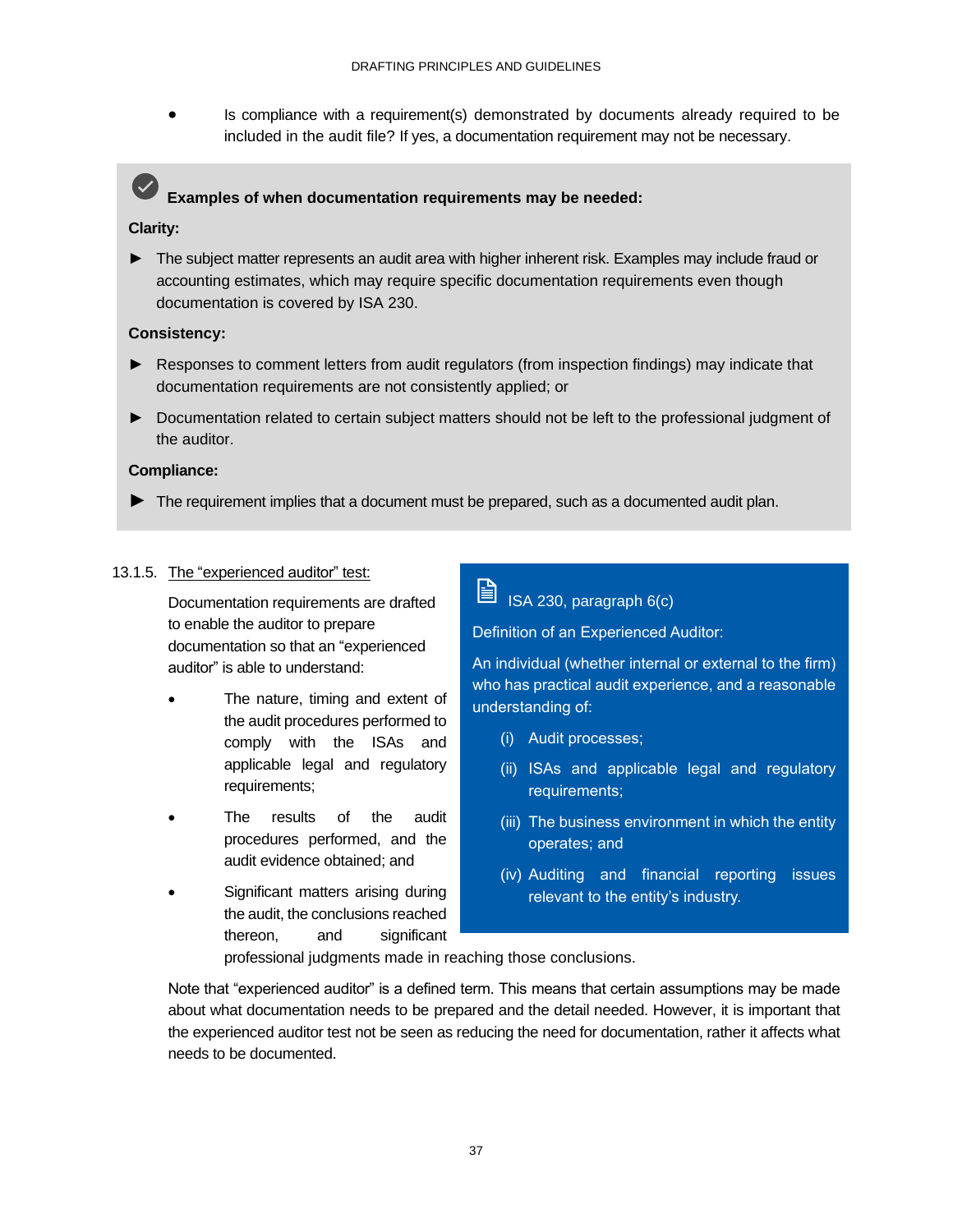• Is compliance with a requirement(s) demonstrated by documents already required to be included in the audit file? If yes, a documentation requirement may not be necessary.

### **Examples of when documentation requirements may be needed:**

### **Clarity:**

► The subject matter represents an audit area with higher inherent risk. Examples may include fraud or accounting estimates, which may require specific documentation requirements even though documentation is covered by ISA 230.

### **Consistency:**

- ► Responses to comment letters from audit regulators (from inspection findings) may indicate that documentation requirements are not consistently applied; or
- ► Documentation related to certain subject matters should not be left to the professional judgment of the auditor.

### **Compliance:**

► The requirement implies that a document must be prepared, such as a documented audit plan.

### 13.1.5. The "experienced auditor" test:

Documentation requirements are drafted to enable the auditor to prepare documentation so that an "experienced auditor" is able to understand:

- The nature, timing and extent of the audit procedures performed to comply with the ISAs and applicable legal and regulatory requirements;
- The results of the audit procedures performed, and the audit evidence obtained; and
- Significant matters arising during the audit, the conclusions reached thereon, and significant

### ISA 230, paragraph 6(c)

Definition of an Experienced Auditor:

An individual (whether internal or external to the firm) who has practical audit experience, and a reasonable understanding of:

- (i) Audit processes;
- (ii) ISAs and applicable legal and regulatory requirements;
- (iii) The business environment in which the entity operates; and
- (iv) Auditing and financial reporting issues relevant to the entity's industry.

professional judgments made in reaching those conclusions.

Note that "experienced auditor" is a defined term. This means that certain assumptions may be made about what documentation needs to be prepared and the detail needed. However, it is important that the experienced auditor test not be seen as reducing the need for documentation, rather it affects what needs to be documented.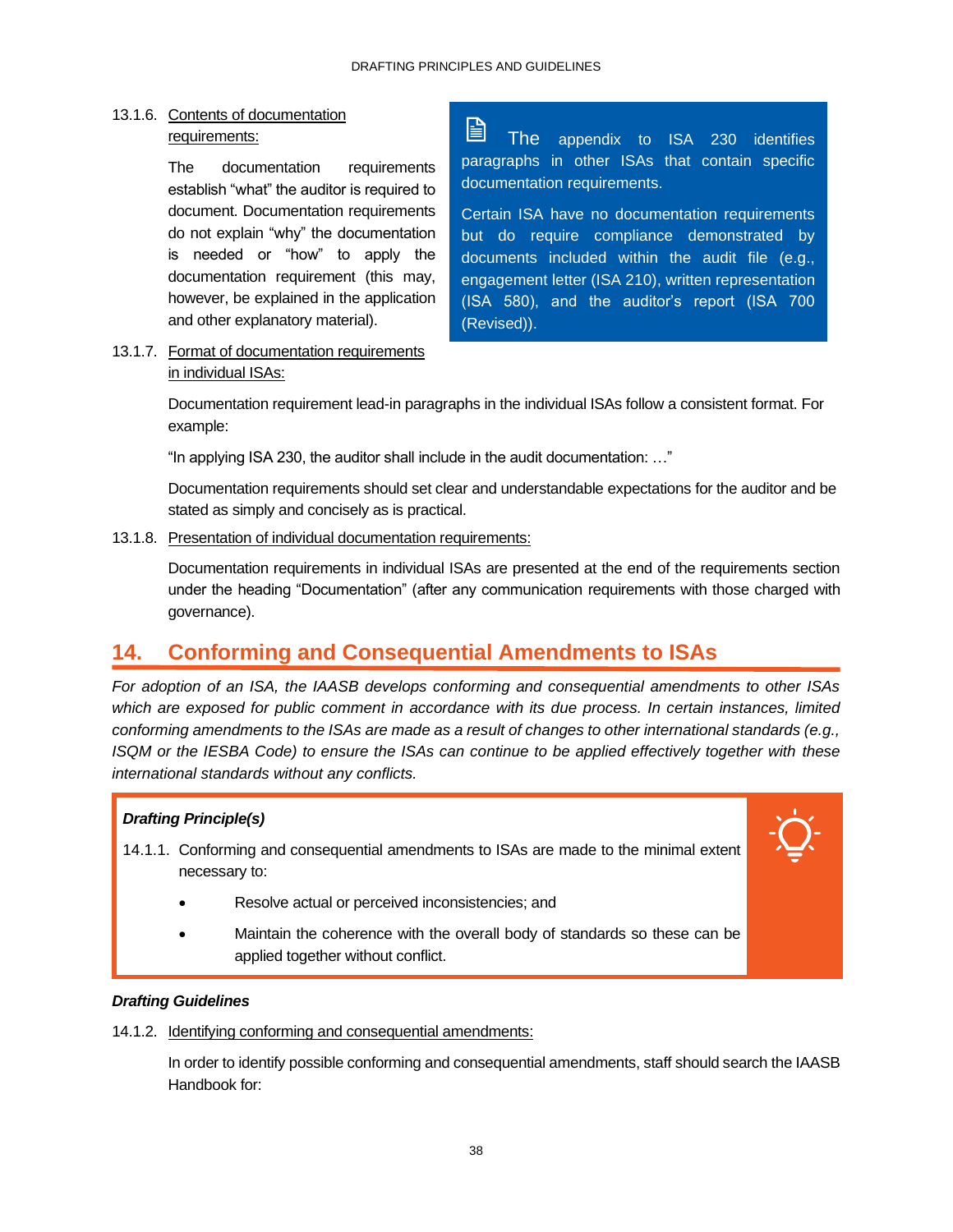### 13.1.6. Contents of documentation requirements:

The documentation requirements establish "what" the auditor is required to document. Documentation requirements do not explain "why" the documentation is needed or "how" to apply the documentation requirement (this may, however, be explained in the application and other explanatory material).

è The appendix to ISA 230 identifies paragraphs in other ISAs that contain specific documentation requirements.

Certain ISA have no documentation requirements but do require compliance demonstrated by documents included within the audit file (e.g., engagement letter (ISA 210), written representation (ISA 580), and the auditor's report (ISA 700 (Revised)).

### 13.1.7. Format of documentation requirements in individual ISAs:

Documentation requirement lead-in paragraphs in the individual ISAs follow a consistent format. For example:

"In applying ISA 230, the auditor shall include in the audit documentation: …"

Documentation requirements should set clear and understandable expectations for the auditor and be stated as simply and concisely as is practical.

13.1.8. Presentation of individual documentation requirements:

Documentation requirements in individual ISAs are presented at the end of the requirements section under the heading "Documentation" (after any communication requirements with those charged with governance).

### <span id="page-40-0"></span>**14. Conforming and Consequential Amendments to ISAs**

*For adoption of an ISA, the IAASB develops conforming and consequential amendments to other ISAs which are exposed for public comment in accordance with its due process. In certain instances, limited conforming amendments to the ISAs are made as a result of changes to other international standards (e.g., ISQM or the IESBA Code) to ensure the ISAs can continue to be applied effectively together with these international standards without any conflicts.* 

### *Drafting Principle(s)*

- 14.1.1. Conforming and consequential amendments to ISAs are made to the minimal extent necessary to:
	- Resolve actual or perceived inconsistencies; and
	- Maintain the coherence with the overall body of standards so these can be applied together without conflict.

### *Drafting Guidelines*

14.1.2. Identifying conforming and consequential amendments:

In order to identify possible conforming and consequential amendments, staff should search the IAASB Handbook for: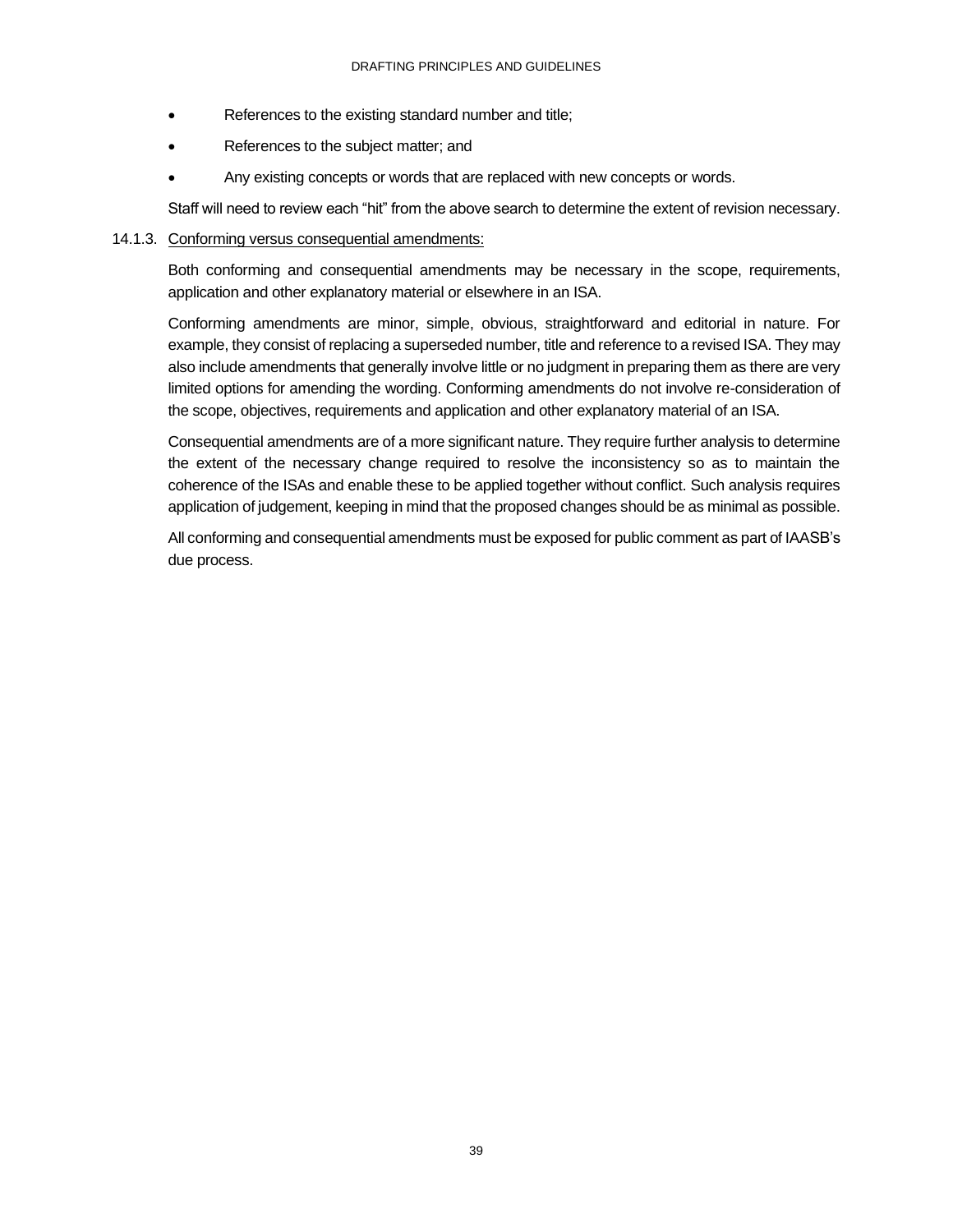- References to the existing standard number and title;
- References to the subject matter; and
- Any existing concepts or words that are replaced with new concepts or words.

Staff will need to review each "hit" from the above search to determine the extent of revision necessary.

### 14.1.3. Conforming versus consequential amendments:

Both conforming and consequential amendments may be necessary in the scope, requirements, application and other explanatory material or elsewhere in an ISA.

Conforming amendments are minor, simple, obvious, straightforward and editorial in nature. For example, they consist of replacing a superseded number, title and reference to a revised ISA. They may also include amendments that generally involve little or no judgment in preparing them as there are very limited options for amending the wording. Conforming amendments do not involve re-consideration of the scope, objectives, requirements and application and other explanatory material of an ISA.

Consequential amendments are of a more significant nature. They require further analysis to determine the extent of the necessary change required to resolve the inconsistency so as to maintain the coherence of the ISAs and enable these to be applied together without conflict. Such analysis requires application of judgement, keeping in mind that the proposed changes should be as minimal as possible.

All conforming and consequential amendments must be exposed for public comment as part of IAASB's due process.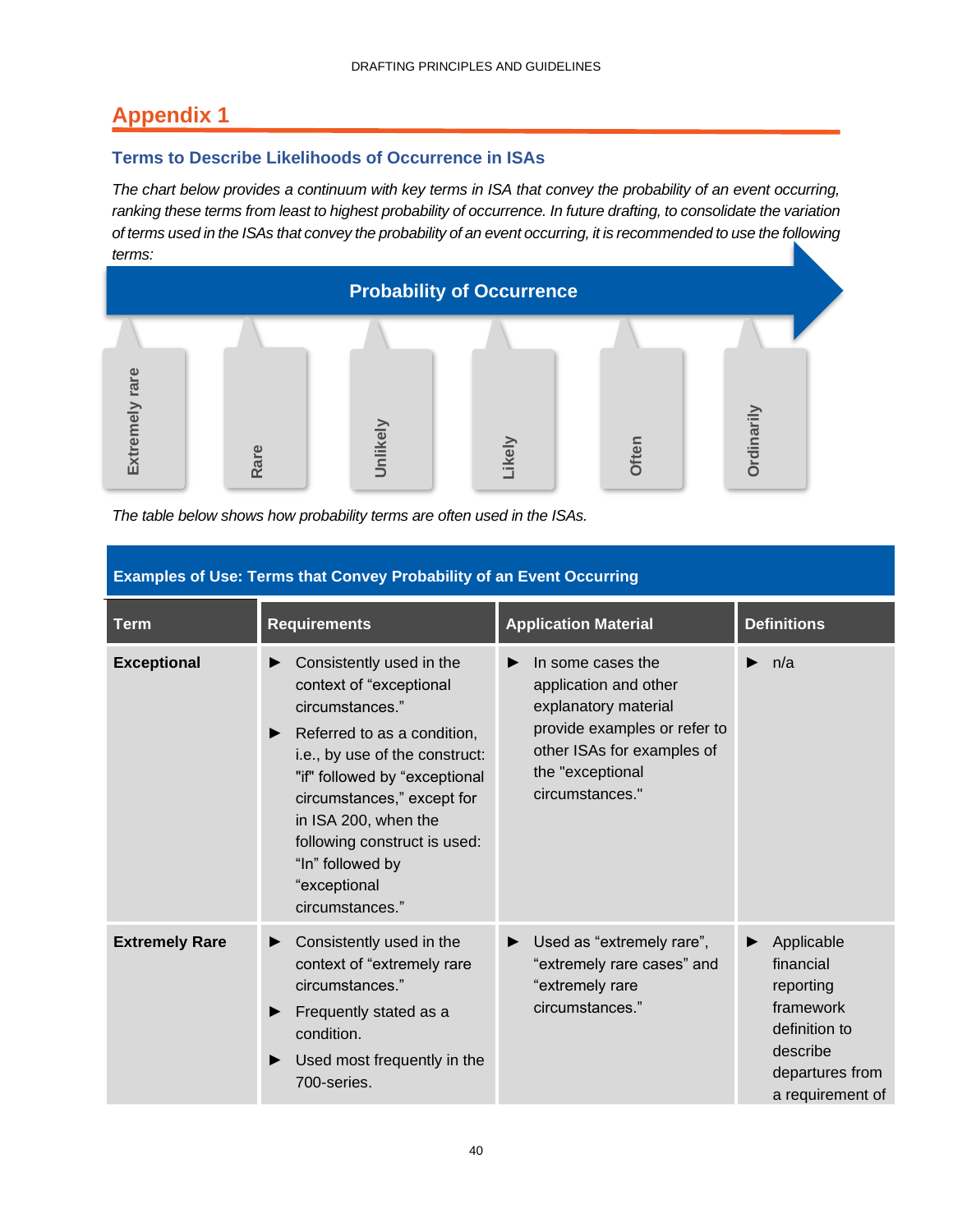# <span id="page-42-0"></span>**Appendix 1**

### **Terms to Describe Likelihoods of Occurrence in ISAs**

*The chart below provides a continuum with key terms in ISA that convey the probability of an event occurring, ranking these terms from least to highest probability of occurrence. In future drafting, to consolidate the variation of terms used in the ISAs that convey the probability of an event occurring, it is recommended to use the following terms:*



*The table below shows how probability terms are often used in the ISAs.*

| <b>Term</b>           | <b>Requirements</b>                                                                                                                                                                                                                                                                                                        | <b>Application Material</b>                                                                                                                                                  | <b>Definitions</b>                                                                                                    |
|-----------------------|----------------------------------------------------------------------------------------------------------------------------------------------------------------------------------------------------------------------------------------------------------------------------------------------------------------------------|------------------------------------------------------------------------------------------------------------------------------------------------------------------------------|-----------------------------------------------------------------------------------------------------------------------|
| <b>Exceptional</b>    | Consistently used in the<br>context of "exceptional<br>circumstances."<br>Referred to as a condition,<br>▶<br>i.e., by use of the construct:<br>"if" followed by "exceptional<br>circumstances," except for<br>in ISA 200, when the<br>following construct is used:<br>"In" followed by<br>"exceptional<br>circumstances." | In some cases the<br>▶<br>application and other<br>explanatory material<br>provide examples or refer to<br>other ISAs for examples of<br>the "exceptional<br>circumstances." | n/a<br>▶                                                                                                              |
| <b>Extremely Rare</b> | Consistently used in the<br>▶<br>context of "extremely rare<br>circumstances."<br>Frequently stated as a<br>condition.<br>Used most frequently in the<br>700-series.                                                                                                                                                       | Used as "extremely rare",<br>▶<br>"extremely rare cases" and<br>"extremely rare<br>circumstances."                                                                           | Applicable<br>financial<br>reporting<br>framework<br>definition to<br>describe<br>departures from<br>a requirement of |

### **Examples of Use: Terms that Convey Probability of an Event Occurring**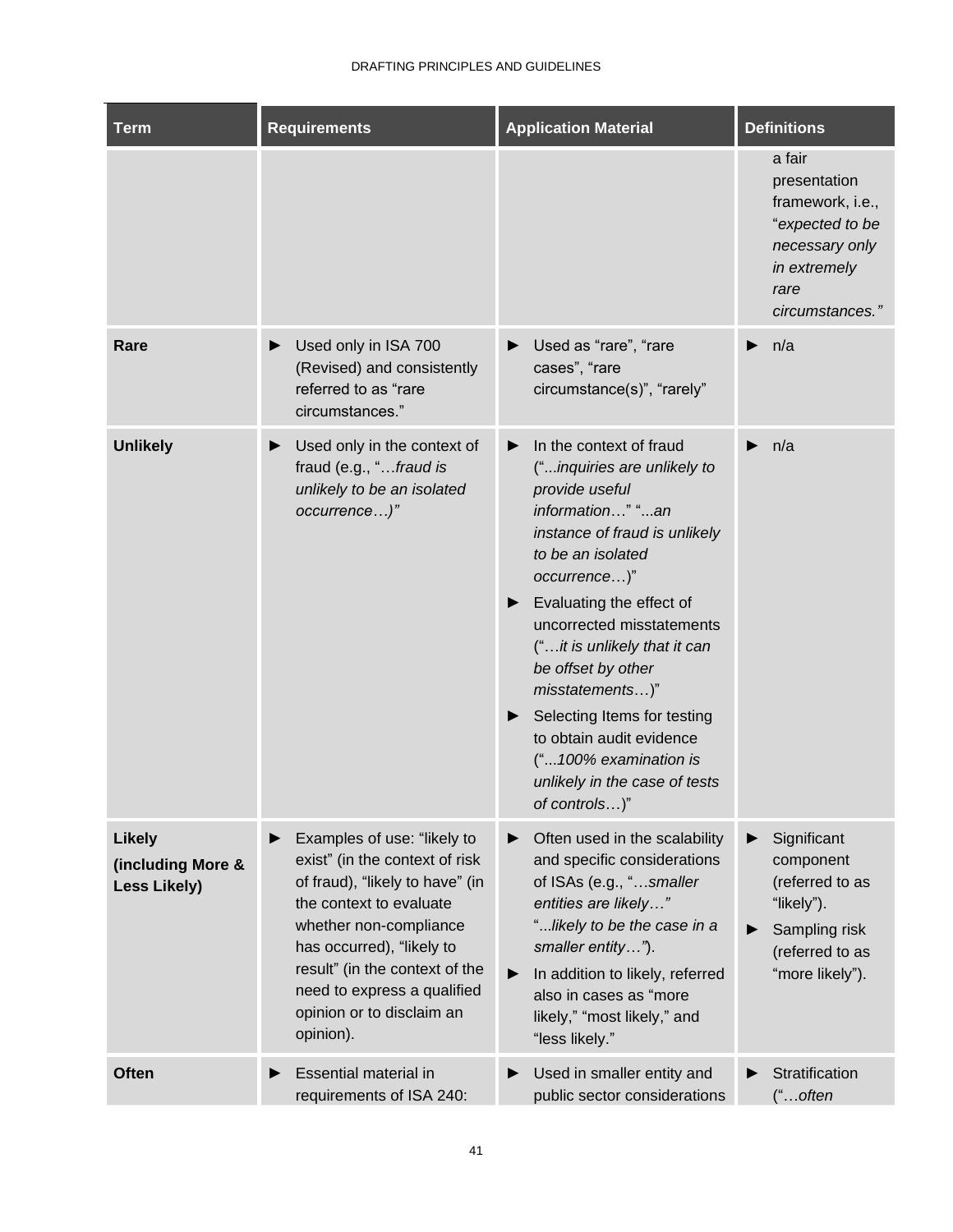| <b>Term</b>                                               | <b>Requirements</b>                                                                                                                                                                                                                                                                           | <b>Application Material</b>                                                                                                                                                                                                                                                                                                                                                                                                                                                   | <b>Definitions</b>                                                                                                         |
|-----------------------------------------------------------|-----------------------------------------------------------------------------------------------------------------------------------------------------------------------------------------------------------------------------------------------------------------------------------------------|-------------------------------------------------------------------------------------------------------------------------------------------------------------------------------------------------------------------------------------------------------------------------------------------------------------------------------------------------------------------------------------------------------------------------------------------------------------------------------|----------------------------------------------------------------------------------------------------------------------------|
|                                                           |                                                                                                                                                                                                                                                                                               |                                                                                                                                                                                                                                                                                                                                                                                                                                                                               | a fair<br>presentation<br>framework, i.e.,<br>"expected to be<br>necessary only<br>in extremely<br>rare<br>circumstances." |
| Rare                                                      | Used only in ISA 700<br>(Revised) and consistently<br>referred to as "rare<br>circumstances."                                                                                                                                                                                                 | Used as "rare", "rare<br>▶<br>cases", "rare<br>circumstance(s)", "rarely"                                                                                                                                                                                                                                                                                                                                                                                                     | n/a<br>▶                                                                                                                   |
| <b>Unlikely</b>                                           | Used only in the context of<br>fraud (e.g., "fraud is<br>unlikely to be an isolated<br>occurrence)"                                                                                                                                                                                           | In the context of fraud<br>▶<br>("inquiries are unlikely to<br>provide useful<br>information" "an<br>instance of fraud is unlikely<br>to be an isolated<br>occurrence)"<br>Evaluating the effect of<br>$\blacktriangleright$<br>uncorrected misstatements<br>("it is unlikely that it can<br>be offset by other<br>misstatements)"<br>Selecting Items for testing<br>▶<br>to obtain audit evidence<br>("100% examination is<br>unlikely in the case of tests<br>of controls)" | n/a                                                                                                                        |
| <b>Likely</b><br>(including More &<br><b>Less Likely)</b> | Examples of use: "likely to<br>exist" (in the context of risk<br>of fraud), "likely to have" (in<br>the context to evaluate<br>whether non-compliance<br>has occurred), "likely to<br>result" (in the context of the<br>need to express a qualified<br>opinion or to disclaim an<br>opinion). | Often used in the scalability<br>▶<br>and specific considerations<br>of ISAs (e.g., "smaller<br>entities are likely"<br>"likely to be the case in a<br>smaller entity").<br>In addition to likely, referred<br>▶<br>also in cases as "more<br>likely," "most likely," and<br>"less likely."                                                                                                                                                                                   | Significant<br>▶<br>component<br>(referred to as<br>"likely").<br>Sampling risk<br>(referred to as<br>"more likely").      |
| <b>Often</b>                                              | Essential material in<br>requirements of ISA 240:                                                                                                                                                                                                                                             | Used in smaller entity and<br>$\blacktriangleright$<br>public sector considerations                                                                                                                                                                                                                                                                                                                                                                                           | Stratification<br>$"$ often                                                                                                |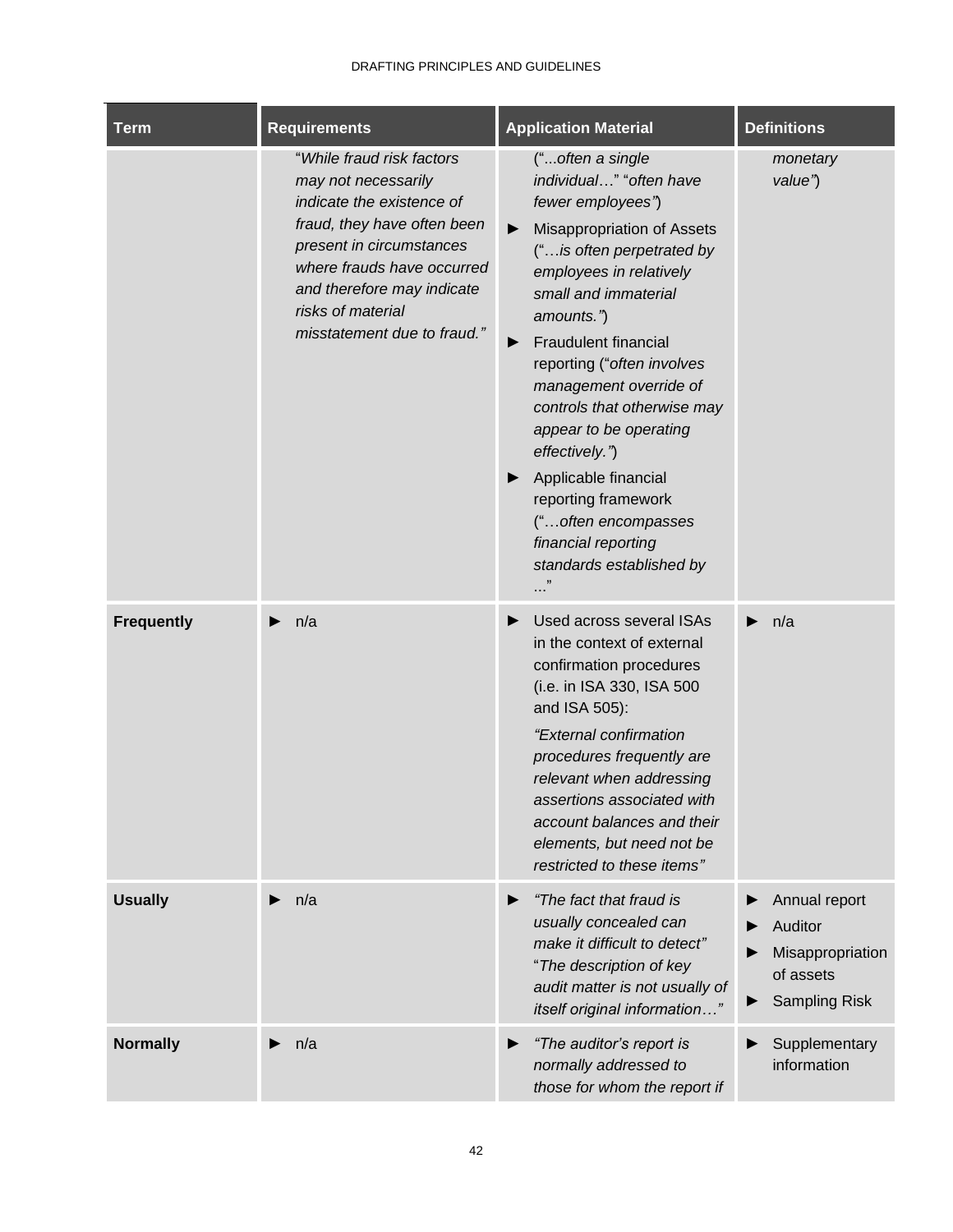| <b>Term</b>       | <b>Requirements</b>                                                                                                                                                                                                                                      | <b>Application Material</b>                                                                                                                                                                                                                                                                                                                                                                                                                                                                                                         | <b>Definitions</b>                                                                |
|-------------------|----------------------------------------------------------------------------------------------------------------------------------------------------------------------------------------------------------------------------------------------------------|-------------------------------------------------------------------------------------------------------------------------------------------------------------------------------------------------------------------------------------------------------------------------------------------------------------------------------------------------------------------------------------------------------------------------------------------------------------------------------------------------------------------------------------|-----------------------------------------------------------------------------------|
|                   | "While fraud risk factors<br>may not necessarily<br>indicate the existence of<br>fraud, they have often been<br>present in circumstances<br>where frauds have occurred<br>and therefore may indicate<br>risks of material<br>misstatement due to fraud." | ("often a single<br>individual" "often have<br>fewer employees")<br>Misappropriation of Assets<br>▶<br>("is often perpetrated by<br>employees in relatively<br>small and immaterial<br>amounts.")<br><b>Fraudulent financial</b><br>$\blacktriangleright$<br>reporting ("often involves<br>management override of<br>controls that otherwise may<br>appear to be operating<br>effectively.")<br>Applicable financial<br>reporting framework<br>("often encompasses<br>financial reporting<br>standards established by<br>$\cdots$ " | monetary<br>value")                                                               |
| <b>Frequently</b> | n/a<br>▶                                                                                                                                                                                                                                                 | Used across several ISAs<br>▶<br>in the context of external<br>confirmation procedures<br>(i.e. in ISA 330, ISA 500<br>and ISA 505):<br>"External confirmation<br>procedures frequently are<br>relevant when addressing<br>assertions associated with<br>account balances and their<br>elements, but need not be<br>restricted to these items"                                                                                                                                                                                      | n/a                                                                               |
| <b>Usually</b>    | n/a<br>▶                                                                                                                                                                                                                                                 | "The fact that fraud is<br>▶<br>usually concealed can<br>make it difficult to detect"<br>"The description of key<br>audit matter is not usually of<br>itself original information"                                                                                                                                                                                                                                                                                                                                                  | Annual report<br>Auditor<br>Misappropriation<br>of assets<br><b>Sampling Risk</b> |
| <b>Normally</b>   | n/a                                                                                                                                                                                                                                                      | "The auditor's report is<br>▶<br>normally addressed to<br>those for whom the report if                                                                                                                                                                                                                                                                                                                                                                                                                                              | Supplementary<br>information                                                      |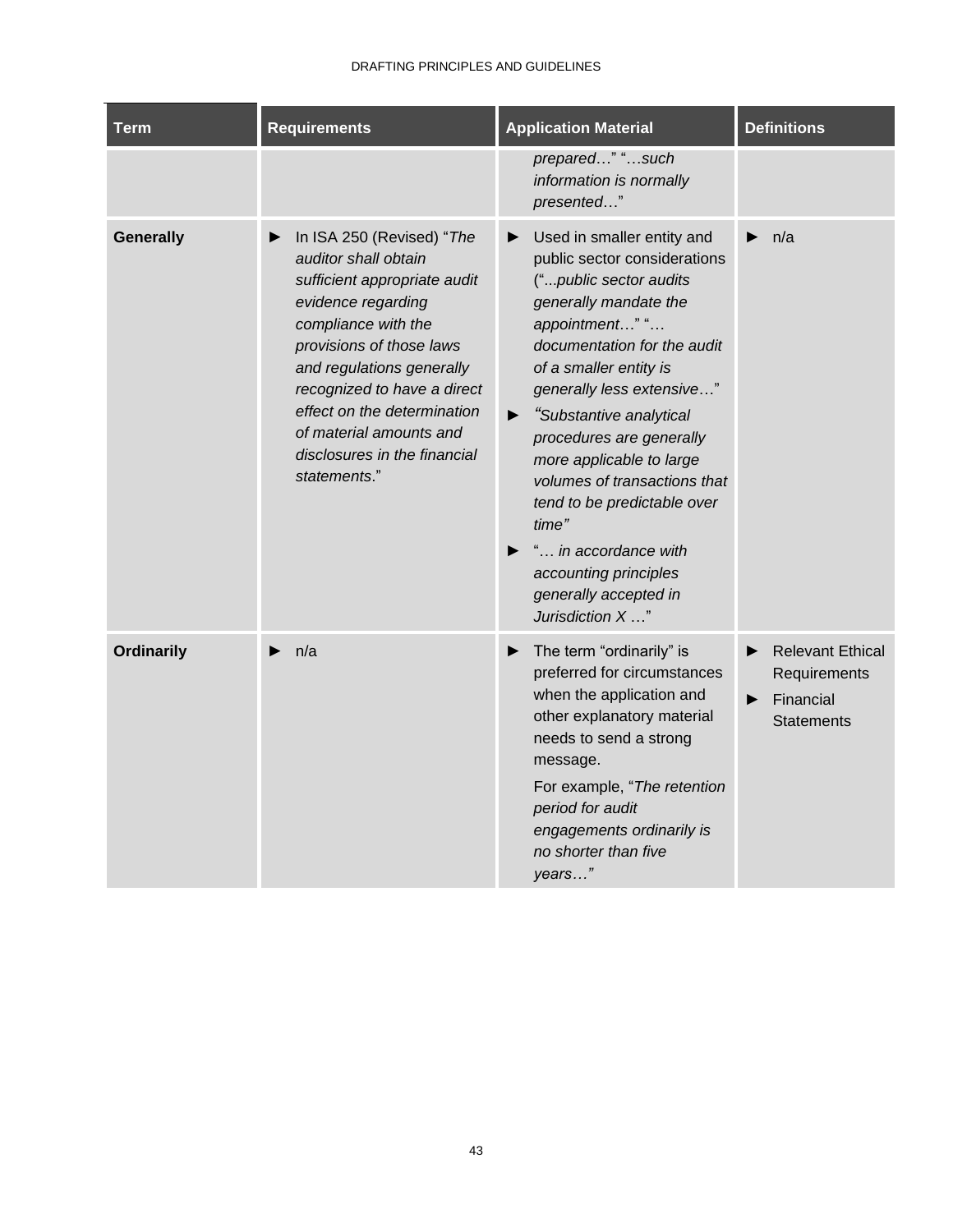| <b>Term</b>       | <b>Requirements</b>                                                                                                                                                                                                                                                                                                              | <b>Application Material</b>                                                                                                                                                                                                                                                                                                                                                                                                                                                                                       | <b>Definitions</b>                                                             |
|-------------------|----------------------------------------------------------------------------------------------------------------------------------------------------------------------------------------------------------------------------------------------------------------------------------------------------------------------------------|-------------------------------------------------------------------------------------------------------------------------------------------------------------------------------------------------------------------------------------------------------------------------------------------------------------------------------------------------------------------------------------------------------------------------------------------------------------------------------------------------------------------|--------------------------------------------------------------------------------|
|                   |                                                                                                                                                                                                                                                                                                                                  | prepared" "such<br>information is normally<br>presented"                                                                                                                                                                                                                                                                                                                                                                                                                                                          |                                                                                |
| <b>Generally</b>  | In ISA 250 (Revised) "The<br>auditor shall obtain<br>sufficient appropriate audit<br>evidence regarding<br>compliance with the<br>provisions of those laws<br>and regulations generally<br>recognized to have a direct<br>effect on the determination<br>of material amounts and<br>disclosures in the financial<br>statements." | Used in smaller entity and<br>▶<br>public sector considerations<br>("public sector audits<br>generally mandate the<br>appointment" "<br>documentation for the audit<br>of a smaller entity is<br>generally less extensive"<br>"Substantive analytical<br>$\blacktriangleright$<br>procedures are generally<br>more applicable to large<br>volumes of transactions that<br>tend to be predictable over<br>time"<br>" in accordance with<br>▶<br>accounting principles<br>generally accepted in<br>Jurisdiction X " | n/a                                                                            |
| <b>Ordinarily</b> | n/a                                                                                                                                                                                                                                                                                                                              | The term "ordinarily" is<br>▶<br>preferred for circumstances<br>when the application and<br>other explanatory material<br>needs to send a strong<br>message.<br>For example, "The retention<br>period for audit<br>engagements ordinarily is<br>no shorter than five<br>years"                                                                                                                                                                                                                                    | <b>Relevant Ethical</b><br>▶<br>Requirements<br>Financial<br><b>Statements</b> |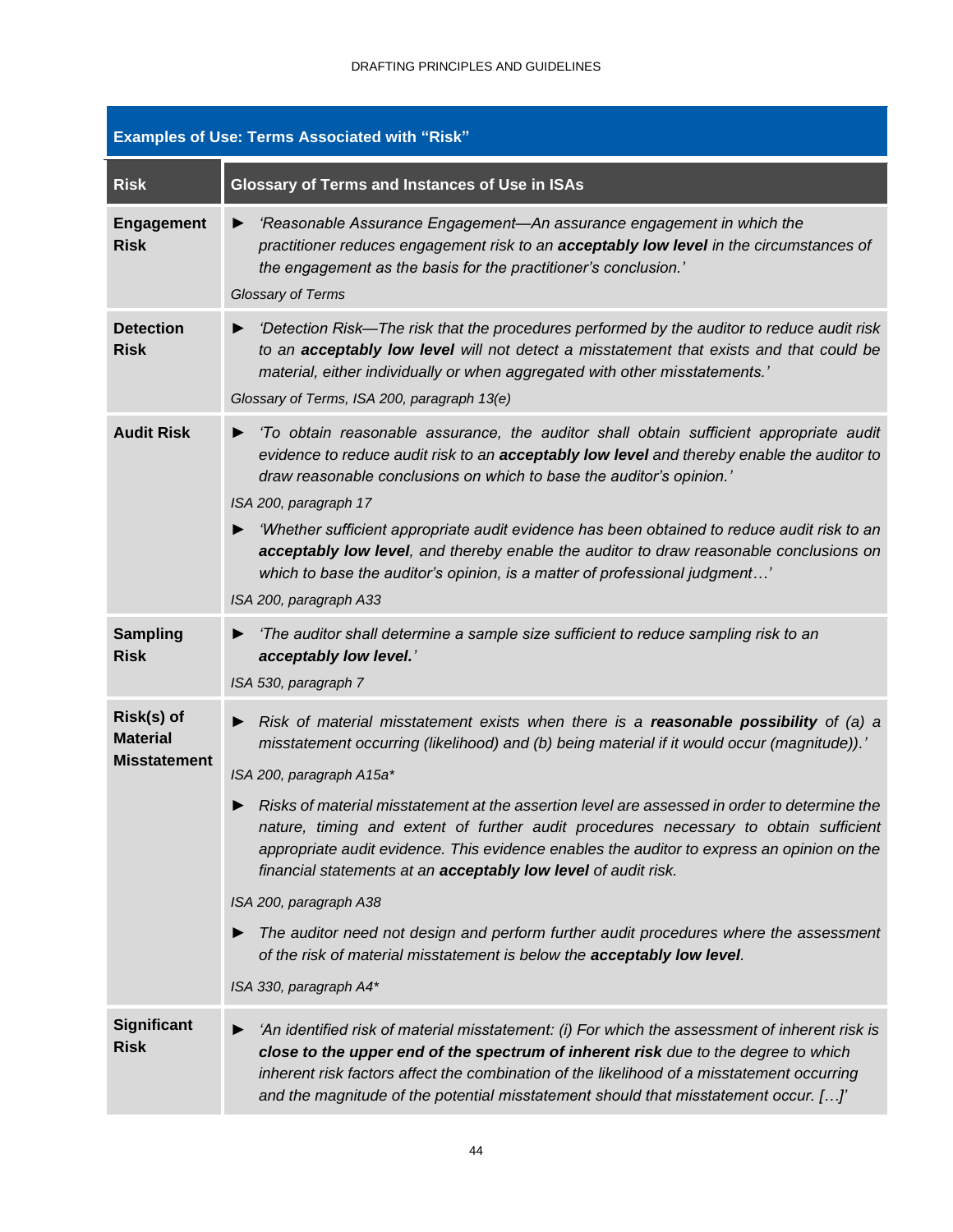|                                                      | <b>Examples of Use: Terms Associated with "Risk"</b>                                                                                                                                                                                                                                                                                                                                                                                                                                                                                                                                                                                                                                                                                                                                                   |
|------------------------------------------------------|--------------------------------------------------------------------------------------------------------------------------------------------------------------------------------------------------------------------------------------------------------------------------------------------------------------------------------------------------------------------------------------------------------------------------------------------------------------------------------------------------------------------------------------------------------------------------------------------------------------------------------------------------------------------------------------------------------------------------------------------------------------------------------------------------------|
| <b>Risk</b>                                          | Glossary of Terms and Instances of Use in ISAs                                                                                                                                                                                                                                                                                                                                                                                                                                                                                                                                                                                                                                                                                                                                                         |
| <b>Engagement</b><br><b>Risk</b>                     | 'Reasonable Assurance Engagement-An assurance engagement in which the<br>▶<br>practitioner reduces engagement risk to an acceptably low level in the circumstances of<br>the engagement as the basis for the practitioner's conclusion.'<br>Glossary of Terms                                                                                                                                                                                                                                                                                                                                                                                                                                                                                                                                          |
| <b>Detection</b><br><b>Risk</b>                      | 'Detection Risk—The risk that the procedures performed by the auditor to reduce audit risk<br>▶<br>to an acceptably low level will not detect a misstatement that exists and that could be<br>material, either individually or when aggregated with other misstatements.'<br>Glossary of Terms, ISA 200, paragraph 13(e)                                                                                                                                                                                                                                                                                                                                                                                                                                                                               |
| <b>Audit Risk</b>                                    | 'To obtain reasonable assurance, the auditor shall obtain sufficient appropriate audit<br>▶<br>evidence to reduce audit risk to an acceptably low level and thereby enable the auditor to<br>draw reasonable conclusions on which to base the auditor's opinion.'<br>ISA 200, paragraph 17                                                                                                                                                                                                                                                                                                                                                                                                                                                                                                             |
|                                                      | 'Whether sufficient appropriate audit evidence has been obtained to reduce audit risk to an<br>acceptably low level, and thereby enable the auditor to draw reasonable conclusions on<br>which to base the auditor's opinion, is a matter of professional judgment'<br>ISA 200, paragraph A33                                                                                                                                                                                                                                                                                                                                                                                                                                                                                                          |
| <b>Sampling</b><br><b>Risk</b>                       | 'The auditor shall determine a sample size sufficient to reduce sampling risk to an<br>acceptably low level.'<br>ISA 530, paragraph 7                                                                                                                                                                                                                                                                                                                                                                                                                                                                                                                                                                                                                                                                  |
| Risk(s) of<br><b>Material</b><br><b>Misstatement</b> | Risk of material misstatement exists when there is a reasonable possibility of (a) a<br>misstatement occurring (likelihood) and (b) being material if it would occur (magnitude)).'<br>ISA 200, paragraph A15a*<br>Risks of material misstatement at the assertion level are assessed in order to determine the<br>nature, timing and extent of further audit procedures necessary to obtain sufficient<br>appropriate audit evidence. This evidence enables the auditor to express an opinion on the<br>financial statements at an <b>acceptably low level</b> of audit risk.<br>ISA 200, paragraph A38<br>The auditor need not design and perform further audit procedures where the assessment<br>of the risk of material misstatement is below the acceptably low level.<br>ISA 330, paragraph A4* |
| Significant<br><b>Risk</b>                           | 'An identified risk of material misstatement: (i) For which the assessment of inherent risk is<br>close to the upper end of the spectrum of inherent risk due to the degree to which<br>inherent risk factors affect the combination of the likelihood of a misstatement occurring<br>and the magnitude of the potential misstatement should that misstatement occur. []'                                                                                                                                                                                                                                                                                                                                                                                                                              |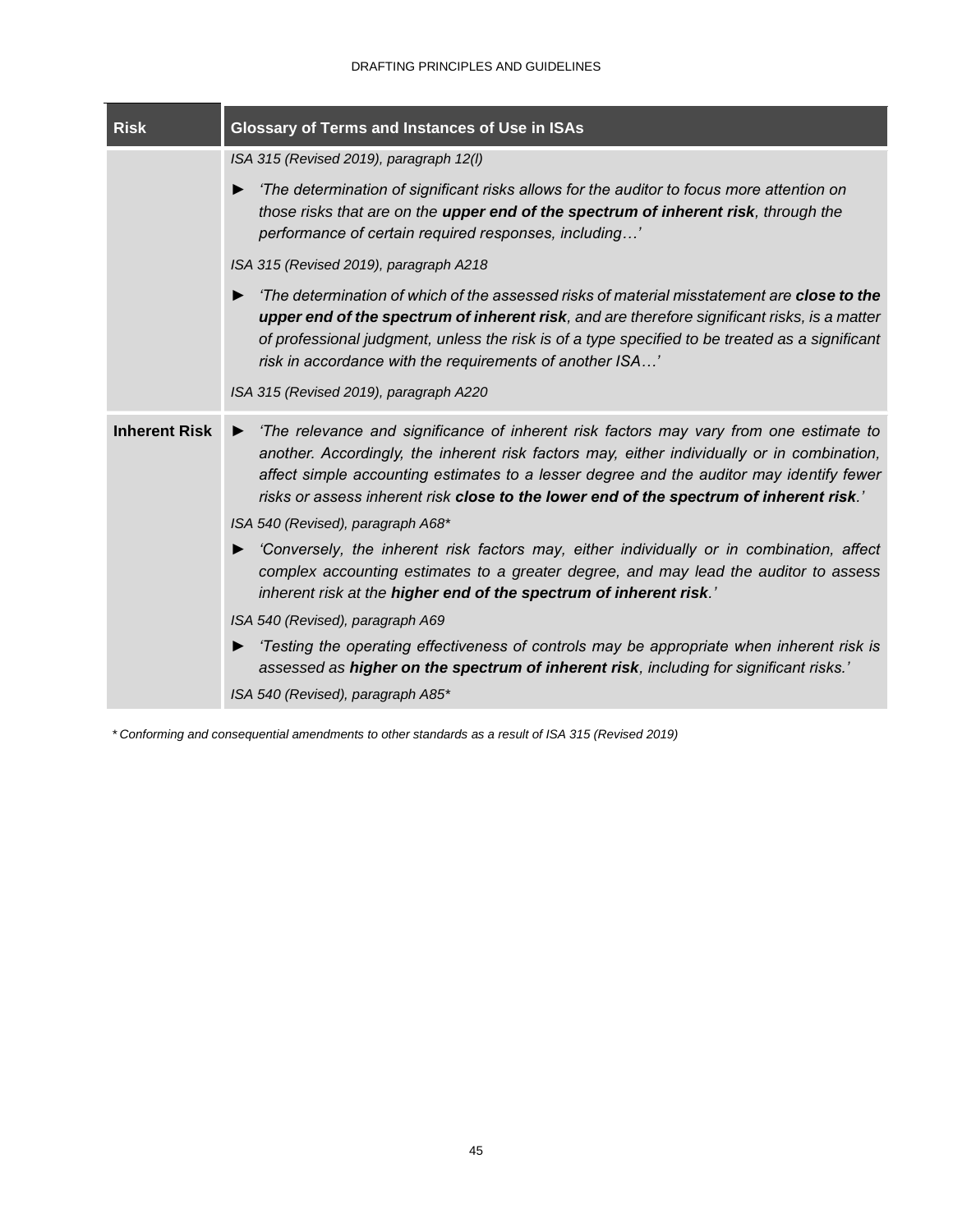| <b>Risk</b>          | <b>Glossary of Terms and Instances of Use in ISAs</b>                                                                                                                                                                                                                                                                                                                                                                  |  |  |  |
|----------------------|------------------------------------------------------------------------------------------------------------------------------------------------------------------------------------------------------------------------------------------------------------------------------------------------------------------------------------------------------------------------------------------------------------------------|--|--|--|
|                      | ISA 315 (Revised 2019), paragraph 12(I)                                                                                                                                                                                                                                                                                                                                                                                |  |  |  |
|                      | 'The determination of significant risks allows for the auditor to focus more attention on<br>▶<br>those risks that are on the upper end of the spectrum of inherent risk, through the<br>performance of certain required responses, including'                                                                                                                                                                         |  |  |  |
|                      | ISA 315 (Revised 2019), paragraph A218                                                                                                                                                                                                                                                                                                                                                                                 |  |  |  |
|                      | 'The determination of which of the assessed risks of material misstatement are <b>close to the</b><br>▶<br>upper end of the spectrum of inherent risk, and are therefore significant risks, is a matter<br>of professional judgment, unless the risk is of a type specified to be treated as a significant<br>risk in accordance with the requirements of another ISA'                                                 |  |  |  |
|                      | ISA 315 (Revised 2019), paragraph A220                                                                                                                                                                                                                                                                                                                                                                                 |  |  |  |
| <b>Inherent Risk</b> | 'The relevance and significance of inherent risk factors may vary from one estimate to<br>▶<br>another. Accordingly, the inherent risk factors may, either individually or in combination,<br>affect simple accounting estimates to a lesser degree and the auditor may identify fewer<br>risks or assess inherent risk close to the lower end of the spectrum of inherent risk.'<br>ISA 540 (Revised), paragraph A68* |  |  |  |
|                      | 'Conversely, the inherent risk factors may, either individually or in combination, affect<br>▶<br>complex accounting estimates to a greater degree, and may lead the auditor to assess<br>inherent risk at the higher end of the spectrum of inherent risk.'                                                                                                                                                           |  |  |  |
|                      | ISA 540 (Revised), paragraph A69                                                                                                                                                                                                                                                                                                                                                                                       |  |  |  |
|                      | 'Testing the operating effectiveness of controls may be appropriate when inherent risk is<br>assessed as higher on the spectrum of inherent risk, including for significant risks.'                                                                                                                                                                                                                                    |  |  |  |
|                      | ISA 540 (Revised), paragraph A85*                                                                                                                                                                                                                                                                                                                                                                                      |  |  |  |

*\* Conforming and consequential amendments to other standards as a result of ISA 315 (Revised 2019)*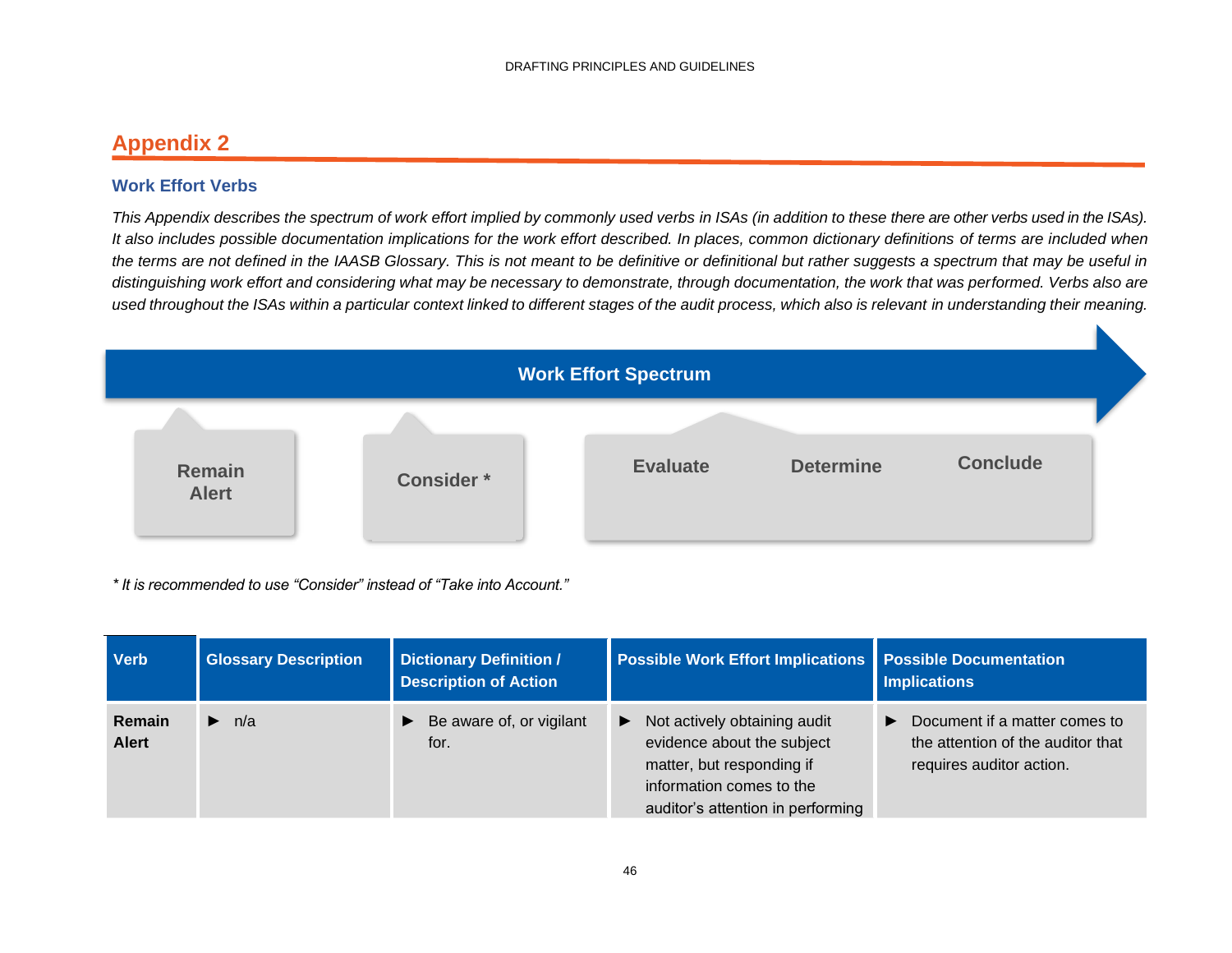### **Appendix 2**

### **Work Effort Verbs**

*This Appendix describes the spectrum of work effort implied by commonly used verbs in ISAs (in addition to these there are other verbs used in the ISAs). It also includes possible documentation implications for the work effort described. In places, common dictionary definitions of terms are included when the terms are not defined in the IAASB Glossary. This is not meant to be definitive or definitional but rather suggests a spectrum that may be useful in distinguishing work effort and considering what may be necessary to demonstrate, through documentation, the work that was performed. Verbs also are used throughout the ISAs within a particular context linked to different stages of the audit process, which also is relevant in understanding their meaning.*

<span id="page-48-0"></span>

*\* It is recommended to use "Consider" instead of "Take into Account."*

| <b>Verb</b>            | <b>Glossary Description</b> | <b>Dictionary Definition /</b><br><b>Description of Action</b> | <b>Possible Work Effort Implications   Possible Documentation</b>                                                                                                                 | <b>Implications</b>                                                                                                     |
|------------------------|-----------------------------|----------------------------------------------------------------|-----------------------------------------------------------------------------------------------------------------------------------------------------------------------------------|-------------------------------------------------------------------------------------------------------------------------|
| Remain<br><b>Alert</b> | $\blacktriangleright$ n/a   | $\blacktriangleright$ Be aware of, or vigilant<br>for.         | Not actively obtaining audit<br>$\blacktriangleright$<br>evidence about the subject<br>matter, but responding if<br>information comes to the<br>auditor's attention in performing | Document if a matter comes to<br>$\blacktriangleright$<br>the attention of the auditor that<br>requires auditor action. |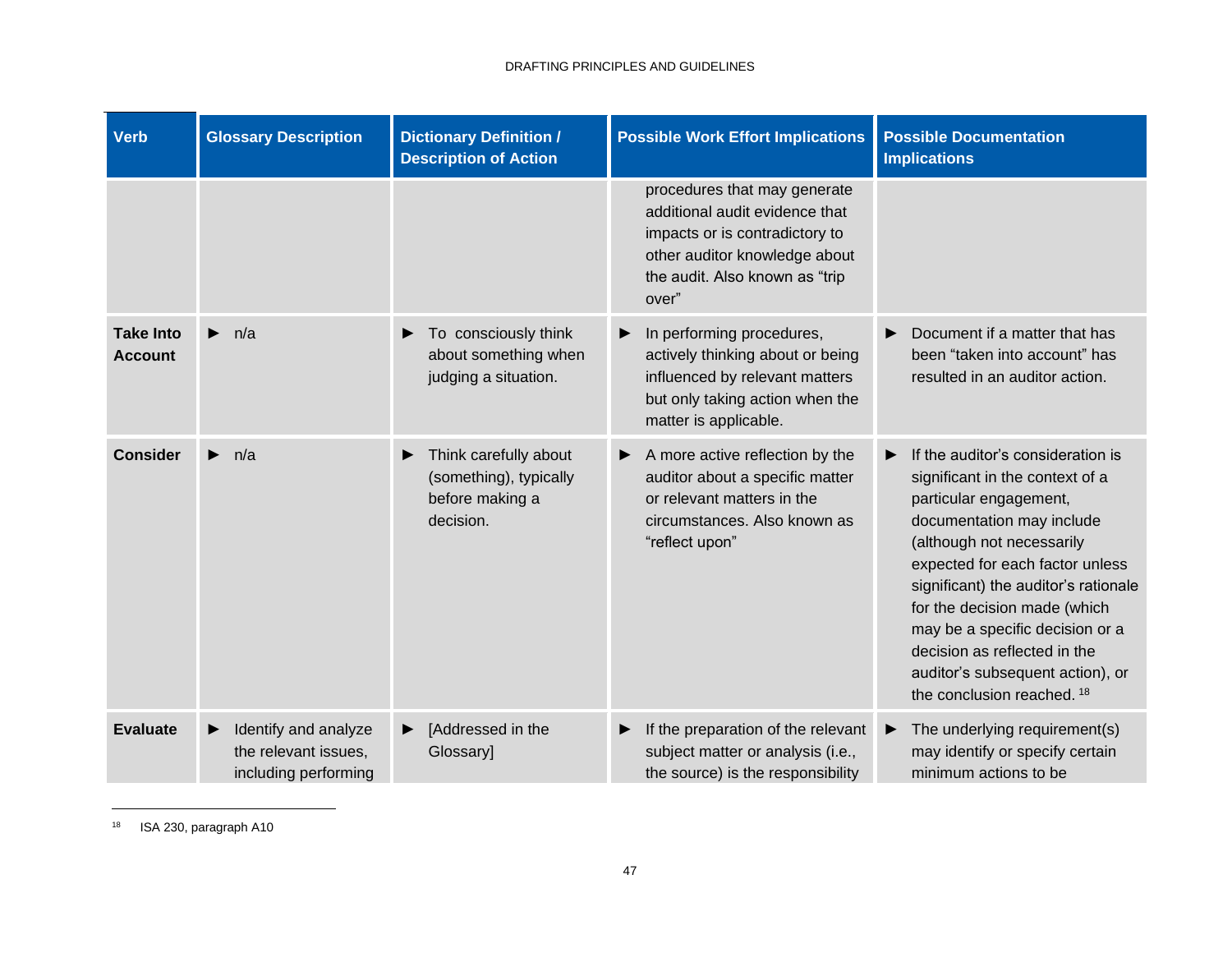| <b>Verb</b>                        | <b>Glossary Description</b>                                          | <b>Dictionary Definition /</b><br><b>Description of Action</b>                       | <b>Possible Work Effort Implications</b>                                                                                                                                     | <b>Possible Documentation</b><br><b>Implications</b>                                                                                                                                                                                                                                                                                                                                                                     |
|------------------------------------|----------------------------------------------------------------------|--------------------------------------------------------------------------------------|------------------------------------------------------------------------------------------------------------------------------------------------------------------------------|--------------------------------------------------------------------------------------------------------------------------------------------------------------------------------------------------------------------------------------------------------------------------------------------------------------------------------------------------------------------------------------------------------------------------|
|                                    |                                                                      |                                                                                      | procedures that may generate<br>additional audit evidence that<br>impacts or is contradictory to<br>other auditor knowledge about<br>the audit. Also known as "trip<br>over" |                                                                                                                                                                                                                                                                                                                                                                                                                          |
| <b>Take Into</b><br><b>Account</b> | $\blacktriangleright$<br>n/a                                         | To consciously think<br>▶<br>about something when<br>judging a situation.            | In performing procedures,<br>▶<br>actively thinking about or being<br>influenced by relevant matters<br>but only taking action when the<br>matter is applicable.             | Document if a matter that has<br>▶<br>been "taken into account" has<br>resulted in an auditor action.                                                                                                                                                                                                                                                                                                                    |
| <b>Consider</b>                    | n/a<br>$\blacktriangleright$                                         | Think carefully about<br>▶<br>(something), typically<br>before making a<br>decision. | A more active reflection by the<br>▶<br>auditor about a specific matter<br>or relevant matters in the<br>circumstances. Also known as<br>"reflect upon"                      | If the auditor's consideration is<br>▶<br>significant in the context of a<br>particular engagement,<br>documentation may include<br>(although not necessarily<br>expected for each factor unless<br>significant) the auditor's rationale<br>for the decision made (which<br>may be a specific decision or a<br>decision as reflected in the<br>auditor's subsequent action), or<br>the conclusion reached. <sup>18</sup> |
| <b>Evaluate</b>                    | Identify and analyze<br>the relevant issues,<br>including performing | [Addressed in the<br>▶<br>Glossary]                                                  | If the preparation of the relevant<br>▶<br>subject matter or analysis (i.e.,<br>the source) is the responsibility                                                            | The underlying requirement(s)<br>▶<br>may identify or specify certain<br>minimum actions to be                                                                                                                                                                                                                                                                                                                           |

<sup>18</sup> ISA 230, paragraph A10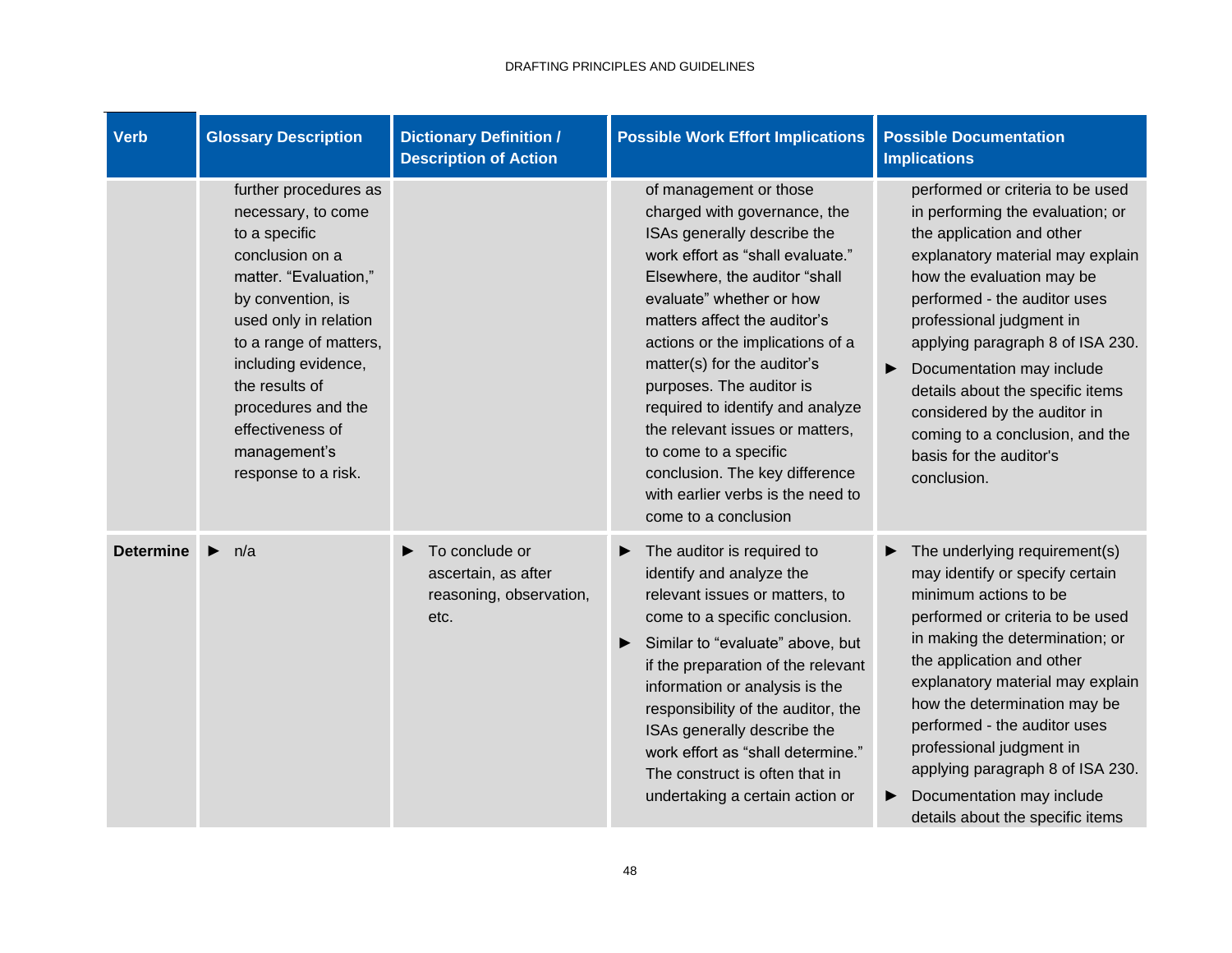| <b>Verb</b>      | <b>Glossary Description</b>                                                                                                                                                                                                                                                                                | <b>Dictionary Definition /</b><br><b>Description of Action</b>                | <b>Possible Work Effort Implications</b>                                                                                                                                                                                                                                                                                                                                                                                                                                                                             | <b>Possible Documentation</b><br><b>Implications</b>                                                                                                                                                                                                                                                                                                                                                                                                  |
|------------------|------------------------------------------------------------------------------------------------------------------------------------------------------------------------------------------------------------------------------------------------------------------------------------------------------------|-------------------------------------------------------------------------------|----------------------------------------------------------------------------------------------------------------------------------------------------------------------------------------------------------------------------------------------------------------------------------------------------------------------------------------------------------------------------------------------------------------------------------------------------------------------------------------------------------------------|-------------------------------------------------------------------------------------------------------------------------------------------------------------------------------------------------------------------------------------------------------------------------------------------------------------------------------------------------------------------------------------------------------------------------------------------------------|
|                  | further procedures as<br>necessary, to come<br>to a specific<br>conclusion on a<br>matter. "Evaluation,"<br>by convention, is<br>used only in relation<br>to a range of matters,<br>including evidence,<br>the results of<br>procedures and the<br>effectiveness of<br>management's<br>response to a risk. |                                                                               | of management or those<br>charged with governance, the<br>ISAs generally describe the<br>work effort as "shall evaluate."<br>Elsewhere, the auditor "shall<br>evaluate" whether or how<br>matters affect the auditor's<br>actions or the implications of a<br>matter(s) for the auditor's<br>purposes. The auditor is<br>required to identify and analyze<br>the relevant issues or matters,<br>to come to a specific<br>conclusion. The key difference<br>with earlier verbs is the need to<br>come to a conclusion | performed or criteria to be used<br>in performing the evaluation; or<br>the application and other<br>explanatory material may explain<br>how the evaluation may be<br>performed - the auditor uses<br>professional judgment in<br>applying paragraph 8 of ISA 230.<br>Documentation may include<br>▶<br>details about the specific items<br>considered by the auditor in<br>coming to a conclusion, and the<br>basis for the auditor's<br>conclusion. |
| <b>Determine</b> | n/a<br>▶                                                                                                                                                                                                                                                                                                   | To conclude or<br>▶<br>ascertain, as after<br>reasoning, observation,<br>etc. | The auditor is required to<br>▶<br>identify and analyze the<br>relevant issues or matters, to<br>come to a specific conclusion.<br>Similar to "evaluate" above, but<br>if the preparation of the relevant<br>information or analysis is the<br>responsibility of the auditor, the<br>ISAs generally describe the<br>work effort as "shall determine."<br>The construct is often that in<br>undertaking a certain action or                                                                                           | The underlying requirement(s)<br>may identify or specify certain<br>minimum actions to be<br>performed or criteria to be used<br>in making the determination; or<br>the application and other<br>explanatory material may explain<br>how the determination may be<br>performed - the auditor uses<br>professional judgment in<br>applying paragraph 8 of ISA 230.<br>Documentation may include<br>▶<br>details about the specific items               |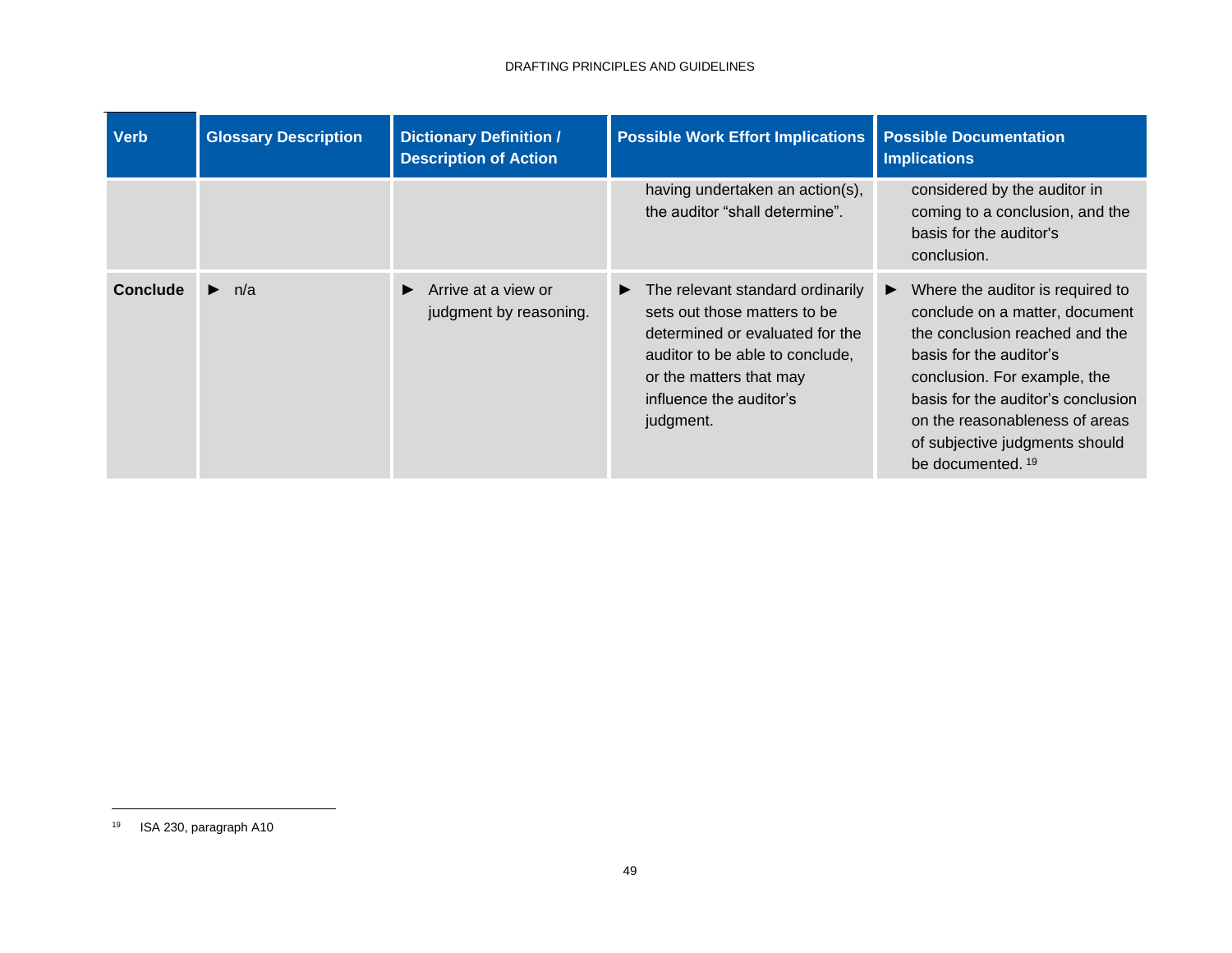| <b>Verb</b> | <b>Glossary Description</b> | <b>Dictionary Definition /</b><br><b>Description of Action</b>      | <b>Possible Work Effort Implications</b>                                                                                                                                                                                        | <b>Possible Documentation</b><br><b>Implications</b>                                                                                                                                                                                                                                                           |
|-------------|-----------------------------|---------------------------------------------------------------------|---------------------------------------------------------------------------------------------------------------------------------------------------------------------------------------------------------------------------------|----------------------------------------------------------------------------------------------------------------------------------------------------------------------------------------------------------------------------------------------------------------------------------------------------------------|
|             |                             |                                                                     | having undertaken an action(s),<br>the auditor "shall determine".                                                                                                                                                               | considered by the auditor in<br>coming to a conclusion, and the<br>basis for the auditor's<br>conclusion.                                                                                                                                                                                                      |
| Conclude    | $\blacktriangleright$ n/a   | $\blacktriangleright$ Arrive at a view or<br>judgment by reasoning. | $\blacktriangleright$ The relevant standard ordinarily<br>sets out those matters to be<br>determined or evaluated for the<br>auditor to be able to conclude,<br>or the matters that may<br>influence the auditor's<br>judgment. | Where the auditor is required to<br>▶<br>conclude on a matter, document<br>the conclusion reached and the<br>basis for the auditor's<br>conclusion. For example, the<br>basis for the auditor's conclusion<br>on the reasonableness of areas<br>of subjective judgments should<br>be documented. <sup>19</sup> |

<sup>19</sup> ISA 230, paragraph A10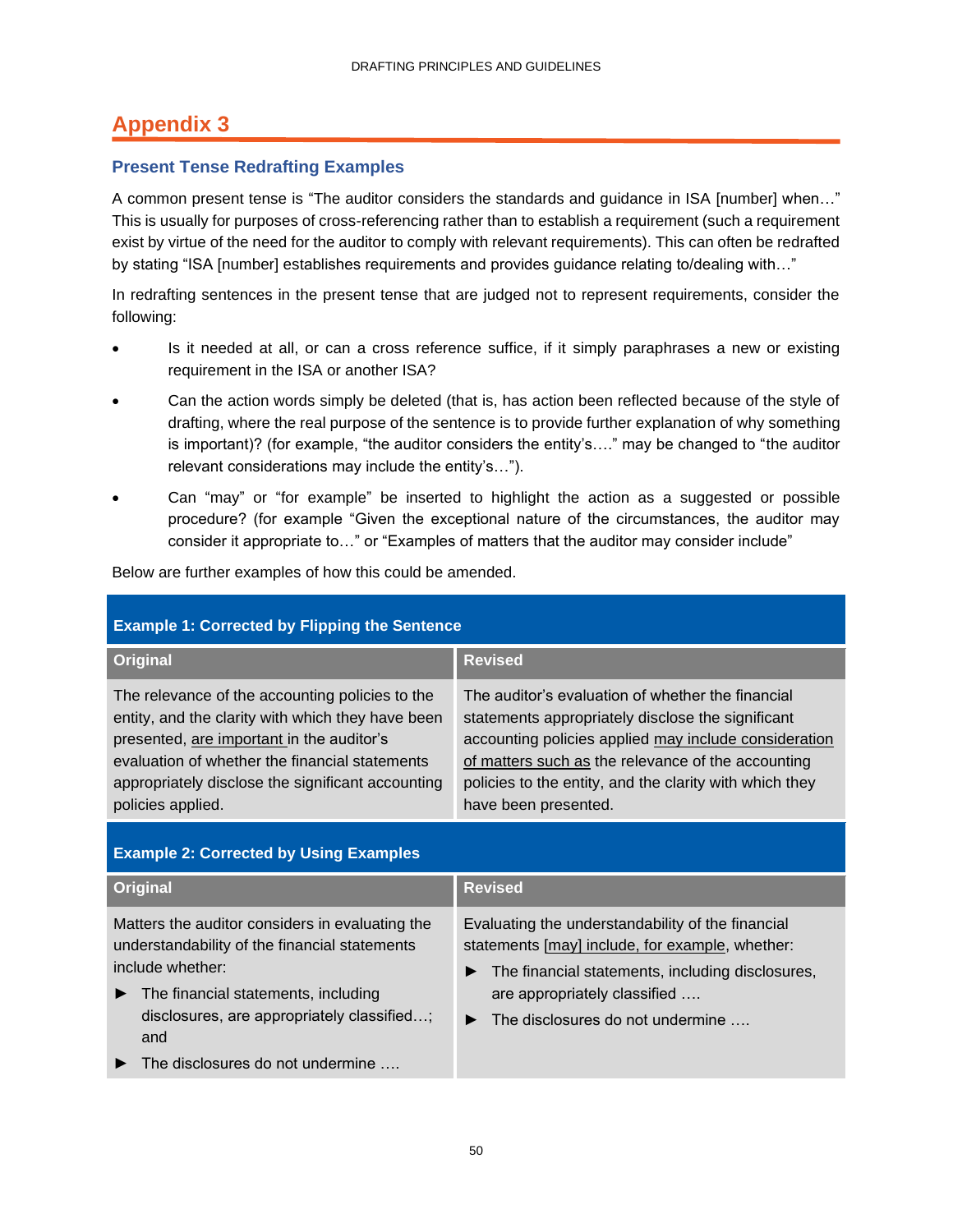## <span id="page-52-0"></span>**Appendix 3**

### **Present Tense Redrafting Examples**

A common present tense is "The auditor considers the standards and guidance in ISA [number] when…" This is usually for purposes of cross-referencing rather than to establish a requirement (such a requirement exist by virtue of the need for the auditor to comply with relevant requirements). This can often be redrafted by stating "ISA [number] establishes requirements and provides guidance relating to/dealing with..."

In redrafting sentences in the present tense that are judged not to represent requirements, consider the following:

- Is it needed at all, or can a cross reference suffice, if it simply paraphrases a new or existing requirement in the ISA or another ISA?
- Can the action words simply be deleted (that is, has action been reflected because of the style of drafting, where the real purpose of the sentence is to provide further explanation of why something is important)? (for example, "the auditor considers the entity's…." may be changed to "the auditor relevant considerations may include the entity's…").
- Can "may" or "for example" be inserted to highlight the action as a suggested or possible procedure? (for example "Given the exceptional nature of the circumstances, the auditor may consider it appropriate to…" or "Examples of matters that the auditor may consider include"

Below are further examples of how this could be amended.

| <b>Example 1: Corrected by Flipping the Sentence</b>                                                                                                                                                                                                                          |                                                                                                                                                                                                                                                                                                          |  |  |  |
|-------------------------------------------------------------------------------------------------------------------------------------------------------------------------------------------------------------------------------------------------------------------------------|----------------------------------------------------------------------------------------------------------------------------------------------------------------------------------------------------------------------------------------------------------------------------------------------------------|--|--|--|
| Original                                                                                                                                                                                                                                                                      | <b>Revised</b>                                                                                                                                                                                                                                                                                           |  |  |  |
| The relevance of the accounting policies to the<br>entity, and the clarity with which they have been<br>presented, are important in the auditor's<br>evaluation of whether the financial statements<br>appropriately disclose the significant accounting<br>policies applied. | The auditor's evaluation of whether the financial<br>statements appropriately disclose the significant<br>accounting policies applied may include consideration<br>of matters such as the relevance of the accounting<br>policies to the entity, and the clarity with which they<br>have been presented. |  |  |  |
|                                                                                                                                                                                                                                                                               |                                                                                                                                                                                                                                                                                                          |  |  |  |

### **Example 2: Corrected by Using Examples**

| <b>Original</b>                                                                                                      | <b>Revised</b>                                                                                                                                           |  |
|----------------------------------------------------------------------------------------------------------------------|----------------------------------------------------------------------------------------------------------------------------------------------------------|--|
| Matters the auditor considers in evaluating the<br>understandability of the financial statements<br>include whether: | Evaluating the understandability of the financial<br>statements [may] include, for example, whether:<br>The financial statements, including disclosures, |  |
| The financial statements, including<br>▶<br>disclosures, are appropriately classified;<br>and                        | are appropriately classified<br>The disclosures do not undermine<br>▶                                                                                    |  |
| The disclosures do not undermine $\dots$                                                                             |                                                                                                                                                          |  |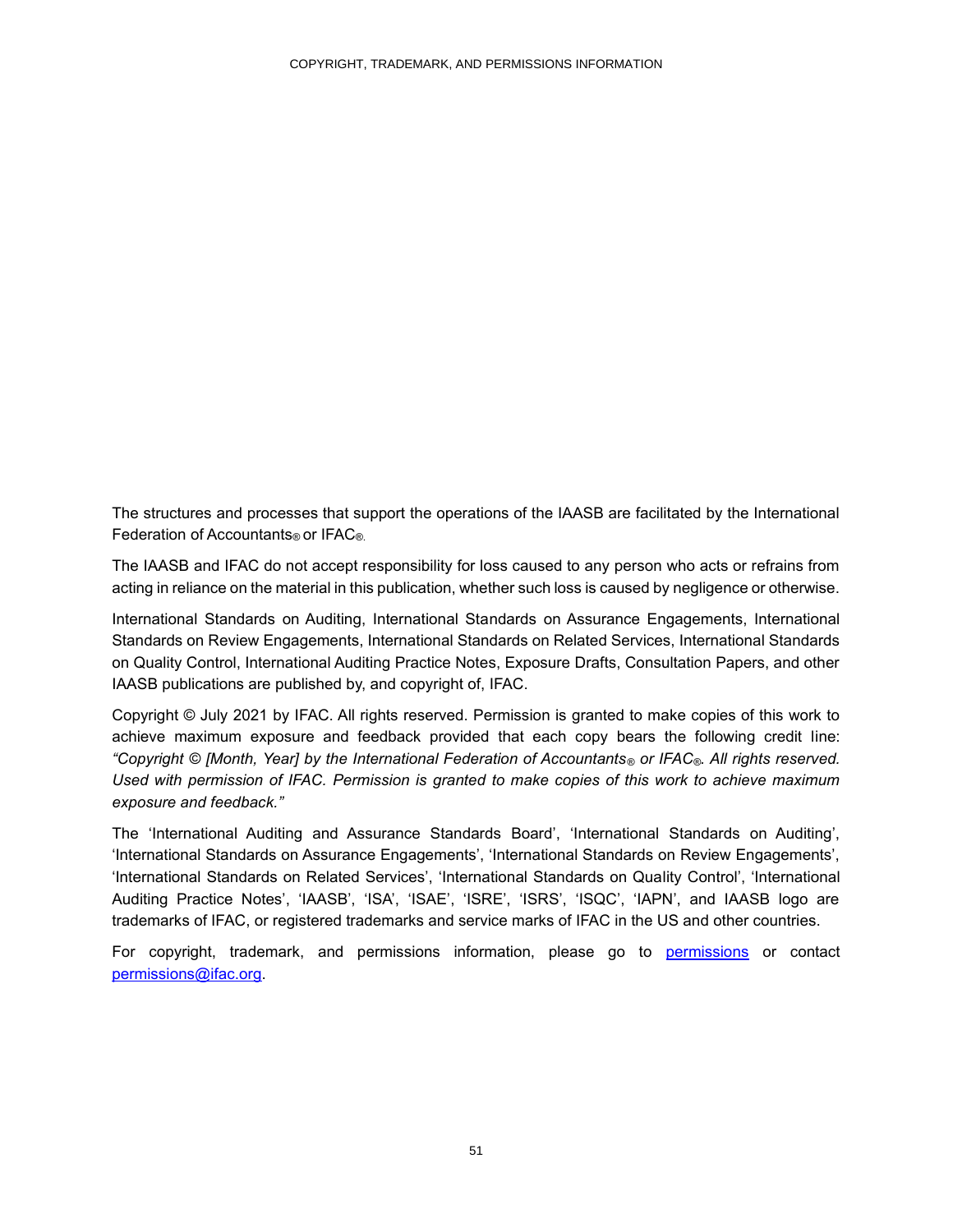The structures and processes that support the operations of the IAASB are facilitated by the International Federation of Accountants® or IFAC®.

The IAASB and IFAC do not accept responsibility for loss caused to any person who acts or refrains from acting in reliance on the material in this publication, whether such loss is caused by negligence or otherwise.

International Standards on Auditing, International Standards on Assurance Engagements, International Standards on Review Engagements, International Standards on Related Services, International Standards on Quality Control, International Auditing Practice Notes, Exposure Drafts, Consultation Papers, and other IAASB publications are published by, and copyright of, IFAC.

<span id="page-53-0"></span>Copyright © July 2021 by IFAC. All rights reserved. Permission is granted to make copies of this work to achieve maximum exposure and feedback provided that each copy bears the following credit line: *"Copyright © [Month, Year] by the International Federation of Accountants® or IFAC®. All rights reserved. Used with permission of IFAC. Permission is granted to make copies of this work to achieve maximum exposure and feedback."*

The 'International Auditing and Assurance Standards Board', 'International Standards on Auditing', 'International Standards on Assurance Engagements', 'International Standards on Review Engagements', 'International Standards on Related Services', 'International Standards on Quality Control', 'International Auditing Practice Notes', 'IAASB', 'ISA', 'ISAE', 'ISRE', 'ISRS', 'ISQC', 'IAPN', and IAASB logo are trademarks of IFAC, or registered trademarks and service marks of IFAC in the US and other countries.

For copyright, trademark, and permissions information, please go to [permissions](http://www.ifac.org/about-ifac/translations-permissions) or contact [permissions@ifac.org.](mailto:permissions@ifac.org)